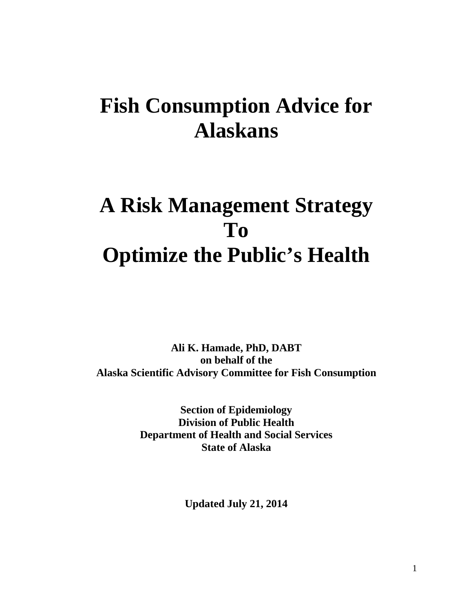# **Fish Consumption Advice for Alaskans**

# **A Risk Management Strategy To Optimize the Public's Health**

**Ali K. Hamade, PhD, DABT on behalf of the Alaska Scientific Advisory Committee for Fish Consumption**

> **Section of Epidemiology Division of Public Health Department of Health and Social Services State of Alaska**

> > **Updated July 21, 2014**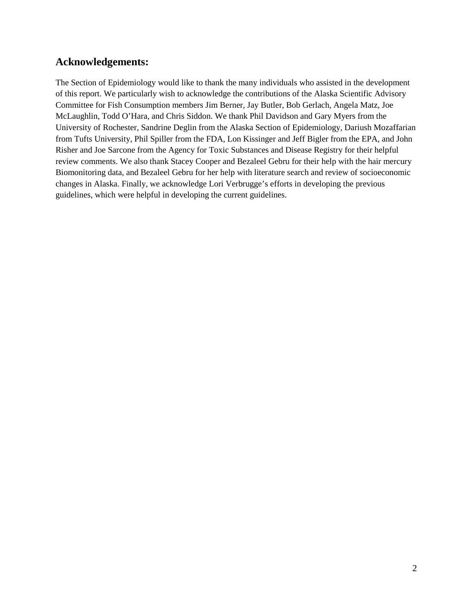## **Acknowledgements:**

The Section of Epidemiology would like to thank the many individuals who assisted in the development of this report. We particularly wish to acknowledge the contributions of the Alaska Scientific Advisory Committee for Fish Consumption members Jim Berner, Jay Butler, Bob Gerlach, Angela Matz, Joe McLaughlin, Todd O'Hara, and Chris Siddon. We thank Phil Davidson and Gary Myers from the University of Rochester, Sandrine Deglin from the Alaska Section of Epidemiology, Dariush Mozaffarian from Tufts University, Phil Spiller from the FDA, Lon Kissinger and Jeff Bigler from the EPA, and John Risher and Joe Sarcone from the Agency for Toxic Substances and Disease Registry for their helpful review comments. We also thank Stacey Cooper and Bezaleel Gebru for their help with the hair mercury Biomonitoring data, and Bezaleel Gebru for her help with literature search and review of socioeconomic changes in Alaska. Finally, we acknowledge Lori Verbrugge's efforts in developing the previous guidelines, which were helpful in developing the current guidelines.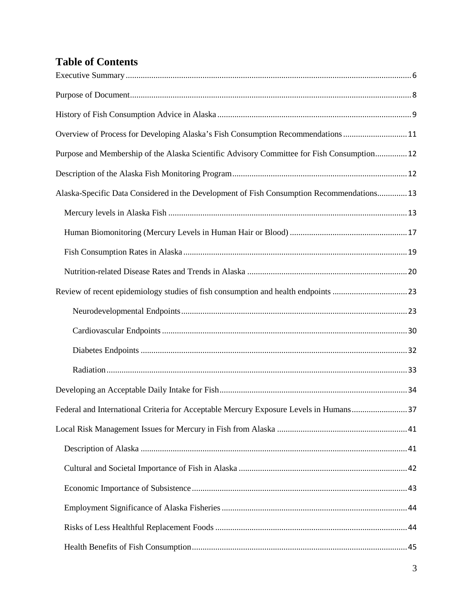# **Table of Contents**

| Overview of Process for Developing Alaska's Fish Consumption Recommendations 11            |
|--------------------------------------------------------------------------------------------|
| Purpose and Membership of the Alaska Scientific Advisory Committee for Fish Consumption 12 |
|                                                                                            |
| Alaska-Specific Data Considered in the Development of Fish Consumption Recommendations 13  |
|                                                                                            |
|                                                                                            |
|                                                                                            |
|                                                                                            |
|                                                                                            |
|                                                                                            |
|                                                                                            |
|                                                                                            |
|                                                                                            |
|                                                                                            |
| Federal and International Criteria for Acceptable Mercury Exposure Levels in Humans37      |
|                                                                                            |
|                                                                                            |
|                                                                                            |
|                                                                                            |
|                                                                                            |
|                                                                                            |
|                                                                                            |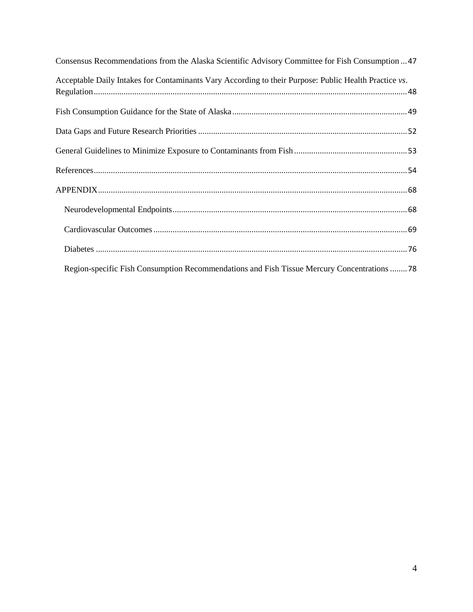| Consensus Recommendations from the Alaska Scientific Advisory Committee for Fish Consumption  47      |
|-------------------------------------------------------------------------------------------------------|
| Acceptable Daily Intakes for Contaminants Vary According to their Purpose: Public Health Practice vs. |
|                                                                                                       |
|                                                                                                       |
|                                                                                                       |
|                                                                                                       |
|                                                                                                       |
|                                                                                                       |
|                                                                                                       |
|                                                                                                       |
| Region-specific Fish Consumption Recommendations and Fish Tissue Mercury Concentrations 78            |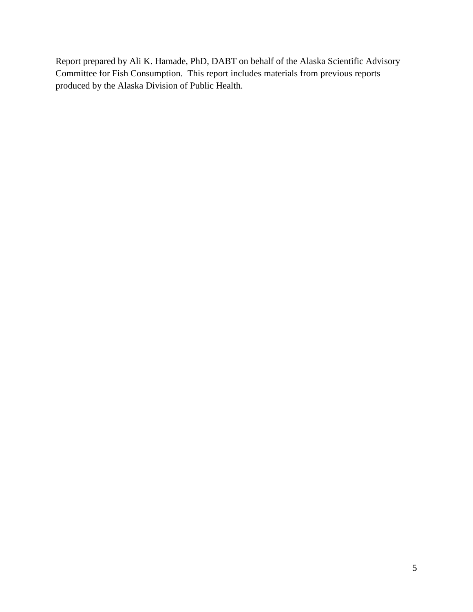Report prepared by Ali K. Hamade, PhD, DABT on behalf of the Alaska Scientific Advisory Committee for Fish Consumption. This report includes materials from previous reports produced by the Alaska Division of Public Health.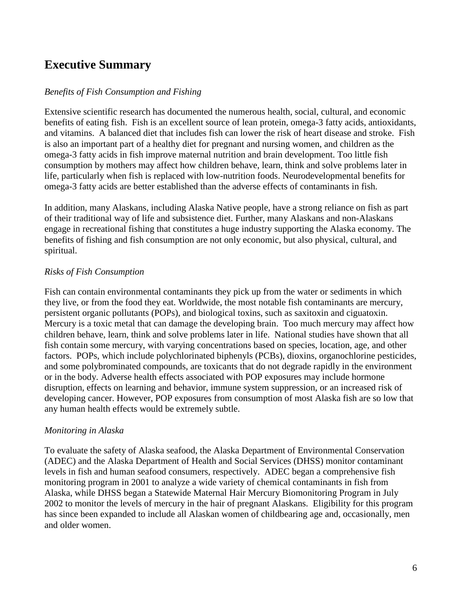## <span id="page-5-0"></span>**Executive Summary**

#### *Benefits of Fish Consumption and Fishing*

Extensive scientific research has documented the numerous health, social, cultural, and economic benefits of eating fish. Fish is an excellent source of lean protein, omega-3 fatty acids, antioxidants, and vitamins. A balanced diet that includes fish can lower the risk of heart disease and stroke. Fish is also an important part of a healthy diet for pregnant and nursing women, and children as the omega-3 fatty acids in fish improve maternal nutrition and brain development. Too little fish consumption by mothers may affect how children behave, learn, think and solve problems later in life, particularly when fish is replaced with low-nutrition foods. Neurodevelopmental benefits for omega-3 fatty acids are better established than the adverse effects of contaminants in fish.

In addition, many Alaskans, including Alaska Native people, have a strong reliance on fish as part of their traditional way of life and subsistence diet. Further, many Alaskans and non-Alaskans engage in recreational fishing that constitutes a huge industry supporting the Alaska economy. The benefits of fishing and fish consumption are not only economic, but also physical, cultural, and spiritual.

## *Risks of Fish Consumption*

Fish can contain environmental contaminants they pick up from the water or sediments in which they live, or from the food they eat. Worldwide, the most notable fish contaminants are mercury, persistent organic pollutants (POPs), and biological toxins, such as saxitoxin and ciguatoxin. Mercury is a toxic metal that can damage the developing brain. Too much mercury may affect how children behave, learn, think and solve problems later in life. National studies have shown that all fish contain some mercury, with varying concentrations based on species, location, age, and other factors. POPs, which include polychlorinated biphenyls (PCBs), dioxins, organochlorine pesticides, and some polybrominated compounds, are toxicants that do not degrade rapidly in the environment or in the body. Adverse health effects associated with POP exposures may include hormone disruption, effects on learning and behavior, immune system suppression, or an increased risk of developing cancer. However, POP exposures from consumption of most Alaska fish are so low that any human health effects would be extremely subtle.

#### *Monitoring in Alaska*

To evaluate the safety of Alaska seafood, the Alaska Department of Environmental Conservation (ADEC) and the Alaska Department of Health and Social Services (DHSS) monitor contaminant levels in fish and human seafood consumers, respectively. ADEC began a comprehensive fish monitoring program in 2001 to analyze a wide variety of chemical contaminants in fish from Alaska, while DHSS began a Statewide Maternal Hair Mercury Biomonitoring Program in July 2002 to monitor the levels of mercury in the hair of pregnant Alaskans. Eligibility for this program has since been expanded to include all Alaskan women of childbearing age and, occasionally, men and older women.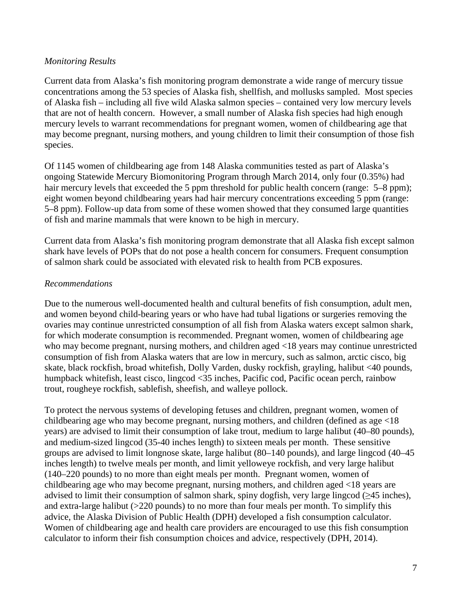#### *Monitoring Results*

Current data from Alaska's fish monitoring program demonstrate a wide range of mercury tissue concentrations among the 53 species of Alaska fish, shellfish, and mollusks sampled. Most species of Alaska fish – including all five wild Alaska salmon species – contained very low mercury levels that are not of health concern. However, a small number of Alaska fish species had high enough mercury levels to warrant recommendations for pregnant women, women of childbearing age that may become pregnant, nursing mothers, and young children to limit their consumption of those fish species.

Of 1145 women of childbearing age from 148 Alaska communities tested as part of Alaska's ongoing Statewide Mercury Biomonitoring Program through March 2014, only four (0.35%) had hair mercury levels that exceeded the 5 ppm threshold for public health concern (range: 5–8 ppm); eight women beyond childbearing years had hair mercury concentrations exceeding 5 ppm (range: 5–8 ppm). Follow-up data from some of these women showed that they consumed large quantities of fish and marine mammals that were known to be high in mercury.

Current data from Alaska's fish monitoring program demonstrate that all Alaska fish except salmon shark have levels of POPs that do not pose a health concern for consumers. Frequent consumption of salmon shark could be associated with elevated risk to health from PCB exposures.

#### *Recommendations*

Due to the numerous well-documented health and cultural benefits of fish consumption, adult men, and women beyond child-bearing years or who have had tubal ligations or surgeries removing the ovaries may continue unrestricted consumption of all fish from Alaska waters except salmon shark, for which moderate consumption is recommended. Pregnant women, women of childbearing age who may become pregnant, nursing mothers, and children aged <18 years may continue unrestricted consumption of fish from Alaska waters that are low in mercury, such as salmon, arctic cisco, big skate, black rockfish, broad whitefish, Dolly Varden, dusky rockfish, grayling, halibut <40 pounds, humpback whitefish, least cisco, lingcod <35 inches, Pacific cod, Pacific ocean perch, rainbow trout, rougheye rockfish, sablefish, sheefish, and walleye pollock.

To protect the nervous systems of developing fetuses and children, pregnant women, women of childbearing age who may become pregnant, nursing mothers, and children (defined as age <18 years) are advised to limit their consumption of lake trout, medium to large halibut (40–80 pounds), and medium-sized lingcod (35-40 inches length) to sixteen meals per month. These sensitive groups are advised to limit longnose skate, large halibut (80–140 pounds), and large lingcod (40–45 inches length) to twelve meals per month, and limit yelloweye rockfish, and very large halibut (140–220 pounds) to no more than eight meals per month. Pregnant women, women of childbearing age who may become pregnant, nursing mothers, and children aged <18 years are advised to limit their consumption of salmon shark, spiny dogfish, very large lingcod (≥45 inches), and extra-large halibut (>220 pounds) to no more than four meals per month. To simplify this advice, the Alaska Division of Public Health (DPH) developed a fish consumption calculator. Women of childbearing age and health care providers are encouraged to use this fish consumption calculator to inform their fish consumption choices and advice, respectively (DPH, 2014).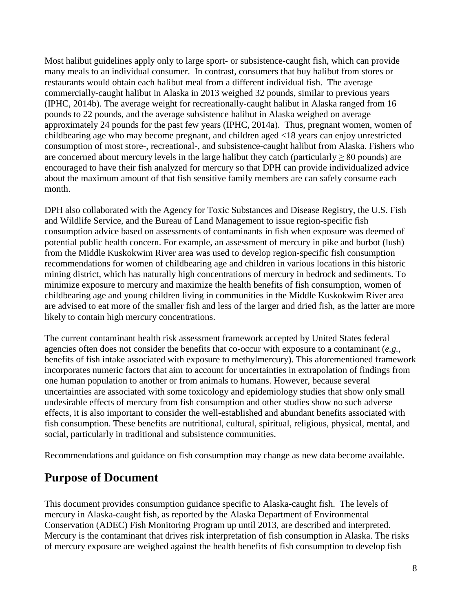Most halibut guidelines apply only to large sport- or subsistence-caught fish, which can provide many meals to an individual consumer. In contrast, consumers that buy halibut from stores or restaurants would obtain each halibut meal from a different individual fish. The average commercially-caught halibut in Alaska in 2013 weighed 32 pounds, similar to previous years (IPHC, 2014b). The average weight for recreationally-caught halibut in Alaska ranged from 16 pounds to 22 pounds, and the average subsistence halibut in Alaska weighed on average approximately 24 pounds for the past few years (IPHC, 2014a). Thus, pregnant women, women of childbearing age who may become pregnant, and children aged <18 years can enjoy unrestricted consumption of most store-, recreational-, and subsistence-caught halibut from Alaska. Fishers who are concerned about mercury levels in the large halibut they catch (particularly  $\geq 80$  pounds) are encouraged to have their fish analyzed for mercury so that DPH can provide individualized advice about the maximum amount of that fish sensitive family members are can safely consume each month.

DPH also collaborated with the Agency for Toxic Substances and Disease Registry, the U.S. Fish and Wildlife Service, and the Bureau of Land Management to issue region-specific fish consumption advice based on assessments of contaminants in fish when exposure was deemed of potential public health concern. For example, an assessment of mercury in pike and burbot (lush) from the Middle Kuskokwim River area was used to develop region-specific fish consumption recommendations for women of childbearing age and children in various locations in this historic mining district, which has naturally high concentrations of mercury in bedrock and sediments. To minimize exposure to mercury and maximize the health benefits of fish consumption, women of childbearing age and young children living in communities in the Middle Kuskokwim River area are advised to eat more of the smaller fish and less of the larger and dried fish, as the latter are more likely to contain high mercury concentrations.

The current contaminant health risk assessment framework accepted by United States federal agencies often does not consider the benefits that co-occur with exposure to a contaminant (*e.g.*, benefits of fish intake associated with exposure to methylmercury). This aforementioned framework incorporates numeric factors that aim to account for uncertainties in extrapolation of findings from one human population to another or from animals to humans. However, because several uncertainties are associated with some toxicology and epidemiology studies that show only small undesirable effects of mercury from fish consumption and other studies show no such adverse effects, it is also important to consider the well-established and abundant benefits associated with fish consumption. These benefits are nutritional, cultural, spiritual, religious, physical, mental, and social, particularly in traditional and subsistence communities.

<span id="page-7-0"></span>Recommendations and guidance on fish consumption may change as new data become available.

## **Purpose of Document**

This document provides consumption guidance specific to Alaska-caught fish. The levels of mercury in Alaska-caught fish, as reported by the Alaska Department of Environmental Conservation (ADEC) Fish Monitoring Program up until 2013, are described and interpreted. Mercury is the contaminant that drives risk interpretation of fish consumption in Alaska. The risks of mercury exposure are weighed against the health benefits of fish consumption to develop fish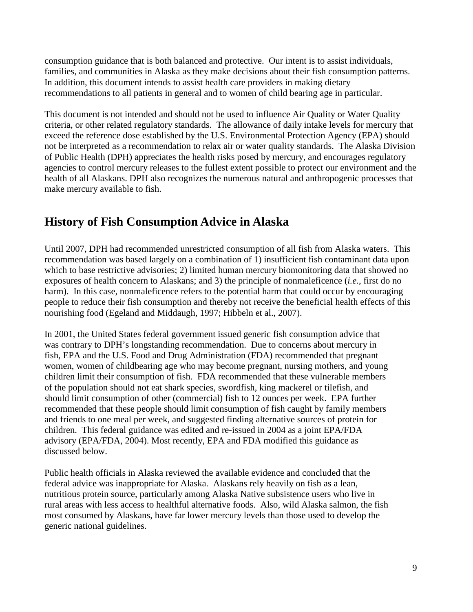consumption guidance that is both balanced and protective. Our intent is to assist individuals, families, and communities in Alaska as they make decisions about their fish consumption patterns. In addition, this document intends to assist health care providers in making dietary recommendations to all patients in general and to women of child bearing age in particular.

This document is not intended and should not be used to influence Air Quality or Water Quality criteria, or other related regulatory standards. The allowance of daily intake levels for mercury that exceed the reference dose established by the U.S. Environmental Protection Agency (EPA) should not be interpreted as a recommendation to relax air or water quality standards. The Alaska Division of Public Health (DPH) appreciates the health risks posed by mercury, and encourages regulatory agencies to control mercury releases to the fullest extent possible to protect our environment and the health of all Alaskans. DPH also recognizes the numerous natural and anthropogenic processes that make mercury available to fish.

## <span id="page-8-0"></span>**History of Fish Consumption Advice in Alaska**

Until 2007, DPH had recommended unrestricted consumption of all fish from Alaska waters. This recommendation was based largely on a combination of 1) insufficient fish contaminant data upon which to base restrictive advisories; 2) limited human mercury biomonitoring data that showed no exposures of health concern to Alaskans; and 3) the principle of nonmaleficence (*i.e.*, first do no harm). In this case, nonmaleficence refers to the potential harm that could occur by encouraging people to reduce their fish consumption and thereby not receive the beneficial health effects of this nourishing food (Egeland and Middaugh, 1997; Hibbeln et al., 2007).

In 2001, the United States federal government issued generic fish consumption advice that was contrary to DPH's longstanding recommendation. Due to concerns about mercury in fish, EPA and the U.S. Food and Drug Administration (FDA) recommended that pregnant women, women of childbearing age who may become pregnant, nursing mothers, and young children limit their consumption of fish. FDA recommended that these vulnerable members of the population should not eat shark species, swordfish, king mackerel or tilefish, and should limit consumption of other (commercial) fish to 12 ounces per week. EPA further recommended that these people should limit consumption of fish caught by family members and friends to one meal per week, and suggested finding alternative sources of protein for children. This federal guidance was edited and re-issued in 2004 as a joint EPA/FDA advisory (EPA/FDA, 2004). Most recently, EPA and FDA modified this guidance as discussed below.

Public health officials in Alaska reviewed the available evidence and concluded that the federal advice was inappropriate for Alaska. Alaskans rely heavily on fish as a lean, nutritious protein source, particularly among Alaska Native subsistence users who live in rural areas with less access to healthful alternative foods. Also, wild Alaska salmon, the fish most consumed by Alaskans, have far lower mercury levels than those used to develop the generic national guidelines.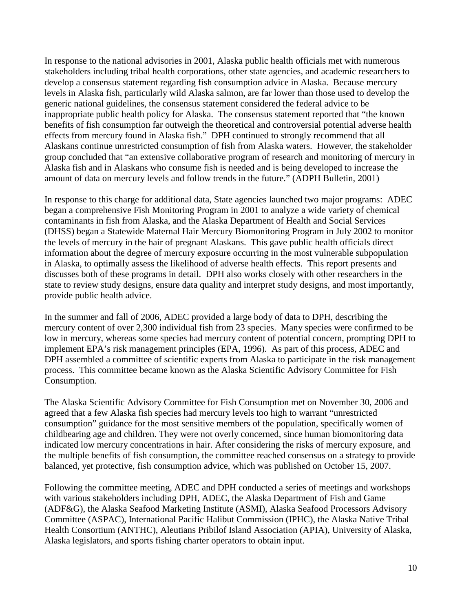In response to the national advisories in 2001, Alaska public health officials met with numerous stakeholders including tribal health corporations, other state agencies, and academic researchers to develop a consensus statement regarding fish consumption advice in Alaska. Because mercury levels in Alaska fish, particularly wild Alaska salmon, are far lower than those used to develop the generic national guidelines, the consensus statement considered the federal advice to be inappropriate public health policy for Alaska. The consensus statement reported that "the known benefits of fish consumption far outweigh the theoretical and controversial potential adverse health effects from mercury found in Alaska fish." DPH continued to strongly recommend that all Alaskans continue unrestricted consumption of fish from Alaska waters. However, the stakeholder group concluded that "an extensive collaborative program of research and monitoring of mercury in Alaska fish and in Alaskans who consume fish is needed and is being developed to increase the amount of data on mercury levels and follow trends in the future." (ADPH Bulletin, 2001)

In response to this charge for additional data, State agencies launched two major programs: ADEC began a comprehensive Fish Monitoring Program in 2001 to analyze a wide variety of chemical contaminants in fish from Alaska, and the Alaska Department of Health and Social Services (DHSS) began a Statewide Maternal Hair Mercury Biomonitoring Program in July 2002 to monitor the levels of mercury in the hair of pregnant Alaskans. This gave public health officials direct information about the degree of mercury exposure occurring in the most vulnerable subpopulation in Alaska, to optimally assess the likelihood of adverse health effects. This report presents and discusses both of these programs in detail. DPH also works closely with other researchers in the state to review study designs, ensure data quality and interpret study designs, and most importantly, provide public health advice.

In the summer and fall of 2006, ADEC provided a large body of data to DPH, describing the mercury content of over 2,300 individual fish from 23 species. Many species were confirmed to be low in mercury, whereas some species had mercury content of potential concern, prompting DPH to implement EPA's risk management principles (EPA, 1996). As part of this process, ADEC and DPH assembled a committee of scientific experts from Alaska to participate in the risk management process. This committee became known as the Alaska Scientific Advisory Committee for Fish Consumption.

The Alaska Scientific Advisory Committee for Fish Consumption met on November 30, 2006 and agreed that a few Alaska fish species had mercury levels too high to warrant "unrestricted consumption" guidance for the most sensitive members of the population, specifically women of childbearing age and children. They were not overly concerned, since human biomonitoring data indicated low mercury concentrations in hair. After considering the risks of mercury exposure, and the multiple benefits of fish consumption, the committee reached consensus on a strategy to provide balanced, yet protective, fish consumption advice, which was published on October 15, 2007.

Following the committee meeting, ADEC and DPH conducted a series of meetings and workshops with various stakeholders including DPH, ADEC, the Alaska Department of Fish and Game (ADF&G), the Alaska Seafood Marketing Institute (ASMI), Alaska Seafood Processors Advisory Committee (ASPAC), International Pacific Halibut Commission (IPHC), the Alaska Native Tribal Health Consortium (ANTHC), Aleutians Pribilof Island Association (APIA), University of Alaska, Alaska legislators, and sports fishing charter operators to obtain input.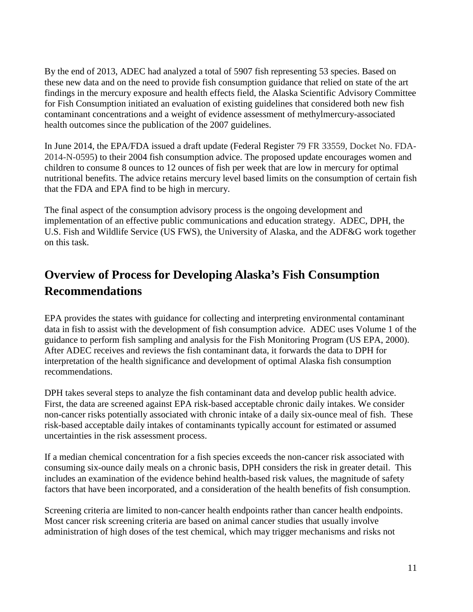By the end of 2013, ADEC had analyzed a total of 5907 fish representing 53 species. Based on these new data and on the need to provide fish consumption guidance that relied on state of the art findings in the mercury exposure and health effects field, the Alaska Scientific Advisory Committee for Fish Consumption initiated an evaluation of existing guidelines that considered both new fish contaminant concentrations and a weight of evidence assessment of methylmercury-associated health outcomes since the publication of the 2007 guidelines.

In June 2014, the EPA/FDA issued a draft update (Federal Register 79 FR 33559, Docket No. FDA-2014-N-0595) to their 2004 fish consumption advice. The proposed update encourages women and children to consume 8 ounces to 12 ounces of fish per week that are low in mercury for optimal nutritional benefits. The advice retains mercury level based limits on the consumption of certain fish that the FDA and EPA find to be high in mercury.

The final aspect of the consumption advisory process is the ongoing development and implementation of an effective public communications and education strategy. ADEC, DPH, the U.S. Fish and Wildlife Service (US FWS), the University of Alaska, and the ADF&G work together on this task.

# <span id="page-10-0"></span>**Overview of Process for Developing Alaska's Fish Consumption Recommendations**

EPA provides the states with guidance for collecting and interpreting environmental contaminant data in fish to assist with the development of fish consumption advice. ADEC uses Volume 1 of the guidance to perform fish sampling and analysis for the Fish Monitoring Program (US EPA, 2000). After ADEC receives and reviews the fish contaminant data, it forwards the data to DPH for interpretation of the health significance and development of optimal Alaska fish consumption recommendations.

DPH takes several steps to analyze the fish contaminant data and develop public health advice. First, the data are screened against EPA risk-based acceptable chronic daily intakes. We consider non-cancer risks potentially associated with chronic intake of a daily six-ounce meal of fish. These risk-based acceptable daily intakes of contaminants typically account for estimated or assumed uncertainties in the risk assessment process.

If a median chemical concentration for a fish species exceeds the non-cancer risk associated with consuming six-ounce daily meals on a chronic basis, DPH considers the risk in greater detail. This includes an examination of the evidence behind health-based risk values, the magnitude of safety factors that have been incorporated, and a consideration of the health benefits of fish consumption.

Screening criteria are limited to non-cancer health endpoints rather than cancer health endpoints. Most cancer risk screening criteria are based on animal cancer studies that usually involve administration of high doses of the test chemical, which may trigger mechanisms and risks not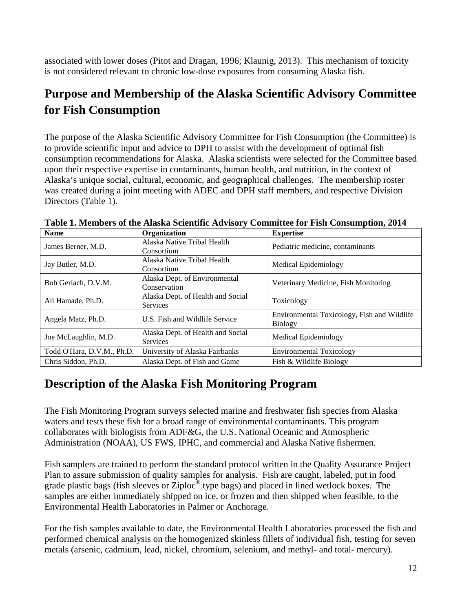associated with lower doses (Pitot and Dragan, 1996; Klaunig, 2013). This mechanism of toxicity is not considered relevant to chronic low-dose exposures from consuming Alaska fish.

# <span id="page-11-0"></span>**Purpose and Membership of the Alaska Scientific Advisory Committee for Fish Consumption**

The purpose of the Alaska Scientific Advisory Committee for Fish Consumption (the Committee) is to provide scientific input and advice to DPH to assist with the development of optimal fish consumption recommendations for Alaska. Alaska scientists were selected for the Committee based upon their respective expertise in contaminants, human health, and nutrition, in the context of Alaska's unique social, cultural, economic, and geographical challenges. The membership roster was created during a joint meeting with ADEC and DPH staff members, and respective Division Directors (Table 1).

| <b>Name</b>                | Organization                      | <b>Expertise</b>                            |  |
|----------------------------|-----------------------------------|---------------------------------------------|--|
| James Berner, M.D.         | Alaska Native Tribal Health       | Pediatric medicine, contaminants            |  |
|                            | Consortium                        |                                             |  |
| Jay Butler, M.D.           | Alaska Native Tribal Health       | Medical Epidemiology                        |  |
|                            | Consortium                        |                                             |  |
| Bob Gerlach, D.V.M.        | Alaska Dept. of Environmental     | Veterinary Medicine, Fish Monitoring        |  |
|                            | Conservation                      |                                             |  |
| Ali Hamade, Ph.D.          | Alaska Dept. of Health and Social | Toxicology                                  |  |
|                            | <b>Services</b>                   |                                             |  |
| Angela Matz, Ph.D.         | U.S. Fish and Wildlife Service    | Environmental Toxicology, Fish and Wildlife |  |
|                            |                                   | Biology                                     |  |
| Joe McLaughlin, M.D.       | Alaska Dept. of Health and Social | Medical Epidemiology                        |  |
|                            | <b>Services</b>                   |                                             |  |
| Todd O'Hara, D.V.M., Ph.D. | University of Alaska Fairbanks    | <b>Environmental Toxicology</b>             |  |
| Chris Siddon, Ph.D.        | Alaska Dept. of Fish and Game     | Fish & Wildlife Biology                     |  |

**Table 1. Members of the Alaska Scientific Advisory Committee for Fish Consumption, 2014**

# <span id="page-11-1"></span>**Description of the Alaska Fish Monitoring Program**

The Fish Monitoring Program surveys selected marine and freshwater fish species from Alaska waters and tests these fish for a broad range of environmental contaminants. This program collaborates with biologists from ADF&G, the U.S. National Oceanic and Atmospheric Administration (NOAA), US FWS, IPHC, and commercial and Alaska Native fishermen.

Fish samplers are trained to perform the standard protocol written in the Quality Assurance Project Plan to assure submission of quality samples for analysis. Fish are caught, labeled, put in food grade plastic bags (fish sleeves or Ziploc® type bags) and placed in lined wetlock boxes. The samples are either immediately shipped on ice, or frozen and then shipped when feasible, to the Environmental Health Laboratories in Palmer or Anchorage.

For the fish samples available to date, the Environmental Health Laboratories processed the fish and performed chemical analysis on the homogenized skinless fillets of individual fish, testing for seven metals (arsenic, cadmium, lead, nickel, chromium, selenium, and methyl- and total- mercury).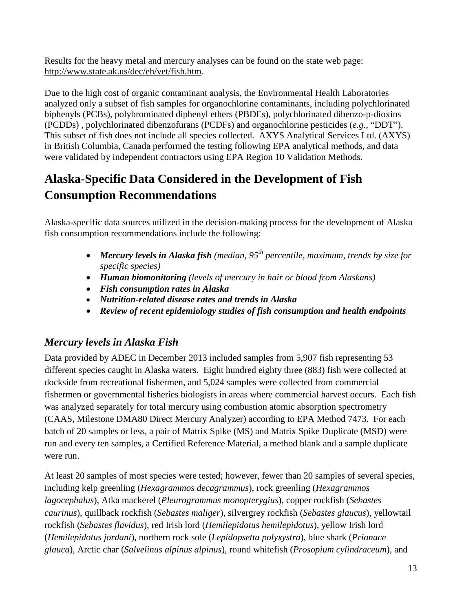Results for the heavy metal and mercury analyses can be found on the state web page: [http://www.state.ak.us/dec/eh/vet/fish.htm.](http://www.state.ak.us/dec/eh/vet/fish.htm)

Due to the high cost of organic contaminant analysis, the Environmental Health Laboratories analyzed only a subset of fish samples for organochlorine contaminants, including polychlorinated biphenyls (PCBs), polybrominated diphenyl ethers (PBDEs), polychlorinated dibenzo-p-dioxins (PCDDs) , polychlorinated dibenzofurans (PCDFs) and organochlorine pesticides (*e.g.*, "DDT"). This subset of fish does not include all species collected. AXYS Analytical Services Ltd. (AXYS) in British Columbia, Canada performed the testing following EPA analytical methods, and data were validated by independent contractors using EPA Region 10 Validation Methods.

# <span id="page-12-0"></span>**Alaska-Specific Data Considered in the Development of Fish Consumption Recommendations**

Alaska-specific data sources utilized in the decision-making process for the development of Alaska fish consumption recommendations include the following:

- *Mercury levels in Alaska fish (median, 95th percentile, maximum, trends by size for specific species)*
- *Human biomonitoring (levels of mercury in hair or blood from Alaskans)*
- *Fish consumption rates in Alaska*
- *Nutrition-related disease rates and trends in Alaska*
- *Review of recent epidemiology studies of fish consumption and health endpoints*

## <span id="page-12-1"></span>*Mercury levels in Alaska Fish*

Data provided by ADEC in December 2013 included samples from 5,907 fish representing 53 different species caught in Alaska waters. Eight hundred eighty three (883) fish were collected at dockside from recreational fishermen, and 5,024 samples were collected from commercial fishermen or governmental fisheries biologists in areas where commercial harvest occurs. Each fish was analyzed separately for total mercury using combustion atomic absorption spectrometry (CAAS, Milestone DMA80 Direct Mercury Analyzer) according to EPA Method 7473. For each batch of 20 samples or less, a pair of Matrix Spike (MS) and Matrix Spike Duplicate (MSD) were run and every ten samples, a Certified Reference Material, a method blank and a sample duplicate were run.

At least 20 samples of most species were tested; however, fewer than 20 samples of several species, including kelp greenling (*[Hexagrammos](http://research.calacademy.org/research/ichthyology/catalog/fishcatget.asp?tbl=genus&genid=628) [decagrammus](http://research.calacademy.org/research/ichthyology/catalog/fishcatget.asp?tbl=species&spid=42842)*), rock greenling (*Hexagrammos lagocephalus*), Atka mackerel (*[Pleurogrammus monopterygius](http://www.fishbase.org/Summary/SpeciesSummary.php?ID=4037&AT=atka+mackerel)*), copper rockfish (*[Sebastes](http://www.fishbase.org/Summary/SpeciesSummary.php?ID=3957&AT=copper+rockfish)  [caurinus](http://www.fishbase.org/Summary/SpeciesSummary.php?ID=3957&AT=copper+rockfish)*), quillback rockfish (*[Sebastes](http://research.calacademy.org/research/ichthyology/catalog/fishcatget.asp?tbl=genus&genid=1135) [maliger](http://research.calacademy.org/research/ichthyology/catalog/fishcatget.asp?tbl=species&spid=42414)*), silvergrey rockfish (*Sebastes glaucus*), yellowtail rockfish (*Sebastes flavidus*), red Irish lord (*[Hemilepidotus](http://research.calacademy.org/research/ichthyology/catalog/fishcatget.asp?tbl=genus&genid=1138) [hemilepidotus](http://research.calacademy.org/research/ichthyology/catalog/fishcatget.asp?tbl=species&spid=43109)*), yellow Irish lord (*[Hemilepidotus](http://research.calacademy.org/research/ichthyology/catalog/fishcatget.asp?tbl=genus&genid=1138) [jordani](http://research.calacademy.org/research/ichthyology/catalog/fishcatget.asp?tbl=species&spid=43110)*), northern rock sole (*[Lepidopsetta](http://research.calacademy.org/research/ichthyology/catalog/fishcatget.asp?tbl=genus&genid=9114) [polyxystra](http://research.calacademy.org/research/ichthyology/catalog/fishcatget.asp?tbl=species&spid=65833)*), blue shark (*[Prionace](http://www.fishbase.org/Summary/SpeciesSummary.php?ID=898&AT=blue+shark)  [glauca](http://www.fishbase.org/Summary/SpeciesSummary.php?ID=898&AT=blue+shark)*), Arctic char (*Salvelinus alpinus alpinus*), round whitefish (*[Prosopium cylindraceum](http://www.fishbase.org/Summary/SpeciesSummary.php?ID=2682&AT=round+whitefish)*), and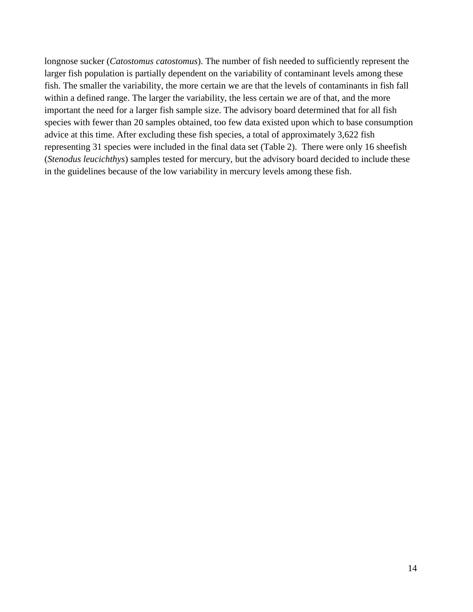longnose sucker (*Catostomus catostomus*). The number of fish needed to sufficiently represent the larger fish population is partially dependent on the variability of contaminant levels among these fish. The smaller the variability, the more certain we are that the levels of contaminants in fish fall within a defined range. The larger the variability, the less certain we are of that, and the more important the need for a larger fish sample size. The advisory board determined that for all fish species with fewer than 20 samples obtained, too few data existed upon which to base consumption advice at this time. After excluding these fish species, a total of approximately 3,622 fish representing 31 species were included in the final data set (Table 2). There were only 16 sheefish (*[Stenodus](http://research.calacademy.org/research/ichthyology/catalog/fishcatget.asp?tbl=genus&genid=1402) [leucichthys](http://research.calacademy.org/research/ichthyology/catalog/fishcatget.asp?tbl=species&spid=10537)*) samples tested for mercury, but the advisory board decided to include these in the guidelines because of the low variability in mercury levels among these fish.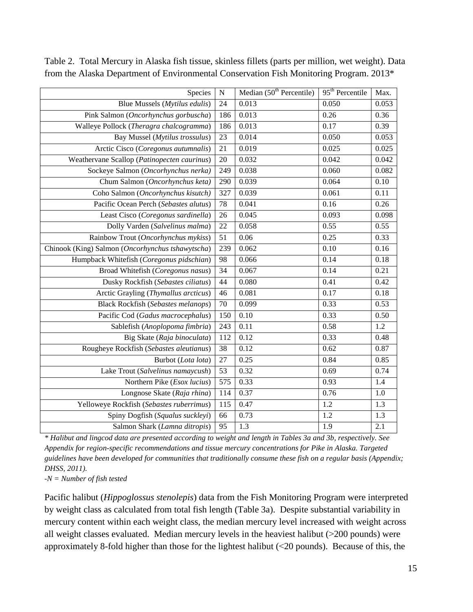| Species                                          | ${\bf N}$ | Median $(50th$ Percentile) | 95 <sup>th</sup> Percentile | Max.  |
|--------------------------------------------------|-----------|----------------------------|-----------------------------|-------|
| Blue Mussels (Mytilus edulis)                    | 24        | 0.013                      | 0.050                       | 0.053 |
| Pink Salmon (Oncorhynchus gorbuscha)             | 186       | 0.013                      | 0.26                        | 0.36  |
| Walleye Pollock (Theragra chalcogramma)          | 186       | 0.013                      | 0.17                        | 0.39  |
| Bay Mussel (Mytilus trossulus)                   | 23        | 0.014                      | 0.050                       | 0.053 |
| Arctic Cisco (Coregonus autumnalis)              | 21        | 0.019                      | 0.025                       | 0.025 |
| Weathervane Scallop (Patinopecten caurinus)      | 20        | 0.032                      | 0.042                       | 0.042 |
| Sockeye Salmon (Oncorhynchus nerka)              | 249       | 0.038                      | 0.060                       | 0.082 |
| Chum Salmon (Oncorhynchus keta)                  | 290       | 0.039                      | 0.064                       | 0.10  |
| Coho Salmon (Oncorhynchus kisutch)               | 327       | 0.039                      | 0.061                       | 0.11  |
| Pacific Ocean Perch (Sebastes alutus)            | 78        | 0.041                      | 0.16                        | 0.26  |
| Least Cisco (Coregonus sardinella)               | 26        | 0.045                      | 0.093                       | 0.098 |
| Dolly Varden (Salvelinus malma)                  | 22        | 0.058                      | 0.55                        | 0.55  |
| Rainbow Trout (Oncorhynchus mykiss)              | 51        | 0.06                       | 0.25                        | 0.33  |
| Chinook (King) Salmon (Oncorhynchus tshawytscha) | 239       | 0.062                      | 0.10                        | 0.16  |
| Humpback Whitefish (Coregonus pidschian)         | 98        | 0.066                      | 0.14                        | 0.18  |
| Broad Whitefish (Coregonus nasus)                | 34        | 0.067                      | 0.14                        | 0.21  |
| Dusky Rockfish (Sebastes ciliatus)               | 44        | 0.080                      | 0.41                        | 0.42  |
| Arctic Grayling (Thymallus arcticus)             | 46        | 0.081                      | 0.17                        | 0.18  |
| <b>Black Rockfish (Sebastes melanops)</b>        | 70        | 0.099                      | 0.33                        | 0.53  |
| Pacific Cod (Gadus macrocephalus)                | 150       | 0.10                       | 0.33                        | 0.50  |
| Sablefish (Anoplopoma fimbria)                   | 243       | 0.11                       | 0.58                        | 1.2   |
| Big Skate (Raja binoculata)                      | 112       | 0.12                       | 0.33                        | 0.48  |
| Rougheye Rockfish (Sebastes aleutianus)          | 38        | 0.12                       | 0.62                        | 0.87  |
| Burbot (Lota lota)                               | 27        | 0.25                       | 0.84                        | 0.85  |
| Lake Trout (Salvelinus namaycush)                | 53        | 0.32                       | 0.69                        | 0.74  |
| Northern Pike ( <i>Esox lucius</i> )             | 575       | 0.33                       | 0.93                        | 1.4   |
| Longnose Skate (Raja rhina)                      | 114       | 0.37                       | 0.76                        | 1.0   |
| Yelloweye Rockfish (Sebastes ruberrimus)         | 115       | 0.47                       | 1.2                         | 1.3   |
| Spiny Dogfish (Squalus suckleyi)                 | 66        | 0.73                       | 1.2                         | 1.3   |
| Salmon Shark (Lamna ditropis)                    | 95        | 1.3                        | 1.9                         | 2.1   |

Table 2. Total Mercury in Alaska fish tissue, skinless fillets (parts per million, wet weight). Data from the Alaska Department of Environmental Conservation Fish Monitoring Program. 2013\*

*\* Halibut and lingcod data are presented according to weight and length in Tables 3a and 3b, respectively. See Appendix for region-specific recommendations and tissue mercury concentrations for Pike in Alaska. Targeted guidelines have been developed for communities that traditionally consume these fish on a regular basis (Appendix; DHSS, 2011).*

*-N = Number of fish tested*

Pacific halibut (*[Hippoglossus](http://research.calacademy.org/research/ichthyology/catalog/fishcatget.asp?tbl=genus&genid=882) [stenolepis](http://research.calacademy.org/research/ichthyology/catalog/fishcatget.asp?tbl=species&spid=23120)*) data from the Fish Monitoring Program were interpreted by weight class as calculated from total fish length (Table 3a). Despite substantial variability in mercury content within each weight class, the median mercury level increased with weight across all weight classes evaluated. Median mercury levels in the heaviest halibut  $(>200$  pounds) were approximately 8-fold higher than those for the lightest halibut (˂20 pounds). Because of this, the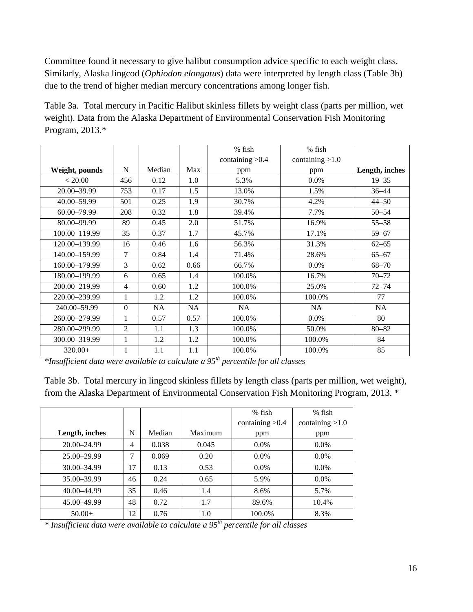Committee found it necessary to give halibut consumption advice specific to each weight class. Similarly, Alaska lingcod (*[Ophiodon](http://research.calacademy.org/research/ichthyology/catalog/fishcatget.asp?tbl=genus&genid=2194) [elongatus](http://research.calacademy.org/research/ichthyology/catalog/fishcatget.asp?tbl=species&spid=42869)*) data were interpreted by length class (Table 3b) due to the trend of higher median mercury concentrations among longer fish.

Table 3a. Total mercury in Pacific Halibut skinless fillets by weight class (parts per million, wet weight). Data from the Alaska Department of Environmental Conservation Fish Monitoring Program, 2013.\*

|                |                |           |      | % fish<br>% fish  |                   |                |
|----------------|----------------|-----------|------|-------------------|-------------------|----------------|
|                |                |           |      | containing $>0.4$ | containing $>1.0$ |                |
| Weight, pounds | N              | Median    | Max  | ppm               | ppm               | Length, inches |
| < 20.00        | 456            | 0.12      | 1.0  | 5.3%              | $0.0\%$           | $19 - 35$      |
| 20.00-39.99    | 753            | 0.17      | 1.5  | 13.0%             | 1.5%              | $36 - 44$      |
| 40.00 - 59.99  | 501            | 0.25      | 1.9  | 30.7%             | 4.2%              | $44 - 50$      |
| 60.00-79.99    | 208            | 0.32      | 1.8  | 39.4%             | 7.7%              | $50 - 54$      |
| 80.00-99.99    | 89             | 0.45      | 2.0  | 51.7%             | 16.9%             | $55 - 58$      |
| 100.00-119.99  | 35             | 0.37      | 1.7  | 45.7%             | 17.1%             | $59 - 67$      |
| 120.00-139.99  | 16             | 0.46      | 1.6  | 56.3%             | 31.3%             | $62 - 65$      |
| 140.00-159.99  | 7              | 0.84      | 1.4  | 71.4%             | 28.6%             | $65 - 67$      |
| 160.00-179.99  | 3              | 0.62      | 0.66 | 66.7%             | $0.0\%$           | $68 - 70$      |
| 180.00-199.99  | 6              | 0.65      | 1.4  | 100.0%            | 16.7%             | $70 - 72$      |
| 200.00-219.99  | $\overline{4}$ | 0.60      | 1.2  | 100.0%            | 25.0%             | $72 - 74$      |
| 220.00-239.99  | $\mathbf 1$    | 1.2       | 1.2  | 100.0%            | 100.0%            | 77             |
| 240.00-59.99   | $\Omega$       | <b>NA</b> | NA   | NA                | NA                | NA.            |
| 260.00-279.99  | 1              | 0.57      | 0.57 | 100.0%            | 0.0%              | 80             |
| 280.00-299.99  | $\overline{2}$ | 1.1       | 1.3  | 100.0%            | 50.0%             | $80 - 82$      |
| 300.00-319.99  | 1              | 1.2       | 1.2  | 100.0%            | 100.0%            | 84             |
| $320.00+$      | 1              | 1.1       | 1.1  | 100.0%            | 100.0%            | 85             |

*\*Insufficient data were available to calculate a 95th percentile for all classes*

Table 3b. Total mercury in lingcod skinless fillets by length class (parts per million, wet weight), from the Alaska Department of Environmental Conservation Fish Monitoring Program, 2013. \*

|                 |                |        |         | $%$ fish          | $%$ fish          |
|-----------------|----------------|--------|---------|-------------------|-------------------|
|                 |                |        |         | containing $>0.4$ | containing $>1.0$ |
| Length, inches  | N              | Median | Maximum | ppm               | ppm               |
| 20.00–24.99     | $\overline{4}$ | 0.038  | 0.045   | $0.0\%$           | 0.0%              |
| $25.00 - 29.99$ | 7              | 0.069  | 0.20    | $0.0\%$           | $0.0\%$           |
| $30.00 - 34.99$ | 17             | 0.13   | 0.53    | $0.0\%$           | $0.0\%$           |
| 35.00-39.99     | 46             | 0.24   | 0.65    | 5.9%              | $0.0\%$           |
| 40.00 - 44.99   | 35             | 0.46   | 1.4     | 8.6%              | 5.7%              |
| 45.00 - 49.99   | 48             | 0.72   | 1.7     | 89.6%             | 10.4%             |
| $50.00+$        | 12             | 0.76   | 1.0     | 100.0%            | 8.3%              |

*\* Insufficient data were available to calculate a 95th percentile for all classes*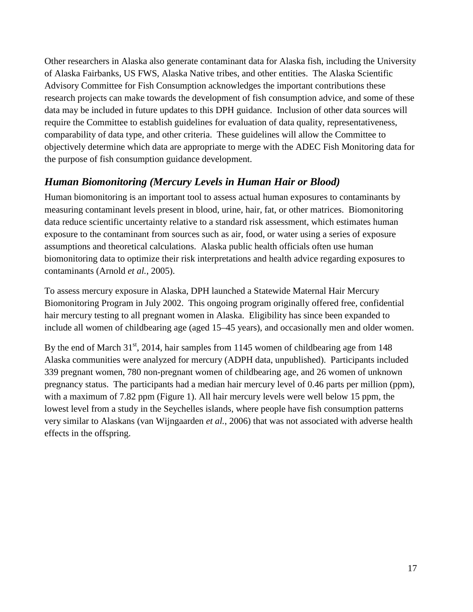Other researchers in Alaska also generate contaminant data for Alaska fish, including the University of Alaska Fairbanks, US FWS, Alaska Native tribes, and other entities. The Alaska Scientific Advisory Committee for Fish Consumption acknowledges the important contributions these research projects can make towards the development of fish consumption advice, and some of these data may be included in future updates to this DPH guidance. Inclusion of other data sources will require the Committee to establish guidelines for evaluation of data quality, representativeness, comparability of data type, and other criteria. These guidelines will allow the Committee to objectively determine which data are appropriate to merge with the ADEC Fish Monitoring data for the purpose of fish consumption guidance development.

## <span id="page-16-0"></span>*Human Biomonitoring (Mercury Levels in Human Hair or Blood)*

Human biomonitoring is an important tool to assess actual human exposures to contaminants by measuring contaminant levels present in blood, urine, hair, fat, or other matrices. Biomonitoring data reduce scientific uncertainty relative to a standard risk assessment, which estimates human exposure to the contaminant from sources such as air, food, or water using a series of exposure assumptions and theoretical calculations. Alaska public health officials often use human biomonitoring data to optimize their risk interpretations and health advice regarding exposures to contaminants (Arnold *et al.*, 2005).

To assess mercury exposure in Alaska, DPH launched a Statewide Maternal Hair Mercury Biomonitoring Program in July 2002. This ongoing program originally offered free, confidential hair mercury testing to all pregnant women in Alaska. Eligibility has since been expanded to include all women of childbearing age (aged 15–45 years), and occasionally men and older women.

By the end of March  $31<sup>st</sup>$ , 2014, hair samples from 1145 women of childbearing age from 148 Alaska communities were analyzed for mercury (ADPH data, unpublished). Participants included 339 pregnant women, 780 non-pregnant women of childbearing age, and 26 women of unknown pregnancy status. The participants had a median hair mercury level of 0.46 parts per million (ppm), with a maximum of 7.82 ppm (Figure 1). All hair mercury levels were well below 15 ppm, the lowest level from a study in the Seychelles islands, where people have fish consumption patterns very similar to Alaskans (van Wijngaarden *et al.*, 2006) that was not associated with adverse health effects in the offspring.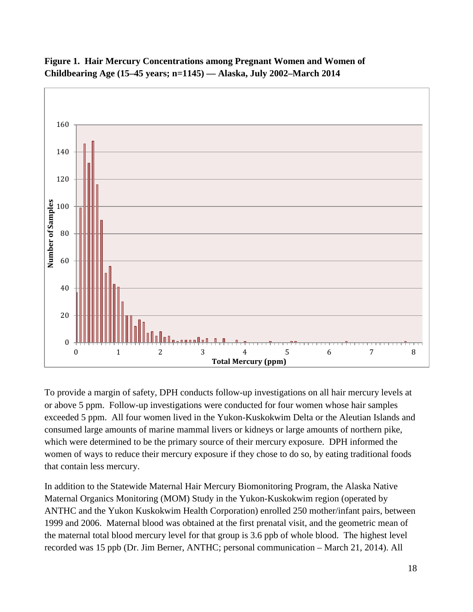

**Figure 1. Hair Mercury Concentrations among Pregnant Women and Women of Childbearing Age (15–45 years; n=1145) — Alaska, July 2002–March 2014**

To provide a margin of safety, DPH conducts follow-up investigations on all hair mercury levels at or above 5 ppm. Follow-up investigations were conducted for four women whose hair samples exceeded 5 ppm. All four women lived in the Yukon-Kuskokwim Delta or the Aleutian Islands and consumed large amounts of marine mammal livers or kidneys or large amounts of northern pike, which were determined to be the primary source of their mercury exposure. DPH informed the women of ways to reduce their mercury exposure if they chose to do so, by eating traditional foods that contain less mercury.

In addition to the Statewide Maternal Hair Mercury Biomonitoring Program, the Alaska Native Maternal Organics Monitoring (MOM) Study in the Yukon-Kuskokwim region (operated by ANTHC and the Yukon Kuskokwim Health Corporation) enrolled 250 mother/infant pairs, between 1999 and 2006. Maternal blood was obtained at the first prenatal visit, and the geometric mean of the maternal total blood mercury level for that group is 3.6 ppb of whole blood. The highest level recorded was 15 ppb (Dr. Jim Berner, ANTHC; personal communication – March 21, 2014). All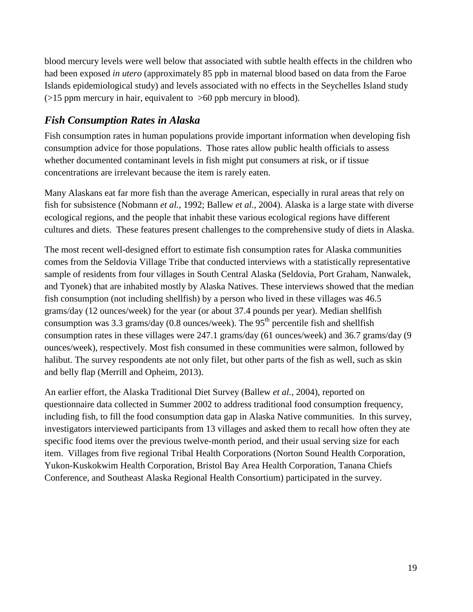blood mercury levels were well below that associated with subtle health effects in the children who had been exposed *in utero* (approximately 85 ppb in maternal blood based on data from the Faroe Islands epidemiological study) and levels associated with no effects in the Seychelles Island study  $($ >15 ppm mercury in hair, equivalent to >60 ppb mercury in blood).

## <span id="page-18-0"></span>*Fish Consumption Rates in Alaska*

Fish consumption rates in human populations provide important information when developing fish consumption advice for those populations. Those rates allow public health officials to assess whether documented contaminant levels in fish might put consumers at risk, or if tissue concentrations are irrelevant because the item is rarely eaten.

Many Alaskans eat far more fish than the average American, especially in rural areas that rely on fish for subsistence (Nobmann *et al.*, 1992; Ballew *et al.*, 2004). Alaska is a large state with diverse ecological regions, and the people that inhabit these various ecological regions have different cultures and diets. These features present challenges to the comprehensive study of diets in Alaska.

The most recent well-designed effort to estimate fish consumption rates for Alaska communities comes from the Seldovia Village Tribe that conducted interviews with a statistically representative sample of residents from four villages in South Central Alaska (Seldovia, Port Graham, Nanwalek, and Tyonek) that are inhabited mostly by Alaska Natives. These interviews showed that the median fish consumption (not including shellfish) by a person who lived in these villages was 46.5 grams/day (12 ounces/week) for the year (or about 37.4 pounds per year). Median shellfish consumption was 3.3 grams/day (0.8 ounces/week). The  $95<sup>th</sup>$  percentile fish and shellfish consumption rates in these villages were 247.1 grams/day (61 ounces/week) and 36.7 grams/day (9 ounces/week), respectively. Most fish consumed in these communities were salmon, followed by halibut. The survey respondents ate not only filet, but other parts of the fish as well, such as skin and belly flap (Merrill and Opheim, 2013).

An earlier effort, the Alaska Traditional Diet Survey (Ballew *et al.*, 2004), reported on questionnaire data collected in Summer 2002 to address traditional food consumption frequency, including fish, to fill the food consumption data gap in Alaska Native communities. In this survey, investigators interviewed participants from 13 villages and asked them to recall how often they ate specific food items over the previous twelve-month period, and their usual serving size for each item. Villages from five regional Tribal Health Corporations (Norton Sound Health Corporation, Yukon-Kuskokwim Health Corporation, Bristol Bay Area Health Corporation, Tanana Chiefs Conference, and Southeast Alaska Regional Health Consortium) participated in the survey.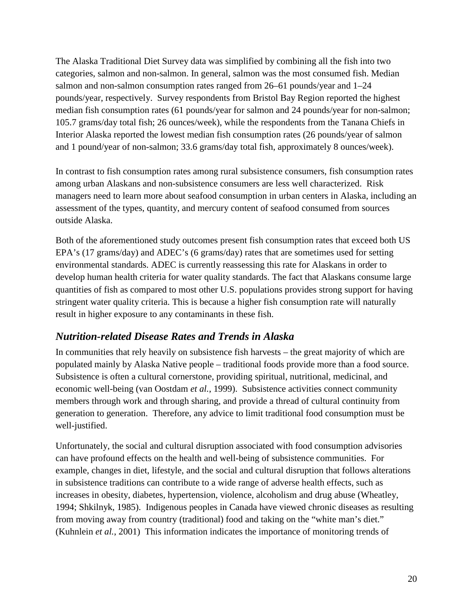The Alaska Traditional Diet Survey data was simplified by combining all the fish into two categories, salmon and non-salmon. In general, salmon was the most consumed fish. Median salmon and non-salmon consumption rates ranged from 26–61 pounds/year and 1–24 pounds/year, respectively. Survey respondents from Bristol Bay Region reported the highest median fish consumption rates (61 pounds/year for salmon and 24 pounds/year for non-salmon; 105.7 grams/day total fish; 26 ounces/week), while the respondents from the Tanana Chiefs in Interior Alaska reported the lowest median fish consumption rates (26 pounds/year of salmon and 1 pound/year of non-salmon; 33.6 grams/day total fish, approximately 8 ounces/week).

In contrast to fish consumption rates among rural subsistence consumers, fish consumption rates among urban Alaskans and non-subsistence consumers are less well characterized. Risk managers need to learn more about seafood consumption in urban centers in Alaska, including an assessment of the types, quantity, and mercury content of seafood consumed from sources outside Alaska.

Both of the aforementioned study outcomes present fish consumption rates that exceed both US EPA's (17 grams/day) and ADEC's (6 grams/day) rates that are sometimes used for setting environmental standards. ADEC is currently reassessing this rate for Alaskans in order to develop human health criteria for water quality standards. The fact that Alaskans consume large quantities of fish as compared to most other U.S. populations provides strong support for having stringent water quality criteria. This is because a higher fish consumption rate will naturally result in higher exposure to any contaminants in these fish.

## <span id="page-19-0"></span>*Nutrition-related Disease Rates and Trends in Alaska*

In communities that rely heavily on subsistence fish harvests – the great majority of which are populated mainly by Alaska Native people – traditional foods provide more than a food source. Subsistence is often a cultural cornerstone, providing spiritual, nutritional, medicinal, and economic well-being (van Oostdam *et al.*, 1999). Subsistence activities connect community members through work and through sharing, and provide a thread of cultural continuity from generation to generation. Therefore, any advice to limit traditional food consumption must be well-justified.

Unfortunately, the social and cultural disruption associated with food consumption advisories can have profound effects on the health and well-being of subsistence communities. For example, changes in diet, lifestyle, and the social and cultural disruption that follows alterations in subsistence traditions can contribute to a wide range of adverse health effects, such as increases in obesity, diabetes, hypertension, violence, alcoholism and drug abuse (Wheatley, 1994; Shkilnyk, 1985). Indigenous peoples in Canada have viewed chronic diseases as resulting from moving away from country (traditional) food and taking on the "white man's diet." (Kuhnlein *et al.*, 2001) This information indicates the importance of monitoring trends of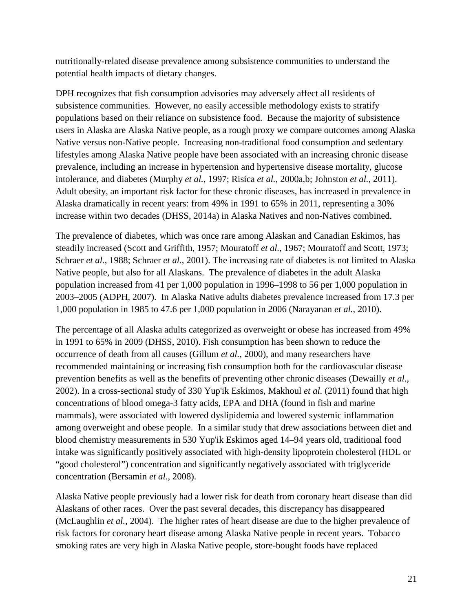nutritionally-related disease prevalence among subsistence communities to understand the potential health impacts of dietary changes.

DPH recognizes that fish consumption advisories may adversely affect all residents of subsistence communities. However, no easily accessible methodology exists to stratify populations based on their reliance on subsistence food. Because the majority of subsistence users in Alaska are Alaska Native people, as a rough proxy we compare outcomes among Alaska Native versus non-Native people. Increasing non-traditional food consumption and sedentary lifestyles among Alaska Native people have been associated with an increasing chronic disease prevalence, including an increase in hypertension and hypertensive disease mortality, glucose intolerance, and diabetes (Murphy *et al.*, 1997; Risica *et al.*, 2000a,b; Johnston *et al.*, 2011). Adult obesity, an important risk factor for these chronic diseases, has increased in prevalence in Alaska dramatically in recent years: from 49% in 1991 to 65% in 2011, representing a 30% increase within two decades (DHSS, 2014a) in Alaska Natives and non-Natives combined.

The prevalence of diabetes, which was once rare among Alaskan and Canadian Eskimos, has steadily increased (Scott and Griffith, 1957; Mouratoff *et al.*, 1967; Mouratoff and Scott, 1973; Schraer *et al.*, 1988; Schraer *et al.*, 2001). The increasing rate of diabetes is not limited to Alaska Native people, but also for all Alaskans. The prevalence of diabetes in the adult Alaska population increased from 41 per 1,000 population in 1996–1998 to 56 per 1,000 population in 2003–2005 (ADPH, 2007). In Alaska Native adults diabetes prevalence increased from 17.3 per 1,000 population in 1985 to 47.6 per 1,000 population in 2006 (Narayanan *et al.*, 2010).

The percentage of all Alaska adults categorized as overweight or obese has increased from 49% in 1991 to 65% in 2009 (DHSS, 2010). Fish consumption has been shown to reduce the occurrence of death from all causes (Gillum *et al.*, 2000), and many researchers have recommended maintaining or increasing fish consumption both for the cardiovascular disease prevention benefits as well as the benefits of preventing other chronic diseases (Dewailly *et al.*, 2002). In a cross-sectional study of 330 Yup'ik Eskimos, Makhoul *et al.* (2011) found that high concentrations of blood omega-3 fatty acids, EPA and DHA (found in fish and marine mammals), were associated with lowered dyslipidemia and lowered systemic inflammation among overweight and obese people. In a similar study that drew associations between diet and blood chemistry measurements in 530 Yup'ik Eskimos aged 14–94 years old, traditional food intake was significantly positively associated with high-density lipoprotein cholesterol (HDL or "good cholesterol") concentration and significantly negatively associated with triglyceride concentration (Bersamin *et al.*, 2008).

Alaska Native people previously had a lower risk for death from coronary heart disease than did Alaskans of other races. Over the past several decades, this discrepancy has disappeared (McLaughlin *et al.*, 2004). The higher rates of heart disease are due to the higher prevalence of risk factors for coronary heart disease among Alaska Native people in recent years. Tobacco smoking rates are very high in Alaska Native people, store-bought foods have replaced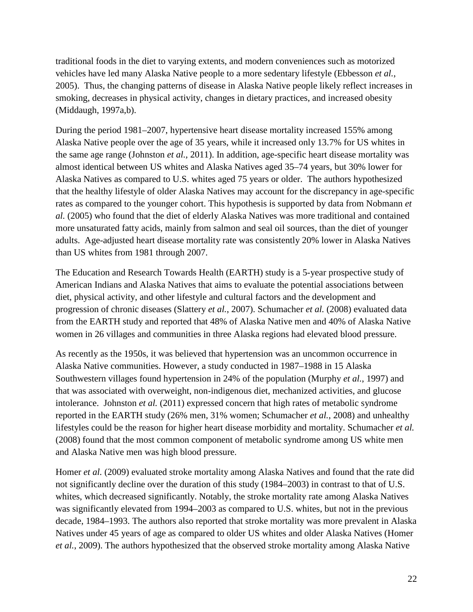traditional foods in the diet to varying extents, and modern conveniences such as motorized vehicles have led many Alaska Native people to a more sedentary lifestyle (Ebbesson *et al.*, 2005). Thus, the changing patterns of disease in Alaska Native people likely reflect increases in smoking, decreases in physical activity, changes in dietary practices, and increased obesity (Middaugh, 1997a,b).

During the period 1981–2007, hypertensive heart disease mortality increased 155% among Alaska Native people over the age of 35 years, while it increased only 13.7% for US whites in the same age range (Johnston *et al.,* 2011). In addition, age-specific heart disease mortality was almost identical between US whites and Alaska Natives aged 35–74 years, but 30% lower for Alaska Natives as compared to U.S. whites aged 75 years or older. The authors hypothesized that the healthy lifestyle of older Alaska Natives may account for the discrepancy in age-specific rates as compared to the younger cohort. This hypothesis is supported by data from Nobmann *et al.* (2005) who found that the diet of elderly Alaska Natives was more traditional and contained more unsaturated fatty acids, mainly from salmon and seal oil sources, than the diet of younger adults. Age-adjusted heart disease mortality rate was consistently 20% lower in Alaska Natives than US whites from 1981 through 2007.

The Education and Research Towards Health (EARTH) study is a 5-year prospective study of American Indians and Alaska Natives that aims to evaluate the potential associations between diet, physical activity, and other lifestyle and cultural factors and the development and progression of chronic diseases (Slattery *et al.*, 2007). Schumacher *et al.* (2008) evaluated data from the EARTH study and reported that 48% of Alaska Native men and 40% of Alaska Native women in 26 villages and communities in three Alaska regions had elevated blood pressure.

As recently as the 1950s, it was believed that hypertension was an uncommon occurrence in Alaska Native communities. However, a study conducted in 1987–1988 in 15 Alaska Southwestern villages found hypertension in 24% of the population (Murphy *et al.*, 1997) and that was associated with overweight, non-indigenous diet, mechanized activities, and glucose intolerance. Johnston *et al.* (2011) expressed concern that high rates of metabolic syndrome reported in the EARTH study (26% men, 31% women; Schumacher *et al.*, 2008) and unhealthy lifestyles could be the reason for higher heart disease morbidity and mortality. Schumacher *et al.* (2008) found that the most common component of metabolic syndrome among US white men and Alaska Native men was high blood pressure.

Homer *et al.* (2009) evaluated stroke mortality among Alaska Natives and found that the rate did not significantly decline over the duration of this study (1984–2003) in contrast to that of U.S. whites, which decreased significantly. Notably, the stroke mortality rate among Alaska Natives was significantly elevated from 1994–2003 as compared to U.S. whites, but not in the previous decade, 1984–1993. The authors also reported that stroke mortality was more prevalent in Alaska Natives under 45 years of age as compared to older US whites and older Alaska Natives (Homer *et al.*, 2009). The authors hypothesized that the observed stroke mortality among Alaska Native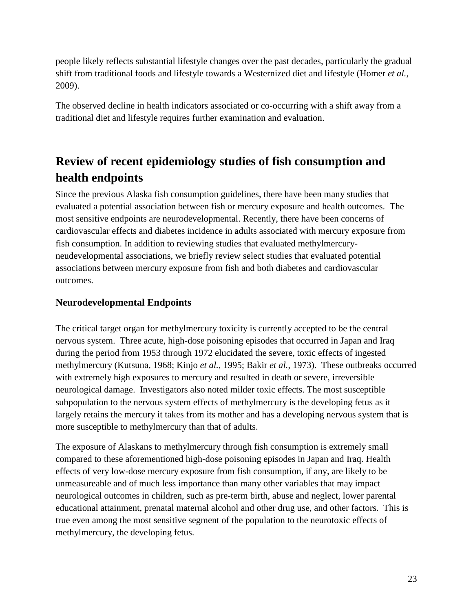people likely reflects substantial lifestyle changes over the past decades, particularly the gradual shift from traditional foods and lifestyle towards a Westernized diet and lifestyle (Homer *et al.*, 2009).

The observed decline in health indicators associated or co-occurring with a shift away from a traditional diet and lifestyle requires further examination and evaluation.

# <span id="page-22-0"></span>**Review of recent epidemiology studies of fish consumption and health endpoints**

Since the previous Alaska fish consumption guidelines, there have been many studies that evaluated a potential association between fish or mercury exposure and health outcomes. The most sensitive endpoints are neurodevelopmental. Recently, there have been concerns of cardiovascular effects and diabetes incidence in adults associated with mercury exposure from fish consumption. In addition to reviewing studies that evaluated methylmercuryneudevelopmental associations, we briefly review select studies that evaluated potential associations between mercury exposure from fish and both diabetes and cardiovascular outcomes.

## <span id="page-22-1"></span>**Neurodevelopmental Endpoints**

The critical target organ for methylmercury toxicity is currently accepted to be the central nervous system. Three acute, high-dose poisoning episodes that occurred in Japan and Iraq during the period from 1953 through 1972 elucidated the severe, toxic effects of ingested methylmercury (Kutsuna, 1968; Kinjo *et al.*, 1995; Bakir *et al.*, 1973). These outbreaks occurred with extremely high exposures to mercury and resulted in death or severe, irreversible neurological damage. Investigators also noted milder toxic effects. The most susceptible subpopulation to the nervous system effects of methylmercury is the developing fetus as it largely retains the mercury it takes from its mother and has a developing nervous system that is more susceptible to methylmercury than that of adults.

The exposure of Alaskans to methylmercury through fish consumption is extremely small compared to these aforementioned high-dose poisoning episodes in Japan and Iraq. Health effects of very low-dose mercury exposure from fish consumption, if any, are likely to be unmeasureable and of much less importance than many other variables that may impact neurological outcomes in children, such as pre-term birth, abuse and neglect, lower parental educational attainment, prenatal maternal alcohol and other drug use, and other factors. This is true even among the most sensitive segment of the population to the neurotoxic effects of methylmercury, the developing fetus.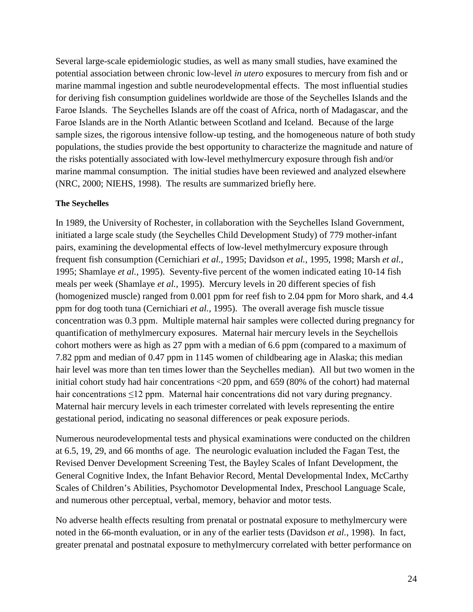Several large-scale epidemiologic studies, as well as many small studies, have examined the potential association between chronic low-level *in utero* exposures to mercury from fish and or marine mammal ingestion and subtle neurodevelopmental effects. The most influential studies for deriving fish consumption guidelines worldwide are those of the Seychelles Islands and the Faroe Islands. The Seychelles Islands are off the coast of Africa, north of Madagascar, and the Faroe Islands are in the North Atlantic between Scotland and Iceland. Because of the large sample sizes, the rigorous intensive follow-up testing, and the homogeneous nature of both study populations, the studies provide the best opportunity to characterize the magnitude and nature of the risks potentially associated with low-level methylmercury exposure through fish and/or marine mammal consumption. The initial studies have been reviewed and analyzed elsewhere (NRC, 2000; NIEHS, 1998). The results are summarized briefly here.

#### **The Seychelles**

In 1989, the University of Rochester, in collaboration with the Seychelles Island Government, initiated a large scale study (the Seychelles Child Development Study) of 779 mother-infant pairs, examining the developmental effects of low-level methylmercury exposure through frequent fish consumption (Cernichiari *et al.*, 1995; Davidson *et al.*, 1995, 1998; Marsh *et al.*, 1995; Shamlaye *et al.*, 1995). Seventy-five percent of the women indicated eating 10-14 fish meals per week (Shamlaye *et al.*, 1995). Mercury levels in 20 different species of fish (homogenized muscle) ranged from 0.001 ppm for reef fish to 2.04 ppm for Moro shark, and 4.4 ppm for dog tooth tuna (Cernichiari *et al.*, 1995). The overall average fish muscle tissue concentration was 0.3 ppm. Multiple maternal hair samples were collected during pregnancy for quantification of methylmercury exposures. Maternal hair mercury levels in the Seychellois cohort mothers were as high as 27 ppm with a median of 6.6 ppm (compared to a maximum of 7.82 ppm and median of 0.47 ppm in 1145 women of childbearing age in Alaska; this median hair level was more than ten times lower than the Seychelles median). All but two women in the initial cohort study had hair concentrations ˂20 ppm, and 659 (80% of the cohort) had maternal hair concentrations ≤12 ppm. Maternal hair concentrations did not vary during pregnancy. Maternal hair mercury levels in each trimester correlated with levels representing the entire gestational period, indicating no seasonal differences or peak exposure periods.

Numerous neurodevelopmental tests and physical examinations were conducted on the children at 6.5, 19, 29, and 66 months of age. The neurologic evaluation included the Fagan Test, the Revised Denver Development Screening Test, the Bayley Scales of Infant Development, the General Cognitive Index, the Infant Behavior Record, Mental Developmental Index, McCarthy Scales of Children's Abilities, Psychomotor Developmental Index, Preschool Language Scale, and numerous other perceptual, verbal, memory, behavior and motor tests.

No adverse health effects resulting from prenatal or postnatal exposure to methylmercury were noted in the 66-month evaluation, or in any of the earlier tests (Davidson *et al.*, 1998). In fact, greater prenatal and postnatal exposure to methylmercury correlated with better performance on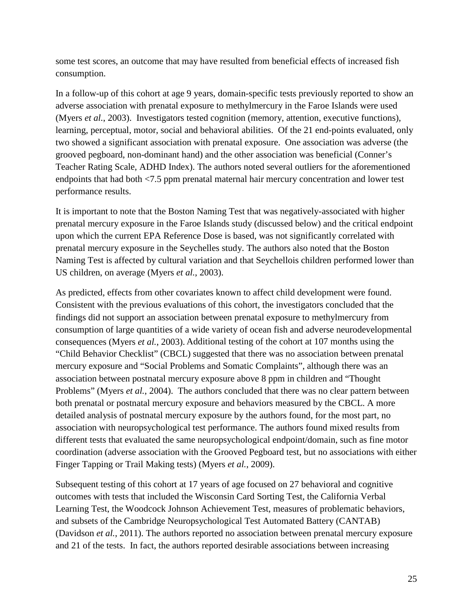some test scores, an outcome that may have resulted from beneficial effects of increased fish consumption.

In a follow-up of this cohort at age 9 years, domain-specific tests previously reported to show an adverse association with prenatal exposure to methylmercury in the Faroe Islands were used (Myers *et al.*, 2003). Investigators tested cognition (memory, attention, executive functions), learning, perceptual, motor, social and behavioral abilities. Of the 21 end-points evaluated, only two showed a significant association with prenatal exposure. One association was adverse (the grooved pegboard, non-dominant hand) and the other association was beneficial (Conner's Teacher Rating Scale, ADHD Index). The authors noted several outliers for the aforementioned endpoints that had both <7.5 ppm prenatal maternal hair mercury concentration and lower test performance results.

It is important to note that the Boston Naming Test that was negatively-associated with higher prenatal mercury exposure in the Faroe Islands study (discussed below) and the critical endpoint upon which the current EPA Reference Dose is based, was not significantly correlated with prenatal mercury exposure in the Seychelles study. The authors also noted that the Boston Naming Test is affected by cultural variation and that Seychellois children performed lower than US children, on average (Myers *et al.*, 2003).

As predicted, effects from other covariates known to affect child development were found. Consistent with the previous evaluations of this cohort, the investigators concluded that the findings did not support an association between prenatal exposure to methylmercury from consumption of large quantities of a wide variety of ocean fish and adverse neurodevelopmental consequences (Myers *et al.*, 2003). Additional testing of the cohort at 107 months using the "Child Behavior Checklist" (CBCL) suggested that there was no association between prenatal mercury exposure and "Social Problems and Somatic Complaints", although there was an association between postnatal mercury exposure above 8 ppm in children and "Thought Problems" (Myers *et al.*, 2004). The authors concluded that there was no clear pattern between both prenatal or postnatal mercury exposure and behaviors measured by the CBCL. A more detailed analysis of postnatal mercury exposure by the authors found, for the most part, no association with neuropsychological test performance. The authors found mixed results from different tests that evaluated the same neuropsychological endpoint/domain, such as fine motor coordination (adverse association with the Grooved Pegboard test, but no associations with either Finger Tapping or Trail Making tests) (Myers *et al.*, 2009).

Subsequent testing of this cohort at 17 years of age focused on 27 behavioral and cognitive outcomes with tests that included the Wisconsin Card Sorting Test, the California Verbal Learning Test, the Woodcock Johnson Achievement Test, measures of problematic behaviors, and subsets of the Cambridge Neuropsychological Test Automated Battery (CANTAB) (Davidson *et al.*, 2011). The authors reported no association between prenatal mercury exposure and 21 of the tests. In fact, the authors reported desirable associations between increasing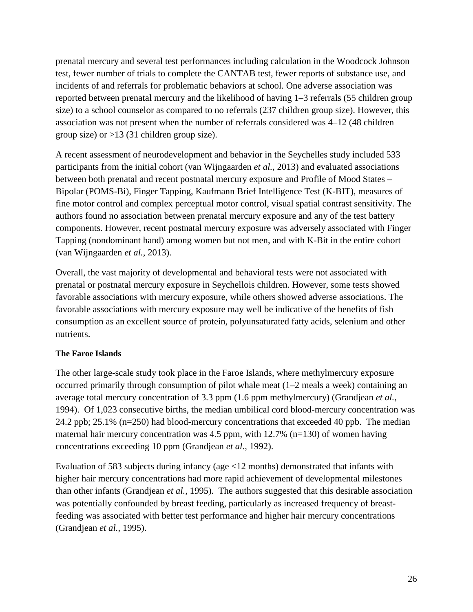prenatal mercury and several test performances including calculation in the Woodcock Johnson test, fewer number of trials to complete the CANTAB test, fewer reports of substance use, and incidents of and referrals for problematic behaviors at school. One adverse association was reported between prenatal mercury and the likelihood of having 1–3 referrals (55 children group size) to a school counselor as compared to no referrals (237 children group size). However, this association was not present when the number of referrals considered was 4–12 (48 children group size) or >13 (31 children group size).

A recent assessment of neurodevelopment and behavior in the Seychelles study included 533 participants from the initial cohort (van Wijngaarden *et al.*, 2013) and evaluated associations between both prenatal and recent postnatal mercury exposure and Profile of Mood States – Bipolar (POMS-Bi), Finger Tapping, Kaufmann Brief Intelligence Test (K-BIT), measures of fine motor control and complex perceptual motor control, visual spatial contrast sensitivity. The authors found no association between prenatal mercury exposure and any of the test battery components. However, recent postnatal mercury exposure was adversely associated with Finger Tapping (nondominant hand) among women but not men, and with K-Bit in the entire cohort (van Wijngaarden *et al.*, 2013).

Overall, the vast majority of developmental and behavioral tests were not associated with prenatal or postnatal mercury exposure in Seychellois children. However, some tests showed favorable associations with mercury exposure, while others showed adverse associations. The favorable associations with mercury exposure may well be indicative of the benefits of fish consumption as an excellent source of protein, polyunsaturated fatty acids, selenium and other nutrients.

## **The Faroe Islands**

The other large-scale study took place in the Faroe Islands, where methylmercury exposure occurred primarily through consumption of pilot whale meat (1–2 meals a week) containing an average total mercury concentration of 3.3 ppm (1.6 ppm methylmercury) (Grandjean *et al.*, 1994). Of 1,023 consecutive births, the median umbilical cord blood-mercury concentration was 24.2 ppb; 25.1% (n=250) had blood-mercury concentrations that exceeded 40 ppb. The median maternal hair mercury concentration was  $4.5$  ppm, with  $12.7\%$  (n=130) of women having concentrations exceeding 10 ppm (Grandjean *et al.*, 1992).

Evaluation of 583 subjects during infancy (age <12 months) demonstrated that infants with higher hair mercury concentrations had more rapid achievement of developmental milestones than other infants (Grandjean *et al.*, 1995). The authors suggested that this desirable association was potentially confounded by breast feeding, particularly as increased frequency of breastfeeding was associated with better test performance and higher hair mercury concentrations (Grandjean *et al.*, 1995).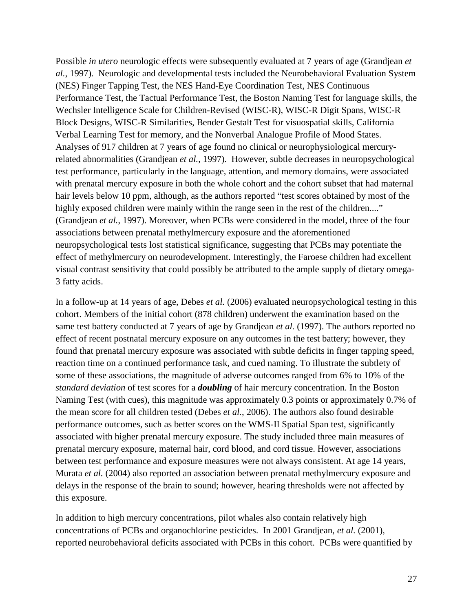Possible *in utero* neurologic effects were subsequently evaluated at 7 years of age (Grandjean *et al.*, 1997). Neurologic and developmental tests included the Neurobehavioral Evaluation System (NES) Finger Tapping Test, the NES Hand-Eye Coordination Test, NES Continuous Performance Test, the Tactual Performance Test, the Boston Naming Test for language skills, the Wechsler Intelligence Scale for Children-Revised (WISC-R), WISC-R Digit Spans, WISC-R Block Designs, WISC-R Similarities, Bender Gestalt Test for visuospatial skills, California Verbal Learning Test for memory, and the Nonverbal Analogue Profile of Mood States. Analyses of 917 children at 7 years of age found no clinical or neurophysiological mercuryrelated abnormalities (Grandjean *et al.*, 1997). However, subtle decreases in neuropsychological test performance, particularly in the language, attention, and memory domains, were associated with prenatal mercury exposure in both the whole cohort and the cohort subset that had maternal hair levels below 10 ppm, although, as the authors reported "test scores obtained by most of the highly exposed children were mainly within the range seen in the rest of the children...." (Grandjean *et al.*, 1997). Moreover, when PCBs were considered in the model, three of the four associations between prenatal methylmercury exposure and the aforementioned neuropsychological tests lost statistical significance, suggesting that PCBs may potentiate the effect of methylmercury on neurodevelopment. Interestingly, the Faroese children had excellent visual contrast sensitivity that could possibly be attributed to the ample supply of dietary omega-3 fatty acids.

In a follow-up at 14 years of age, Debes *et al.* (2006) evaluated neuropsychological testing in this cohort. Members of the initial cohort (878 children) underwent the examination based on the same test battery conducted at 7 years of age by Grandjean *et al.* (1997). The authors reported no effect of recent postnatal mercury exposure on any outcomes in the test battery; however, they found that prenatal mercury exposure was associated with subtle deficits in finger tapping speed, reaction time on a continued performance task, and cued naming. To illustrate the subtlety of some of these associations, the magnitude of adverse outcomes ranged from 6% to 10% of the *standard deviation* of test scores for a *doubling* of hair mercury concentration. In the Boston Naming Test (with cues), this magnitude was approximately 0.3 points or approximately 0.7% of the mean score for all children tested (Debes *et al.*, 2006). The authors also found desirable performance outcomes, such as better scores on the WMS-II Spatial Span test, significantly associated with higher prenatal mercury exposure. The study included three main measures of prenatal mercury exposure, maternal hair, cord blood, and cord tissue. However, associations between test performance and exposure measures were not always consistent. At age 14 years, Murata *et al.* (2004) also reported an association between prenatal methylmercury exposure and delays in the response of the brain to sound; however, hearing thresholds were not affected by this exposure.

In addition to high mercury concentrations, pilot whales also contain relatively high concentrations of PCBs and organochlorine pesticides. In 2001 Grandjean, *et al.* (2001), reported neurobehavioral deficits associated with PCBs in this cohort. PCBs were quantified by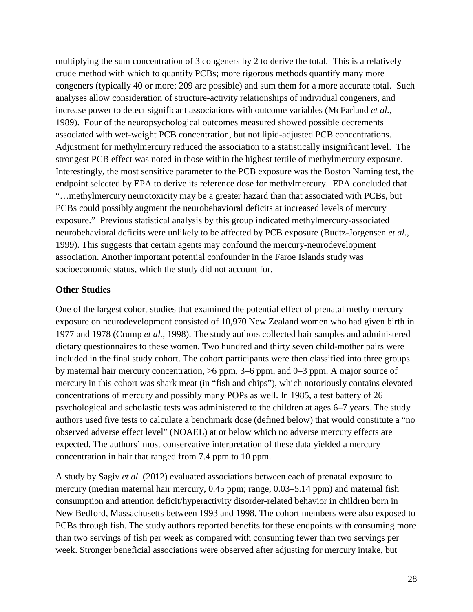multiplying the sum concentration of 3 congeners by 2 to derive the total. This is a relatively crude method with which to quantify PCBs; more rigorous methods quantify many more congeners (typically 40 or more; 209 are possible) and sum them for a more accurate total. Such analyses allow consideration of structure-activity relationships of individual congeners, and increase power to detect significant associations with outcome variables (McFarland *et al.*, 1989). Four of the neuropsychological outcomes measured showed possible decrements associated with wet-weight PCB concentration, but not lipid-adjusted PCB concentrations. Adjustment for methylmercury reduced the association to a statistically insignificant level. The strongest PCB effect was noted in those within the highest tertile of methylmercury exposure. Interestingly, the most sensitive parameter to the PCB exposure was the Boston Naming test, the endpoint selected by EPA to derive its reference dose for methylmercury. EPA concluded that "…methylmercury neurotoxicity may be a greater hazard than that associated with PCBs, but PCBs could possibly augment the neurobehavioral deficits at increased levels of mercury exposure." Previous statistical analysis by this group indicated methylmercury-associated neurobehavioral deficits were unlikely to be affected by PCB exposure (Budtz-Jorgensen *et al.*, 1999). This suggests that certain agents may confound the mercury-neurodevelopment association. Another important potential confounder in the Faroe Islands study was socioeconomic status, which the study did not account for.

#### **Other Studies**

One of the largest cohort studies that examined the potential effect of prenatal methylmercury exposure on neurodevelopment consisted of 10,970 New Zealand women who had given birth in 1977 and 1978 (Crump *et al.*, 1998). The study authors collected hair samples and administered dietary questionnaires to these women. Two hundred and thirty seven child-mother pairs were included in the final study cohort. The cohort participants were then classified into three groups by maternal hair mercury concentration, >6 ppm, 3–6 ppm, and 0–3 ppm. A major source of mercury in this cohort was shark meat (in "fish and chips"), which notoriously contains elevated concentrations of mercury and possibly many POPs as well. In 1985, a test battery of 26 psychological and scholastic tests was administered to the children at ages 6–7 years. The study authors used five tests to calculate a benchmark dose (defined below) that would constitute a "no observed adverse effect level" (NOAEL) at or below which no adverse mercury effects are expected. The authors' most conservative interpretation of these data yielded a mercury concentration in hair that ranged from 7.4 ppm to 10 ppm.

A study by Sagiv *et al.* (2012) evaluated associations between each of prenatal exposure to mercury (median maternal hair mercury, 0.45 ppm; range, 0.03–5.14 ppm) and maternal fish consumption and attention deficit/hyperactivity disorder-related behavior in children born in New Bedford, Massachusetts between 1993 and 1998. The cohort members were also exposed to PCBs through fish. The study authors reported benefits for these endpoints with consuming more than two servings of fish per week as compared with consuming fewer than two servings per week. Stronger beneficial associations were observed after adjusting for mercury intake, but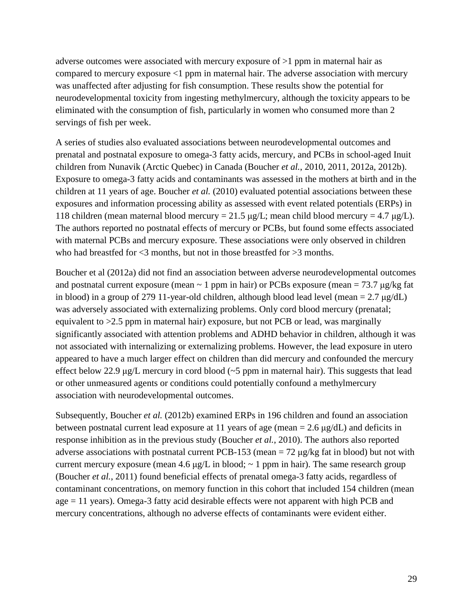adverse outcomes were associated with mercury exposure of >1 ppm in maternal hair as compared to mercury exposure <1 ppm in maternal hair. The adverse association with mercury was unaffected after adjusting for fish consumption. These results show the potential for neurodevelopmental toxicity from ingesting methylmercury, although the toxicity appears to be eliminated with the consumption of fish, particularly in women who consumed more than 2 servings of fish per week.

A series of studies also evaluated associations between neurodevelopmental outcomes and prenatal and postnatal exposure to omega-3 fatty acids, mercury, and PCBs in school-aged Inuit children from Nunavik (Arctic Quebec) in Canada (Boucher *et al.*, 2010, 2011, 2012a, 2012b). Exposure to omega-3 fatty acids and contaminants was assessed in the mothers at birth and in the children at 11 years of age. Boucher *et al.* (2010) evaluated potential associations between these exposures and information processing ability as assessed with event related potentials (ERPs) in 118 children (mean maternal blood mercury =  $21.5 \mu g/L$ ; mean child blood mercury =  $4.7 \mu g/L$ ). The authors reported no postnatal effects of mercury or PCBs, but found some effects associated with maternal PCBs and mercury exposure. These associations were only observed in children who had breastfed for  $\leq$ 3 months, but not in those breastfed for  $\geq$ 3 months.

Boucher et al (2012a) did not find an association between adverse neurodevelopmental outcomes and postnatal current exposure (mean  $\sim 1$  ppm in hair) or PCBs exposure (mean = 73.7 µg/kg fat in blood) in a group of 279 11-year-old children, although blood lead level (mean =  $2.7 \mu g/dL$ ) was adversely associated with externalizing problems. Only cord blood mercury (prenatal; equivalent to >2.5 ppm in maternal hair) exposure, but not PCB or lead, was marginally significantly associated with attention problems and ADHD behavior in children, although it was not associated with internalizing or externalizing problems. However, the lead exposure in utero appeared to have a much larger effect on children than did mercury and confounded the mercury effect below 22.9 μg/L mercury in cord blood  $(-5$  ppm in maternal hair). This suggests that lead or other unmeasured agents or conditions could potentially confound a methylmercury association with neurodevelopmental outcomes.

Subsequently, Boucher *et al.* (2012b) examined ERPs in 196 children and found an association between postnatal current lead exposure at 11 years of age (mean  $= 2.6 \mu g/dL$ ) and deficits in response inhibition as in the previous study (Boucher *et al.*, 2010). The authors also reported adverse associations with postnatal current PCB-153 (mean  $= 72 \mu g/kg$  fat in blood) but not with current mercury exposure (mean 4.6  $\mu$ g/L in blood;  $\sim$  1 ppm in hair). The same research group (Boucher *et al.*, 2011) found beneficial effects of prenatal omega-3 fatty acids, regardless of contaminant concentrations, on memory function in this cohort that included 154 children (mean age = 11 years). Omega-3 fatty acid desirable effects were not apparent with high PCB and mercury concentrations, although no adverse effects of contaminants were evident either.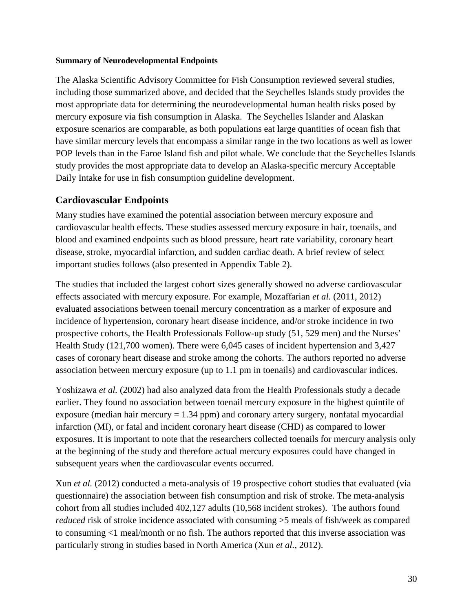#### **Summary of Neurodevelopmental Endpoints**

The Alaska Scientific Advisory Committee for Fish Consumption reviewed several studies, including those summarized above, and decided that the Seychelles Islands study provides the most appropriate data for determining the neurodevelopmental human health risks posed by mercury exposure via fish consumption in Alaska. The Seychelles Islander and Alaskan exposure scenarios are comparable, as both populations eat large quantities of ocean fish that have similar mercury levels that encompass a similar range in the two locations as well as lower POP levels than in the Faroe Island fish and pilot whale. We conclude that the Seychelles Islands study provides the most appropriate data to develop an Alaska-specific mercury Acceptable Daily Intake for use in fish consumption guideline development.

## <span id="page-29-0"></span>**Cardiovascular Endpoints**

Many studies have examined the potential association between mercury exposure and cardiovascular health effects. These studies assessed mercury exposure in hair, toenails, and blood and examined endpoints such as blood pressure, heart rate variability, coronary heart disease, stroke, myocardial infarction, and sudden cardiac death. A brief review of select important studies follows (also presented in Appendix Table 2).

The studies that included the largest cohort sizes generally showed no adverse cardiovascular effects associated with mercury exposure. For example, Mozaffarian *et al.* (2011, 2012) evaluated associations between toenail mercury concentration as a marker of exposure and incidence of hypertension, coronary heart disease incidence, and/or stroke incidence in two prospective cohorts, the Health Professionals Follow-up study (51, 529 men) and the Nurses' Health Study (121,700 women). There were 6,045 cases of incident hypertension and 3,427 cases of coronary heart disease and stroke among the cohorts. The authors reported no adverse association between mercury exposure (up to 1.1 pm in toenails) and cardiovascular indices.

Yoshizawa *et al.* (2002) had also analyzed data from the Health Professionals study a decade earlier. They found no association between toenail mercury exposure in the highest quintile of exposure (median hair mercury  $= 1.34$  ppm) and coronary artery surgery, nonfatal myocardial infarction (MI), or fatal and incident coronary heart disease (CHD) as compared to lower exposures. It is important to note that the researchers collected toenails for mercury analysis only at the beginning of the study and therefore actual mercury exposures could have changed in subsequent years when the cardiovascular events occurred.

Xun *et al.* (2012) conducted a meta-analysis of 19 prospective cohort studies that evaluated (via questionnaire) the association between fish consumption and risk of stroke. The meta-analysis cohort from all studies included 402,127 adults (10,568 incident strokes). The authors found *reduced* risk of stroke incidence associated with consuming  $>5$  meals of fish/week as compared to consuming <1 meal/month or no fish. The authors reported that this inverse association was particularly strong in studies based in North America (Xun *et al.*, 2012).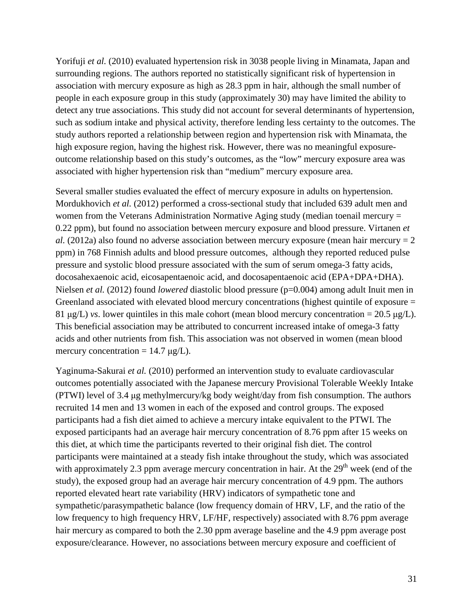Yorifuji *et al.* (2010) evaluated hypertension risk in 3038 people living in Minamata, Japan and surrounding regions. The authors reported no statistically significant risk of hypertension in association with mercury exposure as high as 28.3 ppm in hair, although the small number of people in each exposure group in this study (approximately 30) may have limited the ability to detect any true associations. This study did not account for several determinants of hypertension, such as sodium intake and physical activity, therefore lending less certainty to the outcomes. The study authors reported a relationship between region and hypertension risk with Minamata, the high exposure region, having the highest risk. However, there was no meaningful exposureoutcome relationship based on this study's outcomes, as the "low" mercury exposure area was associated with higher hypertension risk than "medium" mercury exposure area.

Several smaller studies evaluated the effect of mercury exposure in adults on hypertension. Mordukhovich *et al.* (2012) performed a cross-sectional study that included 639 adult men and women from the Veterans Administration Normative Aging study (median toenail mercury = 0.22 ppm), but found no association between mercury exposure and blood pressure. Virtanen *et al.* (2012a) also found no adverse association between mercury exposure (mean hair mercury  $= 2$ ppm) in 768 Finnish adults and blood pressure outcomes, although they reported reduced pulse pressure and systolic blood pressure associated with the sum of serum omega-3 fatty acids, docosahexaenoic acid, eicosapentaenoic acid, and docosapentaenoic acid (EPA+DPA+DHA). Nielsen *et al.* (2012) found *lowered* diastolic blood pressure (p=0.004) among adult Inuit men in Greenland associated with elevated blood mercury concentrations (highest quintile of exposure = 81 μg/L) *vs*. lower quintiles in this male cohort (mean blood mercury concentration = 20.5 μg/L). This beneficial association may be attributed to concurrent increased intake of omega-3 fatty acids and other nutrients from fish. This association was not observed in women (mean blood mercury concentration  $= 14.7 \mu g/L$ .

Yaginuma-Sakurai *et al.* (2010) performed an intervention study to evaluate cardiovascular outcomes potentially associated with the Japanese mercury Provisional Tolerable Weekly Intake (PTWI) level of 3.4 μg methylmercury/kg body weight/day from fish consumption. The authors recruited 14 men and 13 women in each of the exposed and control groups. The exposed participants had a fish diet aimed to achieve a mercury intake equivalent to the PTWI. The exposed participants had an average hair mercury concentration of 8.76 ppm after 15 weeks on this diet, at which time the participants reverted to their original fish diet. The control participants were maintained at a steady fish intake throughout the study, which was associated with approximately 2.3 ppm average mercury concentration in hair. At the  $29<sup>th</sup>$  week (end of the study), the exposed group had an average hair mercury concentration of 4.9 ppm. The authors reported elevated heart rate variability (HRV) indicators of sympathetic tone and sympathetic/parasympathetic balance (low frequency domain of HRV, LF, and the ratio of the low frequency to high frequency HRV, LF/HF, respectively) associated with 8.76 ppm average hair mercury as compared to both the 2.30 ppm average baseline and the 4.9 ppm average post exposure/clearance. However, no associations between mercury exposure and coefficient of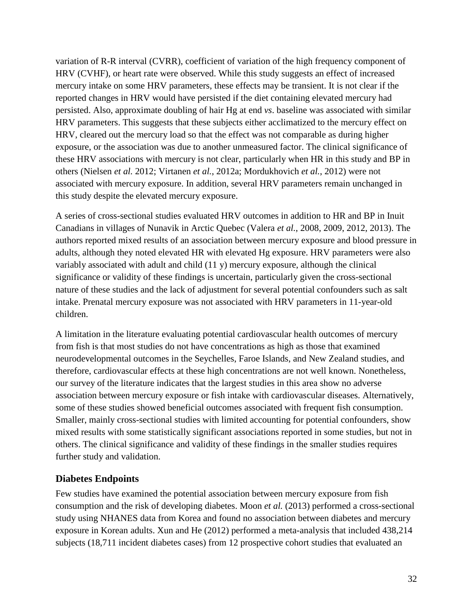variation of R-R interval (CVRR), coefficient of variation of the high frequency component of HRV (CVHF), or heart rate were observed. While this study suggests an effect of increased mercury intake on some HRV parameters, these effects may be transient. It is not clear if the reported changes in HRV would have persisted if the diet containing elevated mercury had persisted. Also, approximate doubling of hair Hg at end *vs*. baseline was associated with similar HRV parameters. This suggests that these subjects either acclimatized to the mercury effect on HRV, cleared out the mercury load so that the effect was not comparable as during higher exposure, or the association was due to another unmeasured factor. The clinical significance of these HRV associations with mercury is not clear, particularly when HR in this study and BP in others (Nielsen *et al.* 2012; Virtanen *et al.*, 2012a; Mordukhovich *et al.*, 2012) were not associated with mercury exposure. In addition, several HRV parameters remain unchanged in this study despite the elevated mercury exposure.

A series of cross-sectional studies evaluated HRV outcomes in addition to HR and BP in Inuit Canadians in villages of Nunavik in Arctic Quebec (Valera *et al.*, 2008, 2009, 2012, 2013). The authors reported mixed results of an association between mercury exposure and blood pressure in adults, although they noted elevated HR with elevated Hg exposure. HRV parameters were also variably associated with adult and child (11 y) mercury exposure, although the clinical significance or validity of these findings is uncertain, particularly given the cross-sectional nature of these studies and the lack of adjustment for several potential confounders such as salt intake. Prenatal mercury exposure was not associated with HRV parameters in 11-year-old children.

A limitation in the literature evaluating potential cardiovascular health outcomes of mercury from fish is that most studies do not have concentrations as high as those that examined neurodevelopmental outcomes in the Seychelles, Faroe Islands, and New Zealand studies, and therefore, cardiovascular effects at these high concentrations are not well known. Nonetheless, our survey of the literature indicates that the largest studies in this area show no adverse association between mercury exposure or fish intake with cardiovascular diseases. Alternatively, some of these studies showed beneficial outcomes associated with frequent fish consumption. Smaller, mainly cross-sectional studies with limited accounting for potential confounders, show mixed results with some statistically significant associations reported in some studies, but not in others. The clinical significance and validity of these findings in the smaller studies requires further study and validation.

## <span id="page-31-0"></span>**Diabetes Endpoints**

Few studies have examined the potential association between mercury exposure from fish consumption and the risk of developing diabetes. Moon *et al.* (2013) performed a cross-sectional study using NHANES data from Korea and found no association between diabetes and mercury exposure in Korean adults. Xun and He (2012) performed a meta-analysis that included 438,214 subjects (18,711 incident diabetes cases) from 12 prospective cohort studies that evaluated an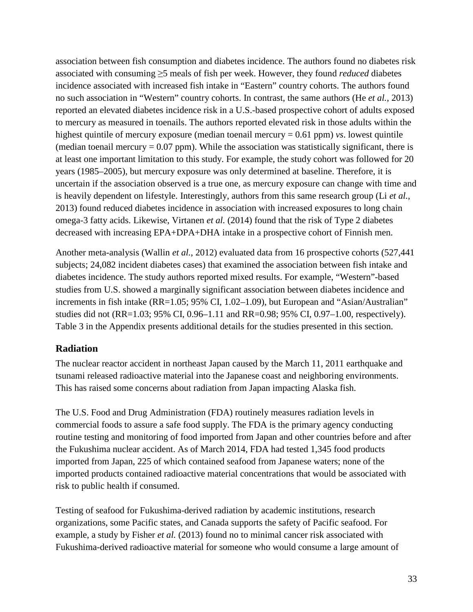association between fish consumption and diabetes incidence. The authors found no diabetes risk associated with consuming ≥5 meals of fish per week. However, they found *reduced* diabetes incidence associated with increased fish intake in "Eastern" country cohorts. The authors found no such association in "Western" country cohorts. In contrast, the same authors (He *et al.*, 2013) reported an elevated diabetes incidence risk in a U.S.-based prospective cohort of adults exposed to mercury as measured in toenails. The authors reported elevated risk in those adults within the highest quintile of mercury exposure (median toenail mercury = 0.61 ppm) *vs*. lowest quintile (median toenail mercury  $= 0.07$  ppm). While the association was statistically significant, there is at least one important limitation to this study. For example, the study cohort was followed for 20 years (1985–2005), but mercury exposure was only determined at baseline. Therefore, it is uncertain if the association observed is a true one, as mercury exposure can change with time and is heavily dependent on lifestyle. Interestingly, authors from this same research group (Li *et al.*, 2013) found reduced diabetes incidence in association with increased exposures to long chain omega-3 fatty acids. Likewise, Virtanen *et al.* (2014) found that the risk of Type 2 diabetes decreased with increasing EPA+DPA+DHA intake in a prospective cohort of Finnish men.

Another meta-analysis (Wallin *et al.*, 2012) evaluated data from 16 prospective cohorts (527,441 subjects; 24,082 incident diabetes cases) that examined the association between fish intake and diabetes incidence. The study authors reported mixed results. For example, "Western"-based studies from U.S. showed a marginally significant association between diabetes incidence and increments in fish intake (RR=1.05; 95% CI, 1.02–1.09), but European and "Asian/Australian" studies did not (RR=1.03; 95% CI, 0.96–1.11 and RR=0.98; 95% CI, 0.97–1.00, respectively). Table 3 in the Appendix presents additional details for the studies presented in this section.

## <span id="page-32-0"></span>**Radiation**

The nuclear reactor accident in northeast Japan caused by the March 11, 2011 earthquake and tsunami released radioactive material into the Japanese coast and neighboring environments. This has raised some concerns about radiation from Japan impacting Alaska fish.

The U.S. Food and Drug Administration (FDA) routinely measures radiation levels in commercial foods to assure a safe food supply. The FDA is the primary agency conducting routine testing and monitoring of food imported from Japan and other countries before and after the Fukushima nuclear accident. As of March 2014, FDA had tested 1,345 food products imported from Japan, 225 of which contained seafood from Japanese waters; none of the imported products contained radioactive material concentrations that would be associated with risk to public health if consumed.

Testing of seafood for Fukushima-derived radiation by academic institutions, research organizations, some Pacific states, and Canada supports the safety of Pacific seafood. For example, a study by Fisher *et al.* (2013) found no to minimal cancer risk associated with Fukushima-derived radioactive material for someone who would consume a large amount of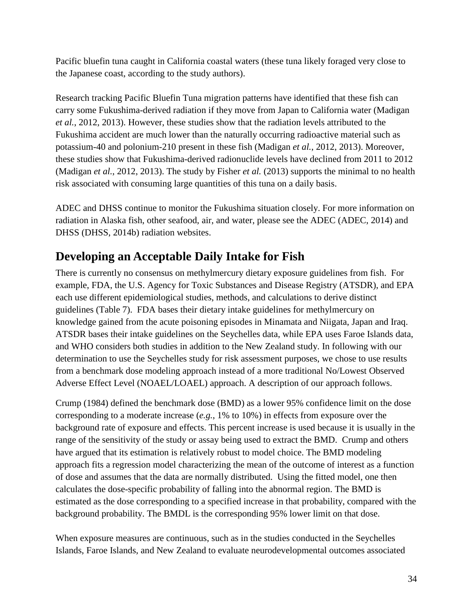Pacific bluefin tuna caught in California coastal waters (these tuna likely foraged very close to the Japanese coast, according to the study authors).

Research tracking Pacific Bluefin Tuna migration patterns have identified that these fish can carry some Fukushima-derived radiation if they move from Japan to California water (Madigan *et al.*, 2012, 2013). However, these studies show that the radiation levels attributed to the Fukushima accident are much lower than the naturally occurring radioactive material such as potassium-40 and polonium-210 present in these fish (Madigan *et al.*, 2012, 2013). Moreover, these studies show that Fukushima-derived radionuclide levels have declined from 2011 to 2012 (Madigan *et al.*, 2012, 2013). The study by Fisher *et al.* (2013) supports the minimal to no health risk associated with consuming large quantities of this tuna on a daily basis.

ADEC and DHSS continue to monitor the Fukushima situation closely. For more information on radiation in Alaska fish, other seafood, air, and water, please see the ADEC (ADEC, 2014) and DHSS (DHSS, 2014b) radiation websites.

# <span id="page-33-0"></span>**Developing an Acceptable Daily Intake for Fish**

There is currently no consensus on methylmercury dietary exposure guidelines from fish. For example, FDA, the U.S. Agency for Toxic Substances and Disease Registry (ATSDR), and EPA each use different epidemiological studies, methods, and calculations to derive distinct guidelines (Table 7). FDA bases their dietary intake guidelines for methylmercury on knowledge gained from the acute poisoning episodes in Minamata and Niigata, Japan and Iraq. ATSDR bases their intake guidelines on the Seychelles data, while EPA uses Faroe Islands data, and WHO considers both studies in addition to the New Zealand study. In following with our determination to use the Seychelles study for risk assessment purposes, we chose to use results from a benchmark dose modeling approach instead of a more traditional No/Lowest Observed Adverse Effect Level (NOAEL/LOAEL) approach. A description of our approach follows.

Crump (1984) defined the benchmark dose (BMD) as a lower 95% confidence limit on the dose corresponding to a moderate increase (*e.g.*, 1% to 10%) in effects from exposure over the background rate of exposure and effects. This percent increase is used because it is usually in the range of the sensitivity of the study or assay being used to extract the BMD. Crump and others have argued that its estimation is relatively robust to model choice. The BMD modeling approach fits a regression model characterizing the mean of the outcome of interest as a function of dose and assumes that the data are normally distributed. Using the fitted model, one then calculates the dose-specific probability of falling into the abnormal region. The BMD is estimated as the dose corresponding to a specified increase in that probability, compared with the background probability. The BMDL is the corresponding 95% lower limit on that dose.

When exposure measures are continuous, such as in the studies conducted in the Seychelles Islands, Faroe Islands, and New Zealand to evaluate neurodevelopmental outcomes associated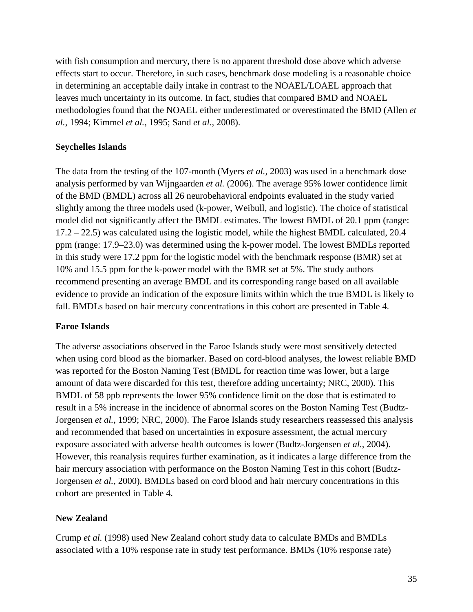with fish consumption and mercury, there is no apparent threshold dose above which adverse effects start to occur. Therefore, in such cases, benchmark dose modeling is a reasonable choice in determining an acceptable daily intake in contrast to the NOAEL/LOAEL approach that leaves much uncertainty in its outcome. In fact, studies that compared BMD and NOAEL methodologies found that the NOAEL either underestimated or overestimated the BMD (Allen *et al.*, 1994; Kimmel *et al.*, 1995; Sand *et al.*, 2008).

## **Seychelles Islands**

The data from the testing of the 107-month (Myers *et al.*, 2003) was used in a benchmark dose analysis performed by van Wijngaarden *et al.* (2006). The average 95% lower confidence limit of the BMD (BMDL) across all 26 neurobehavioral endpoints evaluated in the study varied slightly among the three models used (k-power, Weibull, and logistic). The choice of statistical model did not significantly affect the BMDL estimates. The lowest BMDL of 20.1 ppm (range: 17.2 – 22.5) was calculated using the logistic model, while the highest BMDL calculated, 20.4 ppm (range: 17.9–23.0) was determined using the k-power model. The lowest BMDLs reported in this study were 17.2 ppm for the logistic model with the benchmark response (BMR) set at 10% and 15.5 ppm for the k-power model with the BMR set at 5%. The study authors recommend presenting an average BMDL and its corresponding range based on all available evidence to provide an indication of the exposure limits within which the true BMDL is likely to fall. BMDLs based on hair mercury concentrations in this cohort are presented in Table 4.

#### **Faroe Islands**

The adverse associations observed in the Faroe Islands study were most sensitively detected when using cord blood as the biomarker. Based on cord-blood analyses, the lowest reliable BMD was reported for the Boston Naming Test (BMDL for reaction time was lower, but a large amount of data were discarded for this test, therefore adding uncertainty; NRC, 2000). This BMDL of 58 ppb represents the lower 95% confidence limit on the dose that is estimated to result in a 5% increase in the incidence of abnormal scores on the Boston Naming Test (Budtz-Jorgensen *et al.*, 1999; NRC, 2000). The Faroe Islands study researchers reassessed this analysis and recommended that based on uncertainties in exposure assessment, the actual mercury exposure associated with adverse health outcomes is lower (Budtz-Jorgensen *et al.*, 2004). However, this reanalysis requires further examination, as it indicates a large difference from the hair mercury association with performance on the Boston Naming Test in this cohort (Budtz-Jorgensen *et al.*, 2000). BMDLs based on cord blood and hair mercury concentrations in this cohort are presented in Table 4.

## **New Zealand**

Crump *et al.* (1998) used New Zealand cohort study data to calculate BMDs and BMDLs associated with a 10% response rate in study test performance. BMDs (10% response rate)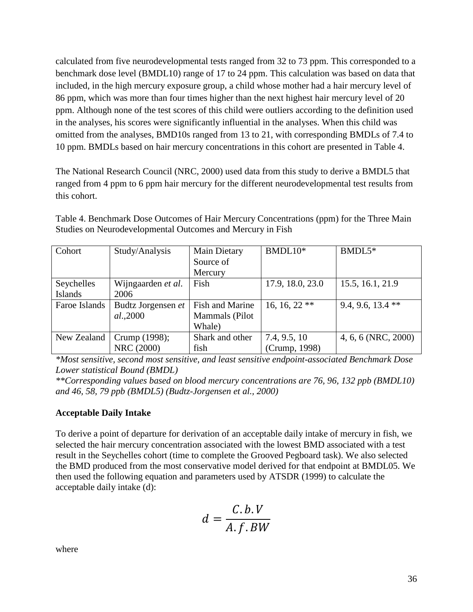calculated from five neurodevelopmental tests ranged from 32 to 73 ppm. This corresponded to a benchmark dose level (BMDL10) range of 17 to 24 ppm. This calculation was based on data that included, in the high mercury exposure group, a child whose mother had a hair mercury level of 86 ppm, which was more than four times higher than the next highest hair mercury level of 20 ppm. Although none of the test scores of this child were outliers according to the definition used in the analyses, his scores were significantly influential in the analyses. When this child was omitted from the analyses, BMD10s ranged from 13 to 21, with corresponding BMDLs of 7.4 to 10 ppm. BMDLs based on hair mercury concentrations in this cohort are presented in Table 4.

The National Research Council (NRC, 2000) used data from this study to derive a BMDL5 that ranged from 4 ppm to 6 ppm hair mercury for the different neurodevelopmental test results from this cohort.

| Cohort        | Study/Analysis     | <b>Main Dietary</b> | BMDL10*          | $BMDL5*$            |
|---------------|--------------------|---------------------|------------------|---------------------|
|               |                    | Source of           |                  |                     |
|               |                    | Mercury             |                  |                     |
| Seychelles    | Wijngaarden et al. | Fish                | 17.9, 18.0, 23.0 | 15.5, 16.1, 21.9    |
| Islands       | 2006               |                     |                  |                     |
| Faroe Islands | Budtz Jorgensen et | Fish and Marine     | 16, 16, 22 $**$  | 9.4, 9.6, 13.4 $**$ |
|               | al.,2000           | Mammals (Pilot      |                  |                     |
|               |                    | Whale)              |                  |                     |
| New Zealand   | Crump (1998);      | Shark and other     | 7.4, 9.5, 10     | 4, 6, 6 (NRC, 2000) |
|               | NRC (2000)         | fish                | (Crump, 1998)    |                     |

Table 4. Benchmark Dose Outcomes of Hair Mercury Concentrations (ppm) for the Three Main Studies on Neurodevelopmental Outcomes and Mercury in Fish

*\*Most sensitive, second most sensitive, and least sensitive endpoint-associated Benchmark Dose Lower statistical Bound (BMDL)*

*\*\*Corresponding values based on blood mercury concentrations are 76, 96, 132 ppb (BMDL10) and 46, 58, 79 ppb (BMDL5) (Budtz-Jorgensen et al., 2000)* 

## **Acceptable Daily Intake**

To derive a point of departure for derivation of an acceptable daily intake of mercury in fish, we selected the hair mercury concentration associated with the lowest BMD associated with a test result in the Seychelles cohort (time to complete the Grooved Pegboard task). We also selected the BMD produced from the most conservative model derived for that endpoint at BMDL05. We then used the following equation and parameters used by ATSDR (1999) to calculate the acceptable daily intake (d):

$$
d = \frac{C.b.V}{A.f.BW}
$$

where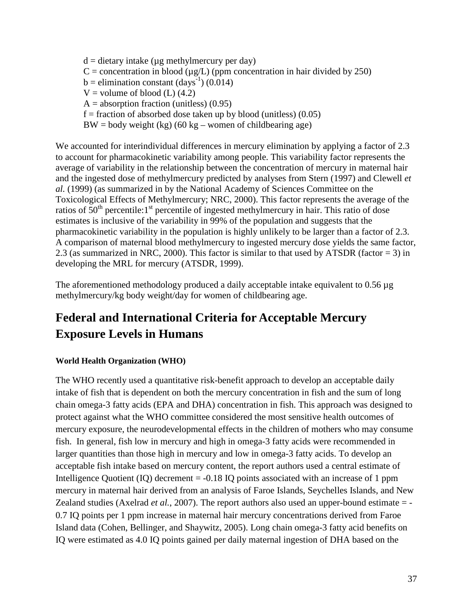$d =$  dietary intake ( $\mu$ g methylmercury per day)  $C =$  concentration in blood ( $\mu$ g/L) (ppm concentration in hair divided by 250)  $b =$  elimination constant (days<sup>-1</sup>) (0.014)  $V =$  volume of blood (L) (4.2)  $A =$  absorption fraction (unitless) (0.95)  $f =$  fraction of absorbed dose taken up by blood (unitless) (0.05)  $BW = body$  weight (kg) (60 kg – women of childbearing age)

We accounted for interindividual differences in mercury elimination by applying a factor of 2.3 to account for pharmacokinetic variability among people. This variability factor represents the average of variability in the relationship between the concentration of mercury in maternal hair and the ingested dose of methylmercury predicted by analyses from Stern (1997) and Clewell *et al.* (1999) (as summarized in by the National Academy of Sciences Committee on the Toxicological Effects of Methylmercury; NRC, 2000). This factor represents the average of the ratios of  $50<sup>th</sup>$  percentile:1<sup>st</sup> percentile of ingested methylmercury in hair. This ratio of dose estimates is inclusive of the variability in 99% of the population and suggests that the pharmacokinetic variability in the population is highly unlikely to be larger than a factor of 2.3. A comparison of maternal blood methylmercury to ingested mercury dose yields the same factor, 2.3 (as summarized in NRC, 2000). This factor is similar to that used by ATSDR (factor = 3) in developing the MRL for mercury (ATSDR, 1999).

The aforementioned methodology produced a daily acceptable intake equivalent to 0.56 µg methylmercury/kg body weight/day for women of childbearing age.

# **Federal and International Criteria for Acceptable Mercury Exposure Levels in Humans**

### **World Health Organization (WHO)**

The WHO recently used a quantitative risk-benefit approach to develop an acceptable daily intake of fish that is dependent on both the mercury concentration in fish and the sum of long chain omega-3 fatty acids (EPA and DHA) concentration in fish. This approach was designed to protect against what the WHO committee considered the most sensitive health outcomes of mercury exposure, the neurodevelopmental effects in the children of mothers who may consume fish. In general, fish low in mercury and high in omega-3 fatty acids were recommended in larger quantities than those high in mercury and low in omega-3 fatty acids. To develop an acceptable fish intake based on mercury content, the report authors used a central estimate of Intelligence Quotient  $(IQ)$  decrement = -0.18 IQ points associated with an increase of 1 ppm mercury in maternal hair derived from an analysis of Faroe Islands, Seychelles Islands, and New Zealand studies (Axelrad *et al.*, 2007). The report authors also used an upper-bound estimate = - 0.7 IQ points per 1 ppm increase in maternal hair mercury concentrations derived from Faroe Island data (Cohen, Bellinger, and Shaywitz, 2005). Long chain omega-3 fatty acid benefits on IQ were estimated as 4.0 IQ points gained per daily maternal ingestion of DHA based on the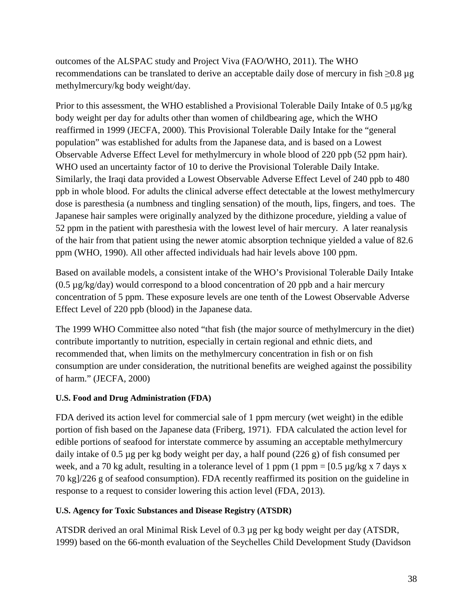outcomes of the ALSPAC study and Project Viva (FAO/WHO, 2011). The WHO recommendations can be translated to derive an acceptable daily dose of mercury in fish  $\geq 0.8 \mu$ g methylmercury/kg body weight/day.

Prior to this assessment, the WHO established a Provisional Tolerable Daily Intake of 0.5  $\mu$ g/kg body weight per day for adults other than women of childbearing age, which the WHO reaffirmed in 1999 (JECFA, 2000). This Provisional Tolerable Daily Intake for the "general population" was established for adults from the Japanese data, and is based on a Lowest Observable Adverse Effect Level for methylmercury in whole blood of 220 ppb (52 ppm hair). WHO used an uncertainty factor of 10 to derive the Provisional Tolerable Daily Intake. Similarly, the Iraqi data provided a Lowest Observable Adverse Effect Level of 240 ppb to 480 ppb in whole blood. For adults the clinical adverse effect detectable at the lowest methylmercury dose is paresthesia (a numbness and tingling sensation) of the mouth, lips, fingers, and toes. The Japanese hair samples were originally analyzed by the dithizone procedure, yielding a value of 52 ppm in the patient with paresthesia with the lowest level of hair mercury. A later reanalysis of the hair from that patient using the newer atomic absorption technique yielded a value of 82.6 ppm (WHO, 1990). All other affected individuals had hair levels above 100 ppm.

Based on available models, a consistent intake of the WHO's Provisional Tolerable Daily Intake  $(0.5 \mu g/kg/day)$  would correspond to a blood concentration of 20 ppb and a hair mercury concentration of 5 ppm. These exposure levels are one tenth of the Lowest Observable Adverse Effect Level of 220 ppb (blood) in the Japanese data.

The 1999 WHO Committee also noted "that fish (the major source of methylmercury in the diet) contribute importantly to nutrition, especially in certain regional and ethnic diets, and recommended that, when limits on the methylmercury concentration in fish or on fish consumption are under consideration, the nutritional benefits are weighed against the possibility of harm." (JECFA, 2000)

#### **U.S. Food and Drug Administration (FDA)**

FDA derived its action level for commercial sale of 1 ppm mercury (wet weight) in the edible portion of fish based on the Japanese data (Friberg, 1971). FDA calculated the action level for edible portions of seafood for interstate commerce by assuming an acceptable methylmercury daily intake of 0.5 µg per kg body weight per day, a half pound (226 g) of fish consumed per week, and a 70 kg adult, resulting in a tolerance level of 1 ppm (1 ppm =  $[0.5 \mu g/kg \times 7 \text{ days x}]$ 70 kg]/226 g of seafood consumption). FDA recently reaffirmed its position on the guideline in response to a request to consider lowering this action level (FDA, 2013).

#### **U.S. Agency for Toxic Substances and Disease Registry (ATSDR)**

ATSDR derived an oral Minimal Risk Level of 0.3 µg per kg body weight per day (ATSDR, 1999) based on the 66-month evaluation of the Seychelles Child Development Study (Davidson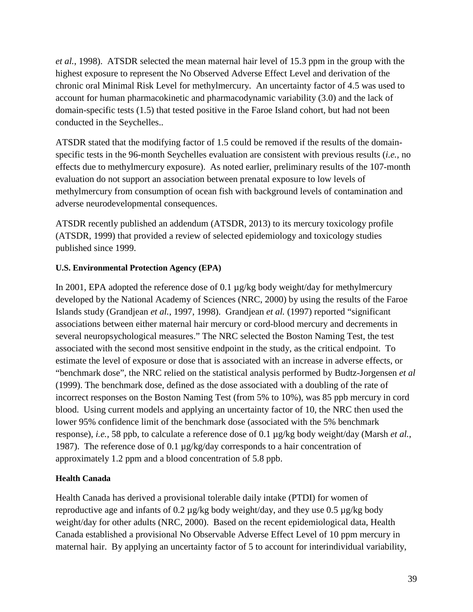*et al.*, 1998). ATSDR selected the mean maternal hair level of 15.3 ppm in the group with the highest exposure to represent the No Observed Adverse Effect Level and derivation of the chronic oral Minimal Risk Level for methylmercury. An uncertainty factor of 4.5 was used to account for human pharmacokinetic and pharmacodynamic variability (3.0) and the lack of domain-specific tests (1.5) that tested positive in the Faroe Island cohort, but had not been conducted in the Seychelles..

ATSDR stated that the modifying factor of 1.5 could be removed if the results of the domainspecific tests in the 96-month Seychelles evaluation are consistent with previous results (*i.e.*, no effects due to methylmercury exposure). As noted earlier, preliminary results of the 107-month evaluation do not support an association between prenatal exposure to low levels of methylmercury from consumption of ocean fish with background levels of contamination and adverse neurodevelopmental consequences.

ATSDR recently published an addendum (ATSDR, 2013) to its mercury toxicology profile (ATSDR, 1999) that provided a review of selected epidemiology and toxicology studies published since 1999.

### **U.S. Environmental Protection Agency (EPA)**

In 2001, EPA adopted the reference dose of 0.1 µg/kg body weight/day for methylmercury developed by the National Academy of Sciences (NRC, 2000) by using the results of the Faroe Islands study (Grandjean *et al.*, 1997, 1998). Grandjean *et al.* (1997) reported "significant associations between either maternal hair mercury or cord-blood mercury and decrements in several neuropsychological measures." The NRC selected the Boston Naming Test, the test associated with the second most sensitive endpoint in the study, as the critical endpoint. To estimate the level of exposure or dose that is associated with an increase in adverse effects, or "benchmark dose", the NRC relied on the statistical analysis performed by Budtz-Jorgensen *et al* (1999). The benchmark dose, defined as the dose associated with a doubling of the rate of incorrect responses on the Boston Naming Test (from 5% to 10%), was 85 ppb mercury in cord blood. Using current models and applying an uncertainty factor of 10, the NRC then used the lower 95% confidence limit of the benchmark dose (associated with the 5% benchmark response), *i.e.*, 58 ppb, to calculate a reference dose of 0.1 µg/kg body weight/day (Marsh *et al.*, 1987). The reference dose of 0.1 µg/kg/day corresponds to a hair concentration of approximately 1.2 ppm and a blood concentration of 5.8 ppb.

#### **Health Canada**

Health Canada has derived a provisional tolerable daily intake (PTDI) for women of reproductive age and infants of 0.2 µg/kg body weight/day, and they use 0.5 µg/kg body weight/day for other adults (NRC, 2000). Based on the recent epidemiological data, Health Canada established a provisional No Observable Adverse Effect Level of 10 ppm mercury in maternal hair. By applying an uncertainty factor of 5 to account for interindividual variability,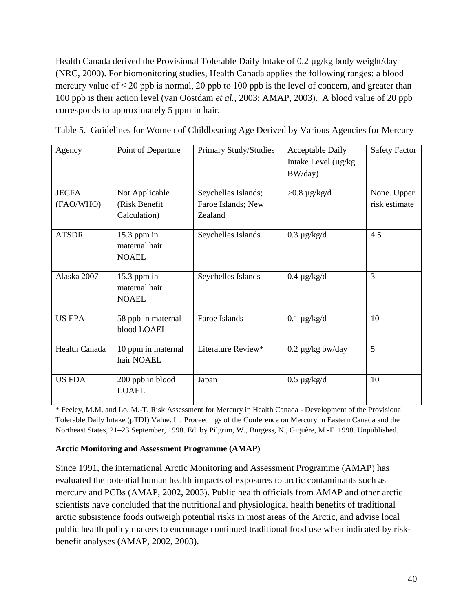Health Canada derived the Provisional Tolerable Daily Intake of  $0.2 \mu g/kg$  body weight/day (NRC, 2000). For biomonitoring studies, Health Canada applies the following ranges: a blood mercury value of  $\leq 20$  ppb is normal, 20 ppb to 100 ppb is the level of concern, and greater than 100 ppb is their action level (van Oostdam *et al.*, 2003; AMAP, 2003). A blood value of 20 ppb corresponds to approximately 5 ppm in hair.

| Table 5. Guidelines for Women of Childbearing Age Derived by Various Agencies for Mercury |  |  |  |
|-------------------------------------------------------------------------------------------|--|--|--|
|                                                                                           |  |  |  |
|                                                                                           |  |  |  |
|                                                                                           |  |  |  |

| Agency                    | Point of Departure                              | <b>Primary Study/Studies</b>                         | <b>Acceptable Daily</b><br>Intake Level (µg/kg<br>BW/day) | <b>Safety Factor</b>         |
|---------------------------|-------------------------------------------------|------------------------------------------------------|-----------------------------------------------------------|------------------------------|
| <b>JECFA</b><br>(FAO/WHO) | Not Applicable<br>(Risk Benefit<br>Calculation) | Seychelles Islands;<br>Faroe Islands; New<br>Zealand | $>0.8 \mu g/kg/d$                                         | None. Upper<br>risk estimate |
| <b>ATSDR</b>              | $15.3$ ppm in<br>maternal hair<br><b>NOAEL</b>  | Seychelles Islands                                   | $0.3 \mu g/kg/d$                                          | 4.5                          |
| Alaska 2007               | $15.3$ ppm in<br>maternal hair<br><b>NOAEL</b>  | Seychelles Islands                                   | $0.4 \mu g/kg/d$                                          | 3                            |
| <b>US EPA</b>             | 58 ppb in maternal<br>blood LOAEL               | Faroe Islands                                        | $0.1 \mu g/kg/d$                                          | 10                           |
| Health Canada             | 10 ppm in maternal<br>hair NOAEL                | Literature Review*                                   | $0.2 \mu g/kg$ bw/day                                     | 5                            |
| <b>US FDA</b>             | 200 ppb in blood<br><b>LOAEL</b>                | Japan                                                | $0.5 \mu g/kg/d$                                          | 10                           |

\* Feeley, M.M. and Lo, M.-T. Risk Assessment for Mercury in Health Canada - Development of the Provisional Tolerable Daily Intake (pTDI) Value. In: Proceedings of the Conference on Mercury in Eastern Canada and the Northeast States, 21–23 September, 1998. Ed. by Pilgrim, W., Burgess, N., Giguère, M.-F. 1998. Unpublished.

#### **Arctic Monitoring and Assessment Programme (AMAP)**

Since 1991, the international Arctic Monitoring and Assessment Programme (AMAP) has evaluated the potential human health impacts of exposures to arctic contaminants such as mercury and PCBs (AMAP, 2002, 2003). Public health officials from AMAP and other arctic scientists have concluded that the nutritional and physiological health benefits of traditional arctic subsistence foods outweigh potential risks in most areas of the Arctic, and advise local public health policy makers to encourage continued traditional food use when indicated by riskbenefit analyses (AMAP, 2002, 2003).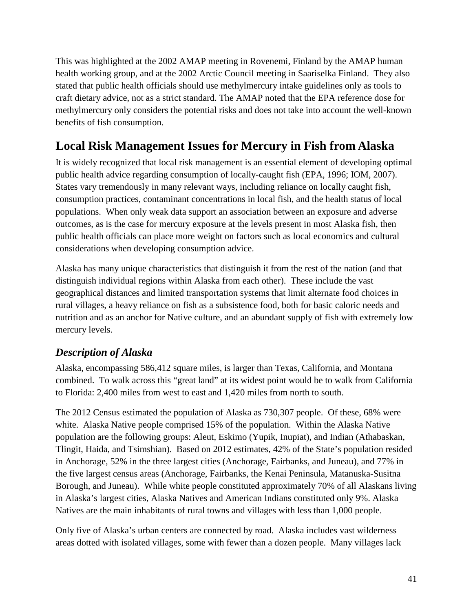This was highlighted at the 2002 AMAP meeting in Rovenemi, Finland by the AMAP human health working group, and at the 2002 Arctic Council meeting in Saariselka Finland. They also stated that public health officials should use methylmercury intake guidelines only as tools to craft dietary advice, not as a strict standard. The AMAP noted that the EPA reference dose for methylmercury only considers the potential risks and does not take into account the well-known benefits of fish consumption.

## **Local Risk Management Issues for Mercury in Fish from Alaska**

It is widely recognized that local risk management is an essential element of developing optimal public health advice regarding consumption of locally-caught fish (EPA, 1996; IOM, 2007). States vary tremendously in many relevant ways, including reliance on locally caught fish, consumption practices, contaminant concentrations in local fish, and the health status of local populations. When only weak data support an association between an exposure and adverse outcomes, as is the case for mercury exposure at the levels present in most Alaska fish, then public health officials can place more weight on factors such as local economics and cultural considerations when developing consumption advice.

Alaska has many unique characteristics that distinguish it from the rest of the nation (and that distinguish individual regions within Alaska from each other). These include the vast geographical distances and limited transportation systems that limit alternate food choices in rural villages, a heavy reliance on fish as a subsistence food, both for basic caloric needs and nutrition and as an anchor for Native culture, and an abundant supply of fish with extremely low mercury levels.

## *Description of Alaska*

Alaska, encompassing 586,412 square miles, is larger than Texas, California, and Montana combined. To walk across this "great land" at its widest point would be to walk from California to Florida: 2,400 miles from west to east and 1,420 miles from north to south.

The 2012 Census estimated the population of Alaska as 730,307 people. Of these, 68% were white. Alaska Native people comprised 15% of the population. Within the Alaska Native population are the following groups: Aleut, Eskimo (Yupik, Inupiat), and Indian (Athabaskan, Tlingit, Haida, and Tsimshian). Based on 2012 estimates, 42% of the State's population resided in Anchorage, 52% in the three largest cities (Anchorage, Fairbanks, and Juneau), and 77% in the five largest census areas (Anchorage, Fairbanks, the Kenai Peninsula, Matanuska-Susitna Borough, and Juneau). While white people constituted approximately 70% of all Alaskans living in Alaska's largest cities, Alaska Natives and American Indians constituted only 9%. Alaska Natives are the main inhabitants of rural towns and villages with less than 1,000 people.

Only five of Alaska's urban centers are connected by road. Alaska includes vast wilderness areas dotted with isolated villages, some with fewer than a dozen people. Many villages lack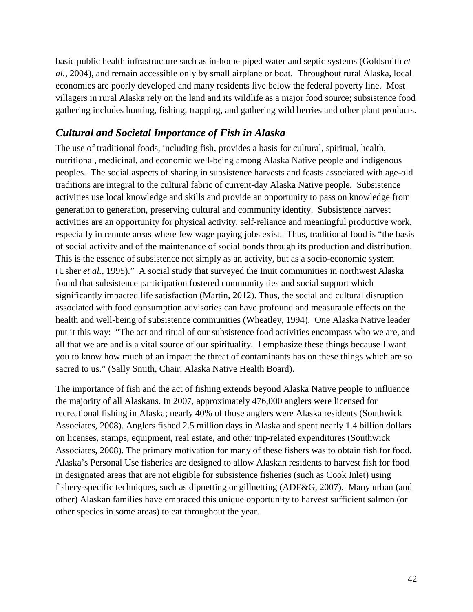basic public health infrastructure such as in-home piped water and septic systems (Goldsmith *et al.*, 2004), and remain accessible only by small airplane or boat. Throughout rural Alaska, local economies are poorly developed and many residents live below the federal poverty line. Most villagers in rural Alaska rely on the land and its wildlife as a major food source; subsistence food gathering includes hunting, fishing, trapping, and gathering wild berries and other plant products.

### *Cultural and Societal Importance of Fish in Alaska*

The use of traditional foods, including fish, provides a basis for cultural, spiritual, health, nutritional, medicinal, and economic well-being among Alaska Native people and indigenous peoples. The social aspects of sharing in subsistence harvests and feasts associated with age-old traditions are integral to the cultural fabric of current-day Alaska Native people. Subsistence activities use local knowledge and skills and provide an opportunity to pass on knowledge from generation to generation, preserving cultural and community identity. Subsistence harvest activities are an opportunity for physical activity, self-reliance and meaningful productive work, especially in remote areas where few wage paying jobs exist. Thus, traditional food is "the basis of social activity and of the maintenance of social bonds through its production and distribution. This is the essence of subsistence not simply as an activity, but as a socio-economic system (Usher *et al.*, 1995)." A social study that surveyed the Inuit communities in northwest Alaska found that subsistence participation fostered community ties and social support which significantly impacted life satisfaction (Martin, 2012). Thus, the social and cultural disruption associated with food consumption advisories can have profound and measurable effects on the health and well-being of subsistence communities (Wheatley, 1994). One Alaska Native leader put it this way: "The act and ritual of our subsistence food activities encompass who we are, and all that we are and is a vital source of our spirituality. I emphasize these things because I want you to know how much of an impact the threat of contaminants has on these things which are so sacred to us." (Sally Smith, Chair, Alaska Native Health Board).

The importance of fish and the act of fishing extends beyond Alaska Native people to influence the majority of all Alaskans. In 2007, approximately 476,000 anglers were licensed for recreational fishing in Alaska; nearly 40% of those anglers were Alaska residents (Southwick Associates, 2008). Anglers fished 2.5 million days in Alaska and spent nearly 1.4 billion dollars on licenses, stamps, equipment, real estate, and other trip-related expenditures (Southwick Associates, 2008). The primary motivation for many of these fishers was to obtain fish for food. Alaska's Personal Use fisheries are designed to allow Alaskan residents to harvest fish for food in designated areas that are not eligible for subsistence fisheries (such as Cook Inlet) using fishery-specific techniques, such as dipnetting or gillnetting (ADF&G, 2007). Many urban (and other) Alaskan families have embraced this unique opportunity to harvest sufficient salmon (or other species in some areas) to eat throughout the year.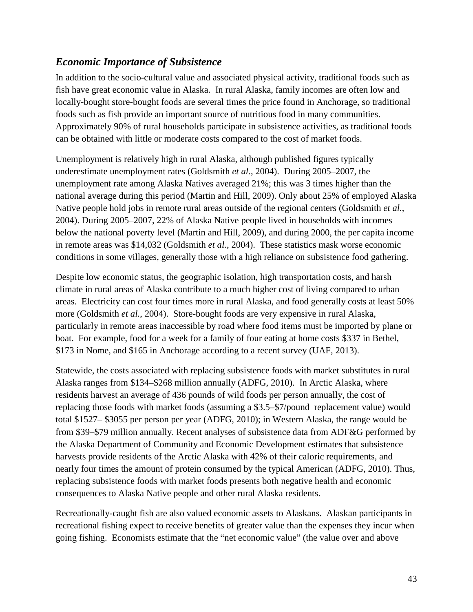### *Economic Importance of Subsistence*

In addition to the socio-cultural value and associated physical activity, traditional foods such as fish have great economic value in Alaska. In rural Alaska, family incomes are often low and locally-bought store-bought foods are several times the price found in Anchorage, so traditional foods such as fish provide an important source of nutritious food in many communities. Approximately 90% of rural households participate in subsistence activities, as traditional foods can be obtained with little or moderate costs compared to the cost of market foods.

Unemployment is relatively high in rural Alaska, although published figures typically underestimate unemployment rates (Goldsmith *et al.*, 2004). During 2005–2007, the unemployment rate among Alaska Natives averaged 21%; this was 3 times higher than the national average during this period (Martin and Hill, 2009). Only about 25% of employed Alaska Native people hold jobs in remote rural areas outside of the regional centers (Goldsmith *et al.*, 2004). During 2005–2007, 22% of Alaska Native people lived in households with incomes below the national poverty level (Martin and Hill, 2009), and during 2000, the per capita income in remote areas was \$14,032 (Goldsmith *et al.*, 2004). These statistics mask worse economic conditions in some villages, generally those with a high reliance on subsistence food gathering.

Despite low economic status, the geographic isolation, high transportation costs, and harsh climate in rural areas of Alaska contribute to a much higher cost of living compared to urban areas. Electricity can cost four times more in rural Alaska, and food generally costs at least 50% more (Goldsmith *et al.*, 2004). Store-bought foods are very expensive in rural Alaska, particularly in remote areas inaccessible by road where food items must be imported by plane or boat. For example, food for a week for a family of four eating at home costs \$337 in Bethel, \$173 in Nome, and \$165 in Anchorage according to a recent survey (UAF, 2013).

Statewide, the costs associated with replacing subsistence foods with market substitutes in rural Alaska ranges from \$134–\$268 million annually (ADFG, 2010). In Arctic Alaska, where residents harvest an average of 436 pounds of wild foods per person annually, the cost of replacing those foods with market foods (assuming a \$3.5–\$7/pound replacement value) would total \$1527– \$3055 per person per year (ADFG, 2010); in Western Alaska, the range would be from \$39–\$79 million annually. Recent analyses of subsistence data from ADF&G performed by the Alaska Department of Community and Economic Development estimates that subsistence harvests provide residents of the Arctic Alaska with 42% of their caloric requirements, and nearly four times the amount of protein consumed by the typical American (ADFG, 2010). Thus, replacing subsistence foods with market foods presents both negative health and economic consequences to Alaska Native people and other rural Alaska residents.

Recreationally-caught fish are also valued economic assets to Alaskans. Alaskan participants in recreational fishing expect to receive benefits of greater value than the expenses they incur when going fishing. Economists estimate that the "net economic value" (the value over and above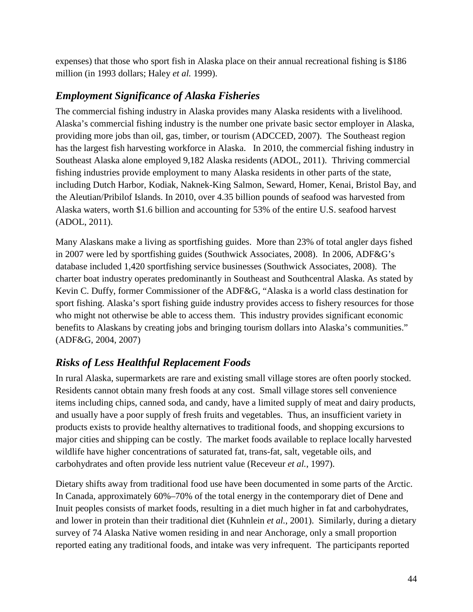expenses) that those who sport fish in Alaska place on their annual recreational fishing is \$186 million (in 1993 dollars; Haley *et al.* 1999).

## *Employment Significance of Alaska Fisheries*

The commercial fishing industry in Alaska provides many Alaska residents with a livelihood. Alaska's commercial fishing industry is the number one private basic sector employer in Alaska, providing more jobs than oil, gas, timber, or tourism (ADCCED, 2007). The Southeast region has the largest fish harvesting workforce in Alaska. In 2010, the commercial fishing industry in Southeast Alaska alone employed 9,182 Alaska residents (ADOL, 2011). Thriving commercial fishing industries provide employment to many Alaska residents in other parts of the state, including Dutch Harbor, Kodiak, Naknek-King Salmon, Seward, Homer, Kenai, Bristol Bay, and the Aleutian/Pribilof Islands. In 2010, over 4.35 billion pounds of seafood was harvested from Alaska waters, worth \$1.6 billion and accounting for 53% of the entire U.S. seafood harvest (ADOL, 2011).

Many Alaskans make a living as sportfishing guides. More than 23% of total angler days fished in 2007 were led by sportfishing guides (Southwick Associates, 2008). In 2006, ADF&G's database included 1,420 sportfishing service businesses (Southwick Associates, 2008). The charter boat industry operates predominantly in Southeast and Southcentral Alaska. As stated by Kevin C. Duffy, former Commissioner of the ADF&G, "Alaska is a world class destination for sport fishing. Alaska's sport fishing guide industry provides access to fishery resources for those who might not otherwise be able to access them. This industry provides significant economic benefits to Alaskans by creating jobs and bringing tourism dollars into Alaska's communities." (ADF&G, 2004, 2007)

## *Risks of Less Healthful Replacement Foods*

In rural Alaska, supermarkets are rare and existing small village stores are often poorly stocked. Residents cannot obtain many fresh foods at any cost. Small village stores sell convenience items including chips, canned soda, and candy, have a limited supply of meat and dairy products, and usually have a poor supply of fresh fruits and vegetables. Thus, an insufficient variety in products exists to provide healthy alternatives to traditional foods, and shopping excursions to major cities and shipping can be costly. The market foods available to replace locally harvested wildlife have higher concentrations of saturated fat, trans-fat, salt, vegetable oils, and carbohydrates and often provide less nutrient value (Receveur *et al.*, 1997).

Dietary shifts away from traditional food use have been documented in some parts of the Arctic. In Canada, approximately 60%–70% of the total energy in the contemporary diet of Dene and Inuit peoples consists of market foods, resulting in a diet much higher in fat and carbohydrates, and lower in protein than their traditional diet (Kuhnlein *et al.*, 2001). Similarly, during a dietary survey of 74 Alaska Native women residing in and near Anchorage, only a small proportion reported eating any traditional foods, and intake was very infrequent. The participants reported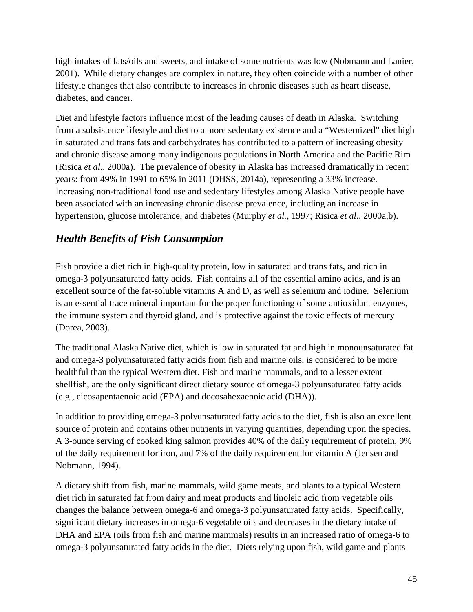high intakes of fats/oils and sweets, and intake of some nutrients was low (Nobmann and Lanier, 2001). While dietary changes are complex in nature, they often coincide with a number of other lifestyle changes that also contribute to increases in chronic diseases such as heart disease, diabetes, and cancer.

Diet and lifestyle factors influence most of the leading causes of death in Alaska. Switching from a subsistence lifestyle and diet to a more sedentary existence and a "Westernized" diet high in saturated and trans fats and carbohydrates has contributed to a pattern of increasing obesity and chronic disease among many indigenous populations in North America and the Pacific Rim (Risica *et al.*, 2000a). The prevalence of obesity in Alaska has increased dramatically in recent years: from 49% in 1991 to 65% in 2011 (DHSS, 2014a), representing a 33% increase. Increasing non-traditional food use and sedentary lifestyles among Alaska Native people have been associated with an increasing chronic disease prevalence, including an increase in hypertension, glucose intolerance, and diabetes (Murphy *et al.*, 1997; Risica *et al.*, 2000a,b).

## *Health Benefits of Fish Consumption*

Fish provide a diet rich in high-quality protein, low in saturated and trans fats, and rich in omega-3 polyunsaturated fatty acids. Fish contains all of the essential amino acids, and is an excellent source of the fat-soluble vitamins A and D, as well as selenium and iodine. Selenium is an essential trace mineral important for the proper functioning of some antioxidant enzymes, the immune system and thyroid gland, and is protective against the toxic effects of mercury (Dorea, 2003).

The traditional Alaska Native diet, which is low in saturated fat and high in monounsaturated fat and omega-3 polyunsaturated fatty acids from fish and marine oils, is considered to be more healthful than the typical Western diet. Fish and marine mammals, and to a lesser extent shellfish, are the only significant direct dietary source of omega-3 polyunsaturated fatty acids (e.g., eicosapentaenoic acid (EPA) and docosahexaenoic acid (DHA)).

In addition to providing omega-3 polyunsaturated fatty acids to the diet, fish is also an excellent source of protein and contains other nutrients in varying quantities, depending upon the species. A 3-ounce serving of cooked king salmon provides 40% of the daily requirement of protein, 9% of the daily requirement for iron, and 7% of the daily requirement for vitamin A (Jensen and Nobmann, 1994).

A dietary shift from fish, marine mammals, wild game meats, and plants to a typical Western diet rich in saturated fat from dairy and meat products and linoleic acid from vegetable oils changes the balance between omega-6 and omega-3 polyunsaturated fatty acids. Specifically, significant dietary increases in omega-6 vegetable oils and decreases in the dietary intake of DHA and EPA (oils from fish and marine mammals) results in an increased ratio of omega-6 to omega-3 polyunsaturated fatty acids in the diet. Diets relying upon fish, wild game and plants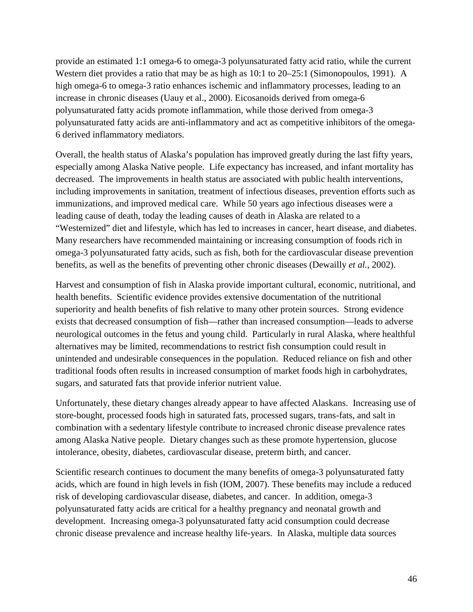provide an estimated 1:1 omega-6 to omega-3 polyunsaturated fatty acid ratio, while the current Western diet provides a ratio that may be as high as 10:1 to 20–25:1 (Simonopoulos, 1991). A high omega-6 to omega-3 ratio enhances ischemic and inflammatory processes, leading to an increase in chronic diseases (Uauy et al., 2000). Eicosanoids derived from omega-6 polyunsaturated fatty acids promote inflammation, while those derived from omega-3 polyunsaturated fatty acids are anti-inflammatory and act as competitive inhibitors of the omega-6 derived inflammatory mediators.

Overall, the health status of Alaska's population has improved greatly during the last fifty years, especially among Alaska Native people. Life expectancy has increased, and infant mortality has decreased. The improvements in health status are associated with public health interventions, including improvements in sanitation, treatment of infectious diseases, prevention efforts such as immunizations, and improved medical care. While 50 years ago infectious diseases were a leading cause of death, today the leading causes of death in Alaska are related to a "Westernized" diet and lifestyle, which has led to increases in cancer, heart disease, and diabetes. Many researchers have recommended maintaining or increasing consumption of foods rich in omega-3 polyunsaturated fatty acids, such as fish, both for the cardiovascular disease prevention benefits, as well as the benefits of preventing other chronic diseases (Dewailly *et al.*, 2002).

Harvest and consumption of fish in Alaska provide important cultural, economic, nutritional, and health benefits. Scientific evidence provides extensive documentation of the nutritional superiority and health benefits of fish relative to many other protein sources. Strong evidence exists that decreased consumption of fish—rather than increased consumption—leads to adverse neurological outcomes in the fetus and young child. Particularly in rural Alaska, where healthful alternatives may be limited, recommendations to restrict fish consumption could result in unintended and undesirable consequences in the population. Reduced reliance on fish and other traditional foods often results in increased consumption of market foods high in carbohydrates, sugars, and saturated fats that provide inferior nutrient value.

Unfortunately, these dietary changes already appear to have affected Alaskans. Increasing use of store-bought, processed foods high in saturated fats, processed sugars, trans-fats, and salt in combination with a sedentary lifestyle contribute to increased chronic disease prevalence rates among Alaska Native people. Dietary changes such as these promote hypertension, glucose intolerance, obesity, diabetes, cardiovascular disease, preterm birth, and cancer.

Scientific research continues to document the many benefits of omega-3 polyunsaturated fatty acids, which are found in high levels in fish (IOM, 2007). These benefits may include a reduced risk of developing cardiovascular disease, diabetes, and cancer. In addition, omega-3 polyunsaturated fatty acids are critical for a healthy pregnancy and neonatal growth and development. Increasing omega-3 polyunsaturated fatty acid consumption could decrease chronic disease prevalence and increase healthy life-years. In Alaska, multiple data sources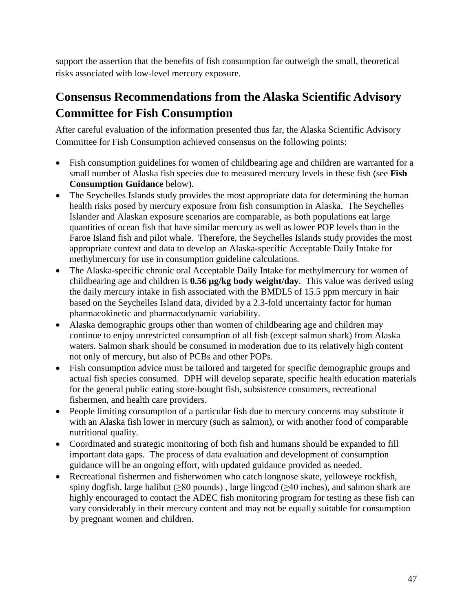support the assertion that the benefits of fish consumption far outweigh the small, theoretical risks associated with low-level mercury exposure.

# **Consensus Recommendations from the Alaska Scientific Advisory Committee for Fish Consumption**

After careful evaluation of the information presented thus far, the Alaska Scientific Advisory Committee for Fish Consumption achieved consensus on the following points:

- Fish consumption guidelines for women of childbearing age and children are warranted for a small number of Alaska fish species due to measured mercury levels in these fish (see **Fish Consumption Guidance** below).
- The Seychelles Islands study provides the most appropriate data for determining the human health risks posed by mercury exposure from fish consumption in Alaska. The Seychelles Islander and Alaskan exposure scenarios are comparable, as both populations eat large quantities of ocean fish that have similar mercury as well as lower POP levels than in the Faroe Island fish and pilot whale. Therefore, the Seychelles Islands study provides the most appropriate context and data to develop an Alaska-specific Acceptable Daily Intake for methylmercury for use in consumption guideline calculations.
- The Alaska-specific chronic oral Acceptable Daily Intake for methylmercury for women of childbearing age and children is **0.56 µg/kg body weight/day**. This value was derived using the daily mercury intake in fish associated with the BMDL5 of 15.5 ppm mercury in hair based on the Seychelles Island data, divided by a 2.3-fold uncertainty factor for human pharmacokinetic and pharmacodynamic variability.
- Alaska demographic groups other than women of childbearing age and children may continue to enjoy unrestricted consumption of all fish (except salmon shark) from Alaska waters. Salmon shark should be consumed in moderation due to its relatively high content not only of mercury, but also of PCBs and other POPs.
- Fish consumption advice must be tailored and targeted for specific demographic groups and actual fish species consumed. DPH will develop separate, specific health education materials for the general public eating store-bought fish, subsistence consumers, recreational fishermen, and health care providers.
- People limiting consumption of a particular fish due to mercury concerns may substitute it with an Alaska fish lower in mercury (such as salmon), or with another food of comparable nutritional quality.
- Coordinated and strategic monitoring of both fish and humans should be expanded to fill important data gaps. The process of data evaluation and development of consumption guidance will be an ongoing effort, with updated guidance provided as needed.
- Recreational fishermen and fisherwomen who catch longnose skate, yelloweye rockfish, spiny dogfish, large halibut ( $\geq 80$  pounds), large lingcod ( $\geq 40$  inches), and salmon shark are highly encouraged to contact the ADEC fish monitoring program for testing as these fish can vary considerably in their mercury content and may not be equally suitable for consumption by pregnant women and children.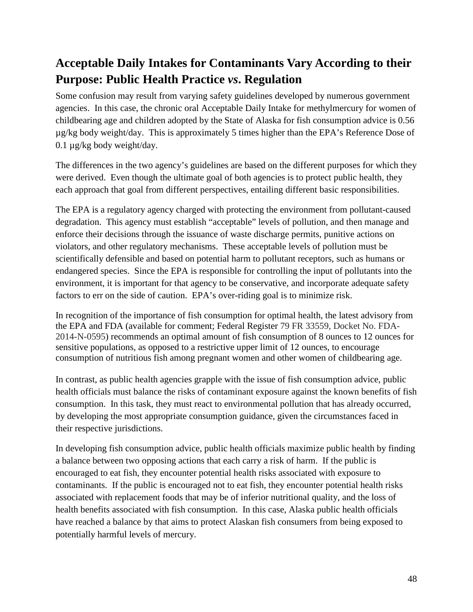# **Acceptable Daily Intakes for Contaminants Vary According to their Purpose: Public Health Practice** *vs***. Regulation**

Some confusion may result from varying safety guidelines developed by numerous government agencies. In this case, the chronic oral Acceptable Daily Intake for methylmercury for women of childbearing age and children adopted by the State of Alaska for fish consumption advice is 0.56 µg/kg body weight/day. This is approximately 5 times higher than the EPA's Reference Dose of 0.1 µg/kg body weight/day.

The differences in the two agency's guidelines are based on the different purposes for which they were derived. Even though the ultimate goal of both agencies is to protect public health, they each approach that goal from different perspectives, entailing different basic responsibilities.

The EPA is a regulatory agency charged with protecting the environment from pollutant-caused degradation. This agency must establish "acceptable" levels of pollution, and then manage and enforce their decisions through the issuance of waste discharge permits, punitive actions on violators, and other regulatory mechanisms. These acceptable levels of pollution must be scientifically defensible and based on potential harm to pollutant receptors, such as humans or endangered species. Since the EPA is responsible for controlling the input of pollutants into the environment, it is important for that agency to be conservative, and incorporate adequate safety factors to err on the side of caution. EPA's over-riding goal is to minimize risk.

In recognition of the importance of fish consumption for optimal health, the latest advisory from the EPA and FDA (available for comment; Federal Register 79 FR 33559, Docket No. FDA-2014-N-0595) recommends an optimal amount of fish consumption of 8 ounces to 12 ounces for sensitive populations, as opposed to a restrictive upper limit of 12 ounces, to encourage consumption of nutritious fish among pregnant women and other women of childbearing age.

In contrast, as public health agencies grapple with the issue of fish consumption advice, public health officials must balance the risks of contaminant exposure against the known benefits of fish consumption. In this task, they must react to environmental pollution that has already occurred, by developing the most appropriate consumption guidance, given the circumstances faced in their respective jurisdictions.

In developing fish consumption advice, public health officials maximize public health by finding a balance between two opposing actions that each carry a risk of harm. If the public is encouraged to eat fish, they encounter potential health risks associated with exposure to contaminants. If the public is encouraged not to eat fish, they encounter potential health risks associated with replacement foods that may be of inferior nutritional quality, and the loss of health benefits associated with fish consumption. In this case, Alaska public health officials have reached a balance by that aims to protect Alaskan fish consumers from being exposed to potentially harmful levels of mercury.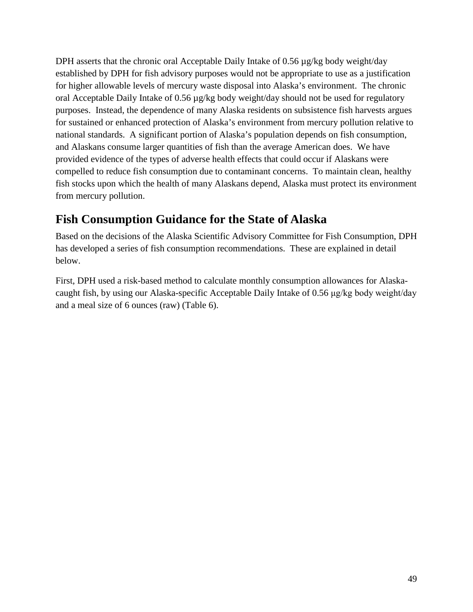DPH asserts that the chronic oral Acceptable Daily Intake of 0.56  $\mu$ g/kg body weight/day established by DPH for fish advisory purposes would not be appropriate to use as a justification for higher allowable levels of mercury waste disposal into Alaska's environment. The chronic oral Acceptable Daily Intake of 0.56 µg/kg body weight/day should not be used for regulatory purposes. Instead, the dependence of many Alaska residents on subsistence fish harvests argues for sustained or enhanced protection of Alaska's environment from mercury pollution relative to national standards. A significant portion of Alaska's population depends on fish consumption, and Alaskans consume larger quantities of fish than the average American does. We have provided evidence of the types of adverse health effects that could occur if Alaskans were compelled to reduce fish consumption due to contaminant concerns. To maintain clean, healthy fish stocks upon which the health of many Alaskans depend, Alaska must protect its environment from mercury pollution.

# **Fish Consumption Guidance for the State of Alaska**

Based on the decisions of the Alaska Scientific Advisory Committee for Fish Consumption, DPH has developed a series of fish consumption recommendations. These are explained in detail below.

First, DPH used a risk-based method to calculate monthly consumption allowances for Alaskacaught fish, by using our Alaska-specific Acceptable Daily Intake of 0.56 μg/kg body weight/day and a meal size of 6 ounces (raw) (Table 6).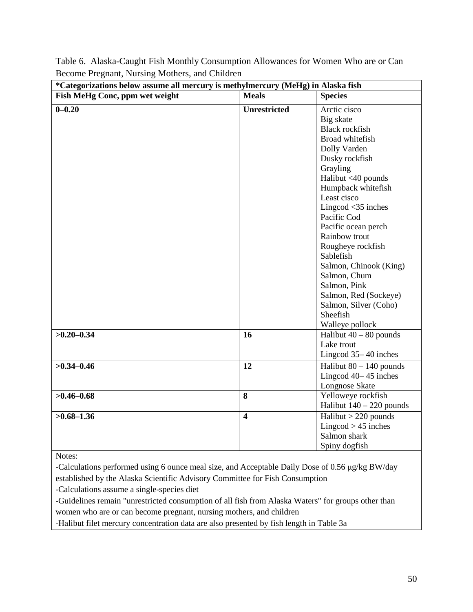| *Categorizations below assume all mercury is methylmercury (MeHg) in Alaska fish |                         |                                                                                                                                                                                                                                                                                                                                                                                                                                             |
|----------------------------------------------------------------------------------|-------------------------|---------------------------------------------------------------------------------------------------------------------------------------------------------------------------------------------------------------------------------------------------------------------------------------------------------------------------------------------------------------------------------------------------------------------------------------------|
| Fish MeHg Conc, ppm wet weight                                                   | <b>Meals</b>            | <b>Species</b>                                                                                                                                                                                                                                                                                                                                                                                                                              |
| $0 - 0.20$                                                                       | <b>Unrestricted</b>     | Arctic cisco<br>Big skate<br><b>Black rockfish</b><br>Broad whitefish<br>Dolly Varden<br>Dusky rockfish<br>Grayling<br>Halibut <40 pounds<br>Humpback whitefish<br>Least cisco<br>Lingcod $<$ 35 inches<br>Pacific Cod<br>Pacific ocean perch<br>Rainbow trout<br>Rougheye rockfish<br>Sablefish<br>Salmon, Chinook (King)<br>Salmon, Chum<br>Salmon, Pink<br>Salmon, Red (Sockeye)<br>Salmon, Silver (Coho)<br>Sheefish<br>Walleye pollock |
| $>0.20 - 0.34$                                                                   | 16                      | Halibut $40 - 80$ pounds<br>Lake trout<br>Lingcod 35-40 inches                                                                                                                                                                                                                                                                                                                                                                              |
| $>0.34 - 0.46$                                                                   | 12                      | Halibut $80 - 140$ pounds<br>Lingcod 40-45 inches<br>Longnose Skate                                                                                                                                                                                                                                                                                                                                                                         |
| $>0.46 - 0.68$                                                                   | 8                       | Yelloweye rockfish<br>Halibut $140 - 220$ pounds                                                                                                                                                                                                                                                                                                                                                                                            |
| $>0.68 - 1.36$                                                                   | $\overline{\mathbf{4}}$ | $Halibut > 220$ pounds<br>Lingcod $> 45$ inches<br>Salmon shark<br>Spiny dogfish                                                                                                                                                                                                                                                                                                                                                            |

Table 6. Alaska-Caught Fish Monthly Consumption Allowances for Women Who are or Can Become Pregnant, Nursing Mothers, and Children

Notes:

-Calculations performed using 6 ounce meal size, and Acceptable Daily Dose of 0.56 μg/kg BW/day established by the Alaska Scientific Advisory Committee for Fish Consumption

-Calculations assume a single-species diet

-Guidelines remain "unrestricted consumption of all fish from Alaska Waters" for groups other than women who are or can become pregnant, nursing mothers, and children

-Halibut filet mercury concentration data are also presented by fish length in Table 3a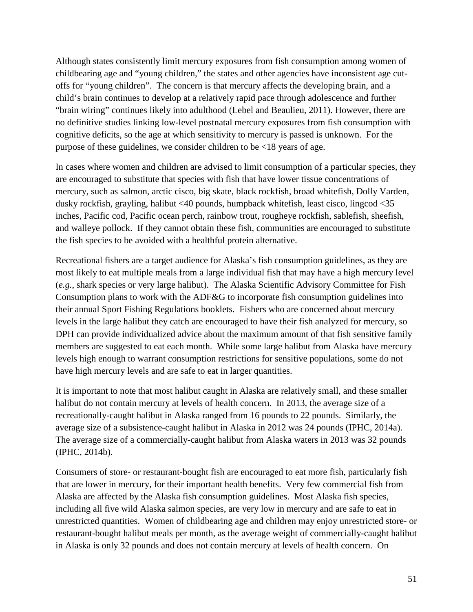Although states consistently limit mercury exposures from fish consumption among women of childbearing age and "young children," the states and other agencies have inconsistent age cutoffs for "young children". The concern is that mercury affects the developing brain, and a child's brain continues to develop at a relatively rapid pace through adolescence and further "brain wiring" continues likely into adulthood (Lebel and Beaulieu, 2011). However, there are no definitive studies linking low-level postnatal mercury exposures from fish consumption with cognitive deficits, so the age at which sensitivity to mercury is passed is unknown. For the purpose of these guidelines, we consider children to be <18 years of age.

In cases where women and children are advised to limit consumption of a particular species, they are encouraged to substitute that species with fish that have lower tissue concentrations of mercury, such as salmon, arctic cisco, big skate, black rockfish, broad whitefish, Dolly Varden, dusky rockfish, grayling, halibut <40 pounds, humpback whitefish, least cisco, lingcod <35 inches, Pacific cod, Pacific ocean perch, rainbow trout, rougheye rockfish, sablefish, sheefish, and walleye pollock. If they cannot obtain these fish, communities are encouraged to substitute the fish species to be avoided with a healthful protein alternative.

Recreational fishers are a target audience for Alaska's fish consumption guidelines, as they are most likely to eat multiple meals from a large individual fish that may have a high mercury level (*e.g.*, shark species or very large halibut). The Alaska Scientific Advisory Committee for Fish Consumption plans to work with the ADF&G to incorporate fish consumption guidelines into their annual Sport Fishing Regulations booklets. Fishers who are concerned about mercury levels in the large halibut they catch are encouraged to have their fish analyzed for mercury, so DPH can provide individualized advice about the maximum amount of that fish sensitive family members are suggested to eat each month. While some large halibut from Alaska have mercury levels high enough to warrant consumption restrictions for sensitive populations, some do not have high mercury levels and are safe to eat in larger quantities.

It is important to note that most halibut caught in Alaska are relatively small, and these smaller halibut do not contain mercury at levels of health concern. In 2013, the average size of a recreationally-caught halibut in Alaska ranged from 16 pounds to 22 pounds. Similarly, the average size of a subsistence-caught halibut in Alaska in 2012 was 24 pounds (IPHC, 2014a). The average size of a commercially-caught halibut from Alaska waters in 2013 was 32 pounds (IPHC, 2014b).

Consumers of store- or restaurant-bought fish are encouraged to eat more fish, particularly fish that are lower in mercury, for their important health benefits. Very few commercial fish from Alaska are affected by the Alaska fish consumption guidelines. Most Alaska fish species, including all five wild Alaska salmon species, are very low in mercury and are safe to eat in unrestricted quantities. Women of childbearing age and children may enjoy unrestricted store- or restaurant-bought halibut meals per month, as the average weight of commercially-caught halibut in Alaska is only 32 pounds and does not contain mercury at levels of health concern. On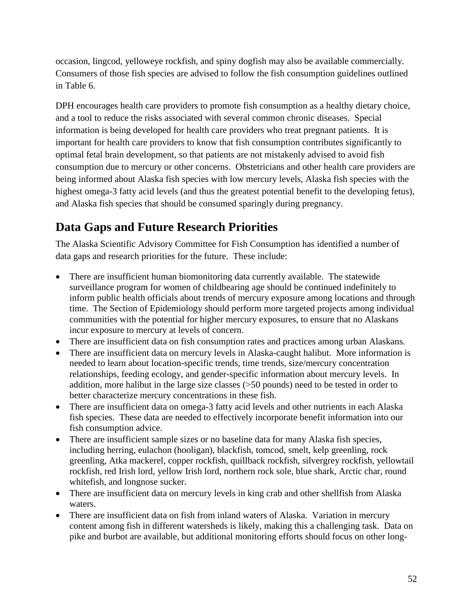occasion, lingcod, yelloweye rockfish, and spiny dogfish may also be available commercially. Consumers of those fish species are advised to follow the fish consumption guidelines outlined in Table 6.

DPH encourages health care providers to promote fish consumption as a healthy dietary choice, and a tool to reduce the risks associated with several common chronic diseases. Special information is being developed for health care providers who treat pregnant patients. It is important for health care providers to know that fish consumption contributes significantly to optimal fetal brain development, so that patients are not mistakenly advised to avoid fish consumption due to mercury or other concerns. Obstetricians and other health care providers are being informed about Alaska fish species with low mercury levels, Alaska fish species with the highest omega-3 fatty acid levels (and thus the greatest potential benefit to the developing fetus), and Alaska fish species that should be consumed sparingly during pregnancy.

# **Data Gaps and Future Research Priorities**

The Alaska Scientific Advisory Committee for Fish Consumption has identified a number of data gaps and research priorities for the future. These include:

- There are insufficient human biomonitoring data currently available. The statewide surveillance program for women of childbearing age should be continued indefinitely to inform public health officials about trends of mercury exposure among locations and through time. The Section of Epidemiology should perform more targeted projects among individual communities with the potential for higher mercury exposures, to ensure that no Alaskans incur exposure to mercury at levels of concern.
- There are insufficient data on fish consumption rates and practices among urban Alaskans.
- There are insufficient data on mercury levels in Alaska-caught halibut. More information is needed to learn about location-specific trends, time trends, size/mercury concentration relationships, feeding ecology, and gender-specific information about mercury levels. In addition, more halibut in the large size classes ( $>50$  pounds) need to be tested in order to better characterize mercury concentrations in these fish.
- There are insufficient data on omega-3 fatty acid levels and other nutrients in each Alaska fish species. These data are needed to effectively incorporate benefit information into our fish consumption advice.
- There are insufficient sample sizes or no baseline data for many Alaska fish species, including herring, eulachon (hooligan), blackfish, tomcod, smelt, kelp greenling, rock greenling, Atka mackerel, copper rockfish, quillback rockfish, silvergrey rockfish, yellowtail rockfish, red Irish lord, yellow Irish lord, northern rock sole, blue shark, Arctic char, round whitefish, and longnose sucker.
- There are insufficient data on mercury levels in king crab and other shellfish from Alaska waters.
- There are insufficient data on fish from inland waters of Alaska. Variation in mercury content among fish in different watersheds is likely, making this a challenging task. Data on pike and burbot are available, but additional monitoring efforts should focus on other long-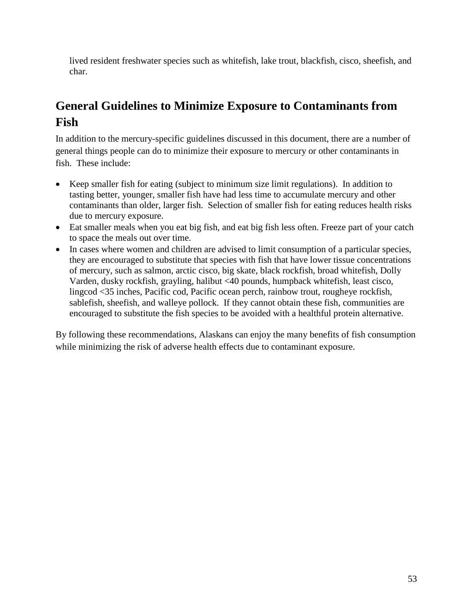lived resident freshwater species such as whitefish, lake trout, blackfish, cisco, sheefish, and char.

# **General Guidelines to Minimize Exposure to Contaminants from Fish**

In addition to the mercury-specific guidelines discussed in this document, there are a number of general things people can do to minimize their exposure to mercury or other contaminants in fish. These include:

- Keep smaller fish for eating (subject to minimum size limit regulations). In addition to tasting better, younger, smaller fish have had less time to accumulate mercury and other contaminants than older, larger fish. Selection of smaller fish for eating reduces health risks due to mercury exposure.
- Eat smaller meals when you eat big fish, and eat big fish less often. Freeze part of your catch to space the meals out over time.
- In cases where women and children are advised to limit consumption of a particular species, they are encouraged to substitute that species with fish that have lower tissue concentrations of mercury, such as salmon, arctic cisco, big skate, black rockfish, broad whitefish, Dolly Varden, dusky rockfish, grayling, halibut <40 pounds, humpback whitefish, least cisco, lingcod <35 inches, Pacific cod, Pacific ocean perch, rainbow trout, rougheye rockfish, sablefish, sheefish, and walleye pollock. If they cannot obtain these fish, communities are encouraged to substitute the fish species to be avoided with a healthful protein alternative.

By following these recommendations, Alaskans can enjoy the many benefits of fish consumption while minimizing the risk of adverse health effects due to contaminant exposure.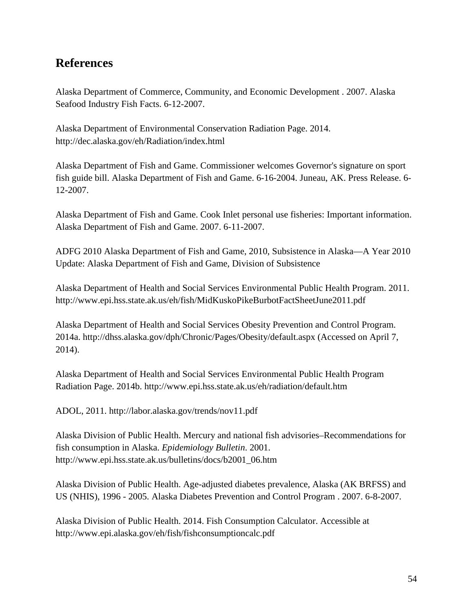## **References**

Alaska Department of Commerce, Community, and Economic Development . 2007. Alaska Seafood Industry Fish Facts. 6-12-2007.

Alaska Department of Environmental Conservation Radiation Page. 2014. http://dec.alaska.gov/eh/Radiation/index.html

Alaska Department of Fish and Game. Commissioner welcomes Governor's signature on sport fish guide bill. Alaska Department of Fish and Game. 6-16-2004. Juneau, AK. Press Release. 6- 12-2007.

Alaska Department of Fish and Game. Cook Inlet personal use fisheries: Important information. Alaska Department of Fish and Game. 2007. 6-11-2007.

ADFG 2010 Alaska Department of Fish and Game, 2010, Subsistence in Alaska—A Year 2010 Update: Alaska Department of Fish and Game, Division of Subsistence

Alaska Department of Health and Social Services Environmental Public Health Program. 2011. http://www.epi.hss.state.ak.us/eh/fish/MidKuskoPikeBurbotFactSheetJune2011.pdf

Alaska Department of Health and Social Services Obesity Prevention and Control Program. 2014a. <http://dhss.alaska.gov/dph/Chronic/Pages/Obesity/default.aspx> (Accessed on April 7, 2014).

Alaska Department of Health and Social Services Environmental Public Health Program Radiation Page. 2014b.<http://www.epi.hss.state.ak.us/eh/radiation/default.htm>

ADOL, 2011. http://labor.alaska.gov/trends/nov11.pdf

Alaska Division of Public Health. Mercury and national fish advisories–Recommendations for fish consumption in Alaska. *Epidemiology Bulletin*. 2001. http://www.epi.hss.state.ak.us/bulletins/docs/b2001\_06.htm

Alaska Division of Public Health. Age-adjusted diabetes prevalence, Alaska (AK BRFSS) and US (NHIS), 1996 - 2005. Alaska Diabetes Prevention and Control Program . 2007. 6-8-2007.

Alaska Division of Public Health. 2014. Fish Consumption Calculator. Accessible at http://www.epi.alaska.gov/eh/fish/fishconsumptioncalc.pdf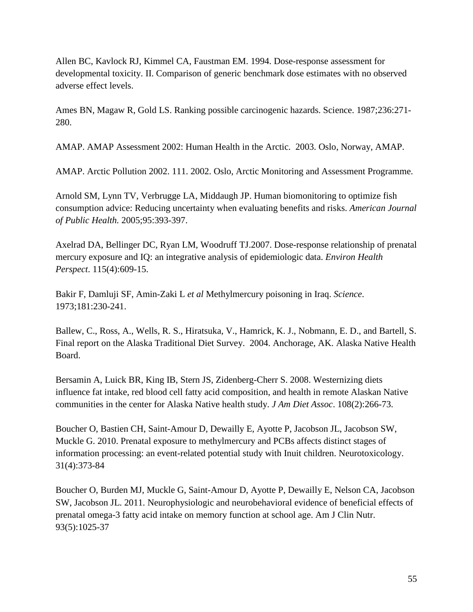Allen BC, Kavlock RJ, Kimmel CA, Faustman EM. 1994. [Dose-response assessment for](http://www.ncbi.nlm.nih.gov/pubmed/7867900)  [developmental toxicity. II. Comparison of generic benchmark dose estimates with no observed](http://www.ncbi.nlm.nih.gov/pubmed/7867900)  [adverse effect levels.](http://www.ncbi.nlm.nih.gov/pubmed/7867900)

Ames BN, Magaw R, Gold LS. Ranking possible carcinogenic hazards. Science. 1987;236:271- 280.

AMAP. AMAP Assessment 2002: Human Health in the Arctic. 2003. Oslo, Norway, AMAP.

AMAP. Arctic Pollution 2002. 111. 2002. Oslo, Arctic Monitoring and Assessment Programme.

Arnold SM, Lynn TV, Verbrugge LA, Middaugh JP. Human biomonitoring to optimize fish consumption advice: Reducing uncertainty when evaluating benefits and risks. *American Journal of Public Health.* 2005;95:393-397.

Axelrad DA, Bellinger DC, Ryan LM, Woodruff TJ.2007. [Dose-response relationship of prenatal](http://www.ncbi.nlm.nih.gov/pubmed/17450232)  [mercury exposure and IQ: an integrative analysis of epidemiologic data.](http://www.ncbi.nlm.nih.gov/pubmed/17450232) *Environ Health Perspect*. 115(4):609-15.

Bakir F, Damluji SF, Amin-Zaki L *et al* Methylmercury poisoning in Iraq. *Science*. 1973;181:230-241.

Ballew, C., Ross, A., Wells, R. S., Hiratsuka, V., Hamrick, K. J., Nobmann, E. D., and Bartell, S. Final report on the Alaska Traditional Diet Survey. 2004. Anchorage, AK. Alaska Native Health Board.

Bersamin A, Luick BR, King IB, Stern JS, Zidenberg-Cherr S. 2008. [Westernizing diets](http://www.ncbi.nlm.nih.gov/pubmed/18237575)  [influence fat intake, red blood cell fatty acid composition, and health in remote Alaskan Native](http://www.ncbi.nlm.nih.gov/pubmed/18237575)  [communities in the center for Alaska Native health study.](http://www.ncbi.nlm.nih.gov/pubmed/18237575) *J Am Diet Assoc*. 108(2):266-73.

Boucher O, Bastien CH, Saint-Amour D, Dewailly E, Ayotte P, Jacobson JL, Jacobson SW, Muckle G. 2010. [Prenatal exposure to methylmercury and PCBs affects distinct stages of](http://www.ncbi.nlm.nih.gov/pubmed/20403381)  [information processing: an event-related potential study with Inuit children.](http://www.ncbi.nlm.nih.gov/pubmed/20403381) Neurotoxicology. 31(4):373-84

Boucher O, Burden MJ, Muckle G, Saint-Amour D, Ayotte P, Dewailly E, Nelson CA, Jacobson SW, Jacobson JL. 2011. [Neurophysiologic and neurobehavioral evidence of beneficial effects of](http://www.ncbi.nlm.nih.gov/pubmed/21389181)  [prenatal omega-3 fatty acid intake on memory function at school age.](http://www.ncbi.nlm.nih.gov/pubmed/21389181) Am J Clin Nutr. 93(5):1025-37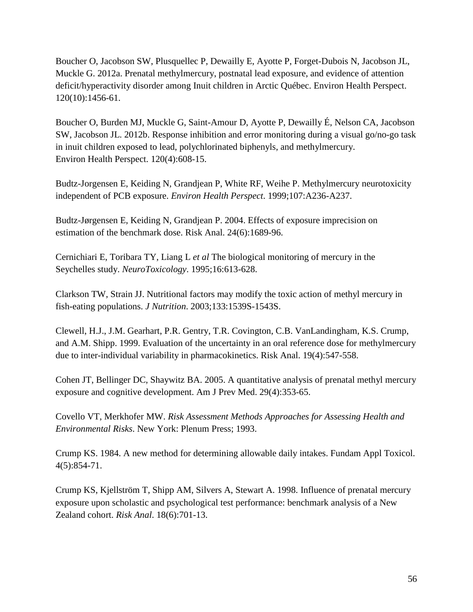[Boucher O,](http://www.ncbi.nlm.nih.gov/pubmed?term=Boucher%20O%5BAuthor%5D&cauthor=true&cauthor_uid=23008274) [Jacobson](http://www.ncbi.nlm.nih.gov/pubmed?term=Jacobson%20SW%5BAuthor%5D&cauthor=true&cauthor_uid=23008274) SW, [Plusquellec P,](http://www.ncbi.nlm.nih.gov/pubmed?term=Plusquellec%20P%5BAuthor%5D&cauthor=true&cauthor_uid=23008274) [Dewailly E,](http://www.ncbi.nlm.nih.gov/pubmed?term=Dewailly%20E%5BAuthor%5D&cauthor=true&cauthor_uid=23008274) [Ayotte P,](http://www.ncbi.nlm.nih.gov/pubmed?term=Ayotte%20P%5BAuthor%5D&cauthor=true&cauthor_uid=23008274) [Forget-Dubois N,](http://www.ncbi.nlm.nih.gov/pubmed?term=Forget-Dubois%20N%5BAuthor%5D&cauthor=true&cauthor_uid=23008274) [Jacobson JL,](http://www.ncbi.nlm.nih.gov/pubmed?term=Jacobson%20JL%5BAuthor%5D&cauthor=true&cauthor_uid=23008274) [Muckle G.](http://www.ncbi.nlm.nih.gov/pubmed?term=Muckle%20G%5BAuthor%5D&cauthor=true&cauthor_uid=23008274) 2012a. Prenatal methylmercury, postnatal lead exposure, and evidence of attention deficit/hyperactivity disorder among Inuit children in Arctic Québec. [Environ Health Perspect.](http://www.ncbi.nlm.nih.gov/pubmed/23008274) 120(10):1456-61.

[Boucher O,](http://www.ncbi.nlm.nih.gov/pubmed?term=Boucher%20O%5BAuthor%5D&cauthor=true&cauthor_uid=22142904) [Burden MJ,](http://www.ncbi.nlm.nih.gov/pubmed?term=Burden%20MJ%5BAuthor%5D&cauthor=true&cauthor_uid=22142904) [Muckle G,](http://www.ncbi.nlm.nih.gov/pubmed?term=Muckle%20G%5BAuthor%5D&cauthor=true&cauthor_uid=22142904) [Saint-Amour D,](http://www.ncbi.nlm.nih.gov/pubmed?term=Saint-Amour%20D%5BAuthor%5D&cauthor=true&cauthor_uid=22142904) [Ayotte P,](http://www.ncbi.nlm.nih.gov/pubmed?term=Ayotte%20P%5BAuthor%5D&cauthor=true&cauthor_uid=22142904) [Dewailly É,](http://www.ncbi.nlm.nih.gov/pubmed?term=Dewailly%20%C3%89%5BAuthor%5D&cauthor=true&cauthor_uid=22142904) [Nelson CA,](http://www.ncbi.nlm.nih.gov/pubmed?term=Nelson%20CA%5BAuthor%5D&cauthor=true&cauthor_uid=22142904) [Jacobson](http://www.ncbi.nlm.nih.gov/pubmed?term=Jacobson%20SW%5BAuthor%5D&cauthor=true&cauthor_uid=22142904)  [SW,](http://www.ncbi.nlm.nih.gov/pubmed?term=Jacobson%20SW%5BAuthor%5D&cauthor=true&cauthor_uid=22142904) [Jacobson JL.](http://www.ncbi.nlm.nih.gov/pubmed?term=Jacobson%20JL%5BAuthor%5D&cauthor=true&cauthor_uid=22142904) 2012b. Response inhibition and error monitoring during a visual go/no-go task in inuit children exposed to lead, polychlorinated biphenyls, and methylmercury. [Environ Health Perspect.](http://www.ncbi.nlm.nih.gov/pubmed/22142904) 120(4):608-15.

Budtz-Jorgensen E, Keiding N, Grandjean P, White RF, Weihe P. Methylmercury neurotoxicity independent of PCB exposure. *Environ Health Perspect*. 1999;107:A236-A237.

Budtz-Jørgensen E, Keiding N, Grandjean P. 2004. Effects of exposure imprecision on estimation of the benchmark dose. Risk Anal. 24(6):1689-96.

Cernichiari E, Toribara TY, Liang L *et al* The biological monitoring of mercury in the Seychelles study. *NeuroToxicology*. 1995;16:613-628.

Clarkson TW, Strain JJ. Nutritional factors may modify the toxic action of methyl mercury in fish-eating populations. *J Nutrition*. 2003;133:1539S-1543S.

Clewell, H.J., J.M. Gearhart, P.R. Gentry, T.R. Covington, C.B. VanLandingham, K.S. Crump, and A.M. Shipp. 1999. Evaluation of the uncertainty in an oral reference dose for methylmercury due to inter-individual variability in pharmacokinetics. Risk Anal. 19(4):547-558.

Cohen JT, Bellinger DC, Shaywitz BA. 2005. [A quantitative analysis of prenatal methyl mercury](http://www.ncbi.nlm.nih.gov/pubmed/16242602)  [exposure and cognitive development.](http://www.ncbi.nlm.nih.gov/pubmed/16242602) Am J Prev Med. 29(4):353-65.

Covello VT, Merkhofer MW. *Risk Assessment Methods Approaches for Assessing Health and Environmental Risks*. New York: Plenum Press; 1993.

Crump KS. 1984. [A new method for determining allowable daily intakes.](http://www.ncbi.nlm.nih.gov/pubmed/6510615) Fundam Appl Toxicol. 4(5):854-71.

Crump KS, Kjellström T, Shipp AM, Silvers A, Stewart A. 1998. [Influence of prenatal mercury](http://www.ncbi.nlm.nih.gov/pubmed/9972579)  [exposure upon scholastic and psychological test performance: benchmark analysis of a New](http://www.ncbi.nlm.nih.gov/pubmed/9972579)  [Zealand cohort.](http://www.ncbi.nlm.nih.gov/pubmed/9972579) *Risk Anal*. 18(6):701-13.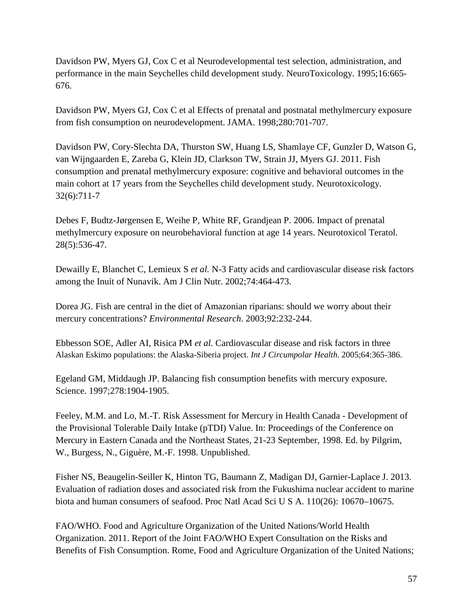Davidson PW, Myers GJ, Cox C et al Neurodevelopmental test selection, administration, and performance in the main Seychelles child development study. NeuroToxicology. 1995;16:665- 676.

Davidson PW, Myers GJ, Cox C et al Effects of prenatal and postnatal methylmercury exposure from fish consumption on neurodevelopment. JAMA. 1998;280:701-707.

Davidson PW, Cory-Slechta DA, Thurston SW, Huang LS, Shamlaye CF, Gunzler D, Watson G, van Wijngaarden E, Zareba G, Klein JD, Clarkson TW, Strain JJ, Myers GJ. 2011. [Fish](http://www.ncbi.nlm.nih.gov/pubmed/21889535)  [consumption and prenatal methylmercury exposure: cognitive and behavioral outcomes in the](http://www.ncbi.nlm.nih.gov/pubmed/21889535)  [main cohort at 17 years from the Seychelles child development study.](http://www.ncbi.nlm.nih.gov/pubmed/21889535) Neurotoxicology. 32(6):711-7

Debes F, Budtz-Jørgensen E, Weihe P, White RF, Grandjean P. 2006. Impact of prenatal methylmercury exposure on neurobehavioral function at age 14 years. Neurotoxicol Teratol. 28(5):536-47.

Dewailly E, Blanchet C, Lemieux S *et al.* N-3 Fatty acids and cardiovascular disease risk factors among the Inuit of Nunavik. Am J Clin Nutr. 2002;74:464-473.

Dorea JG. Fish are central in the diet of Amazonian riparians: should we worry about their mercury concentrations? *Environmental Research*. 2003;92:232-244.

Ebbesson SOE, Adler AI, Risica PM *et al.* Cardiovascular disease and risk factors in three Alaskan Eskimo populations: the Alaska-Siberia project. *Int J Circumpolar Health*. 2005;64:365-386.

Egeland GM, Middaugh JP. Balancing fish consumption benefits with mercury exposure. Science. 1997;278:1904-1905.

Feeley, M.M. and Lo, M.-T. Risk Assessment for Mercury in Health Canada - Development of the Provisional Tolerable Daily Intake (pTDI) Value. In: Proceedings of the Conference on Mercury in Eastern Canada and the Northeast States, 21-23 September, 1998. Ed. by Pilgrim, W., Burgess, N., Giguère, M.-F. 1998. Unpublished.

Fisher NS, Beaugelin-Seiller K, Hinton TG, Baumann Z, Madigan DJ, Garnier-Laplace J. 2013. [Evaluation of radiation doses and associated risk from the Fukushima nuclear accident to marine](http://www.ncbi.nlm.nih.gov/pmc/articles/PMC3696798/)  [biota and human consumers of seafood.](http://www.ncbi.nlm.nih.gov/pmc/articles/PMC3696798/) Proc Natl Acad Sci U S A. 110(26): 10670–10675.

FAO/WHO. Food and Agriculture Organization of the United Nations/World Health Organization. 2011. Report of the Joint FAO/WHO Expert Consultation on the Risks and Benefits of Fish Consumption. Rome, Food and Agriculture Organization of the United Nations;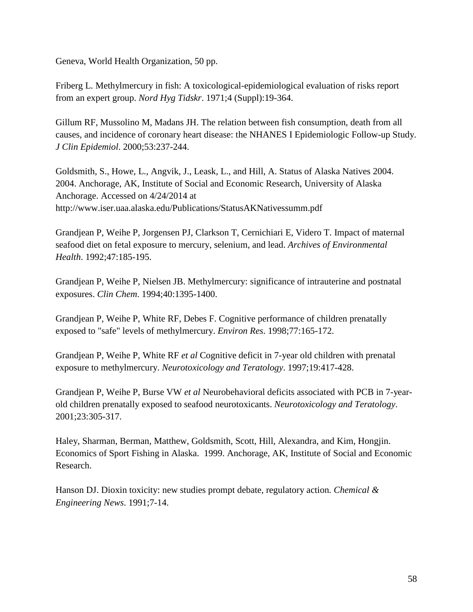Geneva, World Health Organization, 50 pp.

Friberg L. Methylmercury in fish: A toxicological-epidemiological evaluation of risks report from an expert group. *Nord Hyg Tidskr*. 1971;4 (Suppl):19-364.

Gillum RF, Mussolino M, Madans JH. The relation between fish consumption, death from all causes, and incidence of coronary heart disease: the NHANES I Epidemiologic Follow-up Study. *J Clin Epidemiol*. 2000;53:237-244.

Goldsmith, S., Howe, L., Angvik, J., Leask, L., and Hill, A. Status of Alaska Natives 2004. 2004. Anchorage, AK, Institute of Social and Economic Research, University of Alaska Anchorage. Accessed on 4/24/2014 at http://www.iser.uaa.alaska.edu/Publications/StatusAKNativessumm.pdf

Grandjean P, Weihe P, Jorgensen PJ, Clarkson T, Cernichiari E, Videro T. Impact of maternal seafood diet on fetal exposure to mercury, selenium, and lead. *Archives of Environmental Health*. 1992;47:185-195.

Grandjean P, Weihe P, Nielsen JB. Methylmercury: significance of intrauterine and postnatal exposures. *Clin Chem*. 1994;40:1395-1400.

Grandjean P, Weihe P, White RF, Debes F. Cognitive performance of children prenatally exposed to "safe" levels of methylmercury. *Environ Res*. 1998;77:165-172.

Grandjean P, Weihe P, White RF *et al* Cognitive deficit in 7-year old children with prenatal exposure to methylmercury. *Neurotoxicology and Teratology*. 1997;19:417-428.

Grandjean P, Weihe P, Burse VW *et al* Neurobehavioral deficits associated with PCB in 7-yearold children prenatally exposed to seafood neurotoxicants. *Neurotoxicology and Teratology*. 2001;23:305-317.

Haley, Sharman, Berman, Matthew, Goldsmith, Scott, Hill, Alexandra, and Kim, Hongjin. Economics of Sport Fishing in Alaska. 1999. Anchorage, AK, Institute of Social and Economic Research.

Hanson DJ. Dioxin toxicity: new studies prompt debate, regulatory action*. Chemical & Engineering News*. 1991;7-14.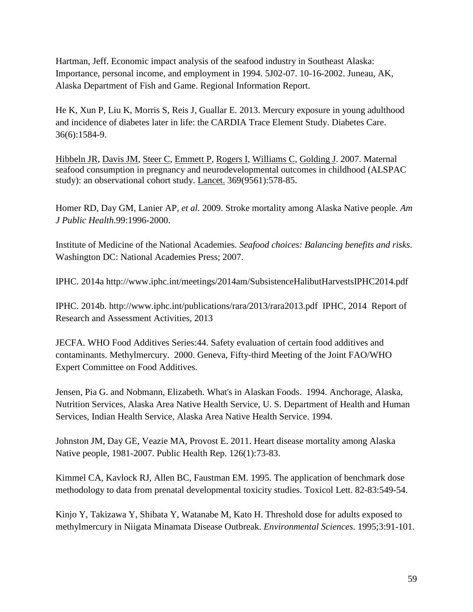Hartman, Jeff. Economic impact analysis of the seafood industry in Southeast Alaska: Importance, personal income, and employment in 1994. 5J02-07. 10-16-2002. Juneau, AK, Alaska Department of Fish and Game. Regional Information Report.

He K, Xun P, Liu K, Morris S, Reis J, Guallar E. 2013. [Mercury exposure in young adulthood](http://www.ncbi.nlm.nih.gov/pubmed/23423697)  [and incidence of diabetes later in life: the CARDIA Trace Element Study.](http://www.ncbi.nlm.nih.gov/pubmed/23423697) Diabetes Care. 36(6):1584-9.

[Hibbeln JR,](http://www.ncbi.nlm.nih.gov/pubmed?term=Hibbeln%20JR%5BAuthor%5D&cauthor=true&cauthor_uid=17307104) [Davis JM,](http://www.ncbi.nlm.nih.gov/pubmed?term=Davis%20JM%5BAuthor%5D&cauthor=true&cauthor_uid=17307104) [Steer C,](http://www.ncbi.nlm.nih.gov/pubmed?term=Steer%20C%5BAuthor%5D&cauthor=true&cauthor_uid=17307104) [Emmett P,](http://www.ncbi.nlm.nih.gov/pubmed?term=Emmett%20P%5BAuthor%5D&cauthor=true&cauthor_uid=17307104) [Rogers I,](http://www.ncbi.nlm.nih.gov/pubmed?term=Rogers%20I%5BAuthor%5D&cauthor=true&cauthor_uid=17307104) [Williams C,](http://www.ncbi.nlm.nih.gov/pubmed?term=Williams%20C%5BAuthor%5D&cauthor=true&cauthor_uid=17307104) [Golding J.](http://www.ncbi.nlm.nih.gov/pubmed?term=Golding%20J%5BAuthor%5D&cauthor=true&cauthor_uid=17307104) 2007. Maternal seafood consumption in pregnancy and neurodevelopmental outcomes in childhood (ALSPAC study): an observational cohort study. Lancet. 369(9561):578-85.

Homer RD, Day GM, Lanier AP*, et al.* 2009. Stroke mortality among Alaska Native people. *Am J Public Health*.99:1996-2000.

Institute of Medicine of the National Academies. *Seafood choices: Balancing benefits and risks*. Washington DC: National Academies Press; 2007.

IPHC. 2014a<http://www.iphc.int/meetings/2014am/SubsistenceHalibutHarvestsIPHC2014.pdf>

IPHC. 2014b. http://www.iphc.int/publications/rara/2013/rara2013.pdf IPHC, 2014 Report of Research and Assessment Activities, 2013

JECFA. WHO Food Additives Series:44. Safety evaluation of certain food additives and contaminants. Methylmercury. 2000. Geneva, Fifty-third Meeting of the Joint FAO/WHO Expert Committee on Food Additives.

Jensen, Pia G. and Nobmann, Elizabeth. What's in Alaskan Foods. 1994. Anchorage, Alaska, Nutrition Services, Alaska Area Native Health Service, U. S. Department of Health and Human Services, Indian Health Service, Alaska Area Native Health Service. 1994.

Johnston JM, Day GE, Veazie MA, Provost E. 2011. [Heart disease mortality among Alaska](http://www.ncbi.nlm.nih.gov/pubmed/21337932)  [Native people, 1981-2007.](http://www.ncbi.nlm.nih.gov/pubmed/21337932) Public Health Rep. 126(1):73-83.

Kimmel CA, Kavlock RJ, Allen BC, Faustman EM. 1995. [The application of benchmark dose](http://www.ncbi.nlm.nih.gov/pubmed/8597108)  [methodology to data from prenatal developmental toxicity studies.](http://www.ncbi.nlm.nih.gov/pubmed/8597108) Toxicol Lett. 82-83:549-54.

Kinjo Y, Takizawa Y, Shibata Y, Watanabe M, Kato H. Threshold dose for adults exposed to methylmercury in Niigata Minamata Disease Outbreak. *Environmental Sciences*. 1995;3:91-101.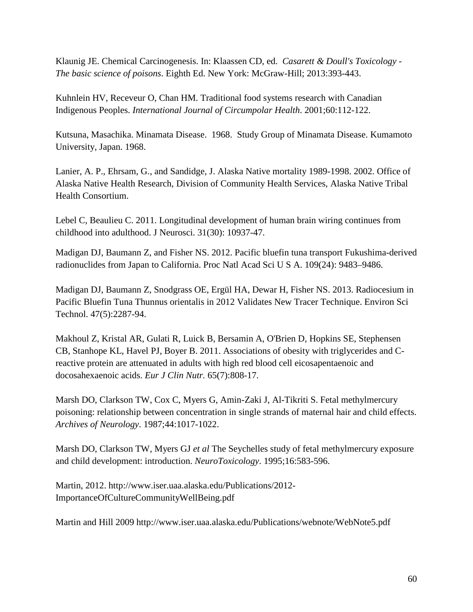Klaunig JE. Chemical Carcinogenesis. In: Klaassen CD, ed. *Casarett & Doull's Toxicology - The basic science of poisons*. Eighth Ed. New York: McGraw-Hill; 2013:393-443.

Kuhnlein HV, Receveur O, Chan HM. Traditional food systems research with Canadian Indigenous Peoples. *International Journal of Circumpolar Health*. 2001;60:112-122.

Kutsuna, Masachika. Minamata Disease. 1968. Study Group of Minamata Disease. Kumamoto University, Japan. 1968.

Lanier, A. P., Ehrsam, G., and Sandidge, J. Alaska Native mortality 1989-1998. 2002. Office of Alaska Native Health Research, Division of Community Health Services, Alaska Native Tribal Health Consortium.

[Lebel C,](http://www.ncbi.nlm.nih.gov/pubmed?term=Lebel%20C%5BAuthor%5D&cauthor=true&cauthor_uid=21795544) [Beaulieu C.](http://www.ncbi.nlm.nih.gov/pubmed?term=Beaulieu%20C%5BAuthor%5D&cauthor=true&cauthor_uid=21795544) 2011. Longitudinal development of human brain wiring continues from childhood into adulthood. J Neurosci. 31(30): 10937-47.

[Madigan](http://www.ncbi.nlm.nih.gov/pubmed/?term=Madigan%20DJ%5Bauth%5D) DJ, [Baumann](http://www.ncbi.nlm.nih.gov/pubmed/?term=Baumann%20Z%5Bauth%5D) Z, and Fisher NS. 2012. Pacific bluefin tuna transport Fukushima-derived radionuclides from Japan to California. Proc Natl Acad Sci U S A. 109(24): 9483–9486.

[Madigan DJ,](http://www.ncbi.nlm.nih.gov/pubmed?term=Madigan%20DJ%5BAuthor%5D&cauthor=true&cauthor_uid=23398380) [Baumann Z,](http://www.ncbi.nlm.nih.gov/pubmed?term=Baumann%20Z%5BAuthor%5D&cauthor=true&cauthor_uid=23398380) [Snodgrass OE,](http://www.ncbi.nlm.nih.gov/pubmed?term=Snodgrass%20OE%5BAuthor%5D&cauthor=true&cauthor_uid=23398380) [Ergül HA,](http://www.ncbi.nlm.nih.gov/pubmed?term=Erg%C3%BCl%20HA%5BAuthor%5D&cauthor=true&cauthor_uid=23398380) [Dewar H,](http://www.ncbi.nlm.nih.gov/pubmed?term=Dewar%20H%5BAuthor%5D&cauthor=true&cauthor_uid=23398380) [Fisher NS.](http://www.ncbi.nlm.nih.gov/pubmed?term=Fisher%20NS%5BAuthor%5D&cauthor=true&cauthor_uid=23398380) 2013. Radiocesium in Pacific Bluefin Tuna Thunnus orientalis in 2012 Validates New Tracer Technique. [Environ Sci](http://www.ncbi.nlm.nih.gov/pubmed/23398380)  [Technol.](http://www.ncbi.nlm.nih.gov/pubmed/23398380) 47(5):2287-94.

Makhoul Z, Kristal AR, Gulati R, Luick B, Bersamin A, O'Brien D, Hopkins SE, Stephensen CB, Stanhope KL, Havel PJ, Boyer B. 2011. [Associations of obesity with triglycerides and C](http://www.ncbi.nlm.nih.gov/pubmed/21427737)[reactive protein are attenuated in adults with high red](http://www.ncbi.nlm.nih.gov/pubmed/21427737) blood cell eicosapentaenoic and [docosahexaenoic acids.](http://www.ncbi.nlm.nih.gov/pubmed/21427737) *Eur J Clin Nutr.* 65(7):808-17.

Marsh DO, Clarkson TW, Cox C, Myers G, Amin-Zaki J, Al-Tikriti S. Fetal methylmercury poisoning: relationship between concentration in single strands of maternal hair and child effects. *Archives of Neurology*. 1987;44:1017-1022.

Marsh DO, Clarkson TW, Myers GJ *et al* The Seychelles study of fetal methylmercury exposure and child development: introduction. *NeuroToxicology*. 1995;16:583-596.

Martin, 2012. [http://www.iser.uaa.alaska.edu/Publications/2012-](http://www.iser.uaa.alaska.edu/Publications/2012-ImportanceOfCultureCommunityWellBeing.pdf) [ImportanceOfCultureCommunityWellBeing.pdf](http://www.iser.uaa.alaska.edu/Publications/2012-ImportanceOfCultureCommunityWellBeing.pdf)

Martin and Hill 2009<http://www.iser.uaa.alaska.edu/Publications/webnote/WebNote5.pdf>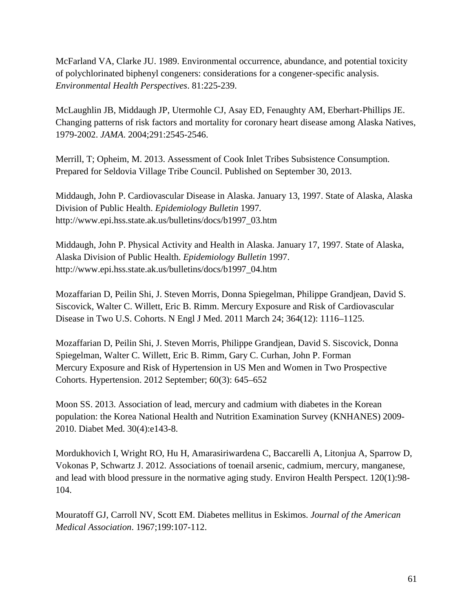McFarland VA, Clarke JU. 1989. Environmental occurrence, abundance, and potential toxicity of polychlorinated biphenyl congeners: considerations for a congener-specific analysis. *Environmental Health Perspectives*. 81:225-239.

McLaughlin JB, Middaugh JP, Utermohle CJ, Asay ED, Fenaughty AM, Eberhart-Phillips JE. Changing patterns of risk factors and mortality for coronary heart disease among Alaska Natives, 1979-2002. *JAMA*. 2004;291:2545-2546.

Merrill, T; Opheim, M. 2013. Assessment of Cook Inlet Tribes Subsistence Consumption. Prepared for Seldovia Village Tribe Council. Published on September 30, 2013.

Middaugh, John P. Cardiovascular Disease in Alaska. January 13, 1997. State of Alaska, Alaska Division of Public Health. *Epidemiology Bulletin* 1997*.* http://www.epi.hss.state.ak.us/bulletins/docs/b1997\_03.htm

Middaugh, John P. Physical Activity and Health in Alaska. January 17, 1997. State of Alaska, Alaska Division of Public Health. *Epidemiology Bulletin* 1997. http://www.epi.hss.state.ak.us/bulletins/docs/b1997\_04.htm

Mozaffarian D, Peilin Shi, J. Steven Morris, Donna Spiegelman, Philippe Grandjean, David S. Siscovick, Walter C. Willett, Eric B. Rimm. [Mercury Exposure and Risk of Cardiovascular](http://www.ncbi.nlm.nih.gov/pmc/articles/PMC3082949/)  [Disease in Two U.S. Cohorts.](http://www.ncbi.nlm.nih.gov/pmc/articles/PMC3082949/) N Engl J Med. 2011 March 24; 364(12): 1116–1125.

Mozaffarian D, Peilin Shi, J. Steven Morris, Philippe Grandjean, David S. Siscovick, Donna Spiegelman, Walter C. Willett, Eric B. Rimm, Gary C. Curhan, John P. Forman [Mercury Exposure and Risk of Hypertension in US Men and Women in Two Prospective](http://www.ncbi.nlm.nih.gov/pmc/articles/PMC3466587/)  [Cohorts.](http://www.ncbi.nlm.nih.gov/pmc/articles/PMC3466587/) Hypertension. 2012 September; 60(3): 645–652

Moon SS. 2013. [Association of lead, mercury and cadmium with diabetes in the Korean](http://www.ncbi.nlm.nih.gov/pubmed/23278294)  [population: the Korea National Health and Nutrition Examination Survey \(KNHANES\) 2009-](http://www.ncbi.nlm.nih.gov/pubmed/23278294) [2010.](http://www.ncbi.nlm.nih.gov/pubmed/23278294) Diabet Med. 30(4):e143-8.

Mordukhovich I, Wright RO, Hu H, Amarasiriwardena C, Baccarelli A, Litonjua A, Sparrow D, Vokonas P, Schwartz J. 2012. [Associations of toenail arsenic, cadmium, mercury, manganese,](http://www.ncbi.nlm.nih.gov/pubmed/21878420)  [and lead with blood pressure in the normative aging study.](http://www.ncbi.nlm.nih.gov/pubmed/21878420) Environ Health Perspect. 120(1):98- 104.

Mouratoff GJ, Carroll NV, Scott EM. Diabetes mellitus in Eskimos. *Journal of the American Medical Association*. 1967;199:107-112.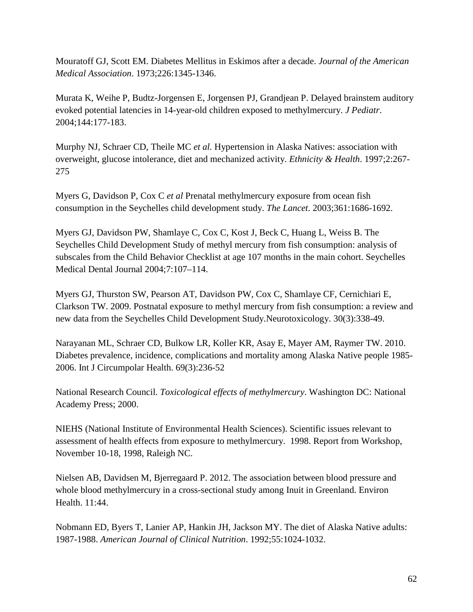Mouratoff GJ, Scott EM. Diabetes Mellitus in Eskimos after a decade. *Journal of the American Medical Association*. 1973;226:1345-1346.

Murata K, Weihe P, Budtz-Jorgensen E, Jorgensen PJ, Grandjean P. Delayed brainstem auditory evoked potential latencies in 14-year-old children exposed to methylmercury. *J Pediatr*. 2004;144:177-183.

Murphy NJ, Schraer CD, Theile MC *et al.* Hypertension in Alaska Natives: association with overweight, glucose intolerance, diet and mechanized activity. *Ethnicity & Health*. 1997;2:267- 275

Myers G, Davidson P, Cox C *et al* Prenatal methylmercury exposure from ocean fish consumption in the Seychelles child development study. *The Lancet*. 2003;361:1686-1692.

Myers GJ, Davidson PW, Shamlaye C, Cox C, Kost J, Beck C, Huang L, Weiss B. The Seychelles Child Development Study of methyl mercury from fish consumption: analysis of subscales from the Child Behavior Checklist at age 107 months in the main cohort. Seychelles Medical Dental Journal 2004;7:107–114.

[Myers GJ,](http://www.ncbi.nlm.nih.gov/pubmed?term=Myers%20GJ%5BAuthor%5D&cauthor=true&cauthor_uid=19442817) [Thurston SW,](http://www.ncbi.nlm.nih.gov/pubmed?term=Thurston%20SW%5BAuthor%5D&cauthor=true&cauthor_uid=19442817) [Pearson AT,](http://www.ncbi.nlm.nih.gov/pubmed?term=Pearson%20AT%5BAuthor%5D&cauthor=true&cauthor_uid=19442817) [Davidson PW,](http://www.ncbi.nlm.nih.gov/pubmed?term=Davidson%20PW%5BAuthor%5D&cauthor=true&cauthor_uid=19442817) [Cox C,](http://www.ncbi.nlm.nih.gov/pubmed?term=Cox%20C%5BAuthor%5D&cauthor=true&cauthor_uid=19442817) [Shamlaye CF,](http://www.ncbi.nlm.nih.gov/pubmed?term=Shamlaye%20CF%5BAuthor%5D&cauthor=true&cauthor_uid=19442817) [Cernichiari E,](http://www.ncbi.nlm.nih.gov/pubmed?term=Cernichiari%20E%5BAuthor%5D&cauthor=true&cauthor_uid=19442817) [Clarkson TW.](http://www.ncbi.nlm.nih.gov/pubmed?term=Clarkson%20TW%5BAuthor%5D&cauthor=true&cauthor_uid=19442817) 2009. Postnatal exposure to methyl mercury from fish consumption: a review and new data from the Seychelles Child Development Study[.Neurotoxicology.](http://www.ncbi.nlm.nih.gov/pubmed/19442817) 30(3):338-49.

Narayanan ML, Schraer CD, Bulkow LR, Koller KR, Asay E, Mayer AM, Raymer TW. 2010. [Diabetes prevalence, incidence, complications and mortality among Alaska Native people 1985-](http://www.ncbi.nlm.nih.gov/pubmed/20501061) [2006.](http://www.ncbi.nlm.nih.gov/pubmed/20501061) Int J Circumpolar Health. 69(3):236-52

National Research Council. *Toxicological effects of methylmercury*. Washington DC: National Academy Press; 2000.

NIEHS (National Institute of Environmental Health Sciences). Scientific issues relevant to assessment of health effects from exposure to methylmercury. 1998. Report from Workshop, November 10-18, 1998, Raleigh NC.

Nielsen AB, Davidsen M, Bjerregaard P. 2012. [The association between blood pressure and](http://www.ncbi.nlm.nih.gov/pubmed/22747793)  [whole blood methylmercury in a cross-sectional study among Inuit in Greenland.](http://www.ncbi.nlm.nih.gov/pubmed/22747793) Environ Health. 11:44.

Nobmann ED, Byers T, Lanier AP, Hankin JH, Jackson MY. The diet of Alaska Native adults: 1987-1988. *American Journal of Clinical Nutrition*. 1992;55:1024-1032.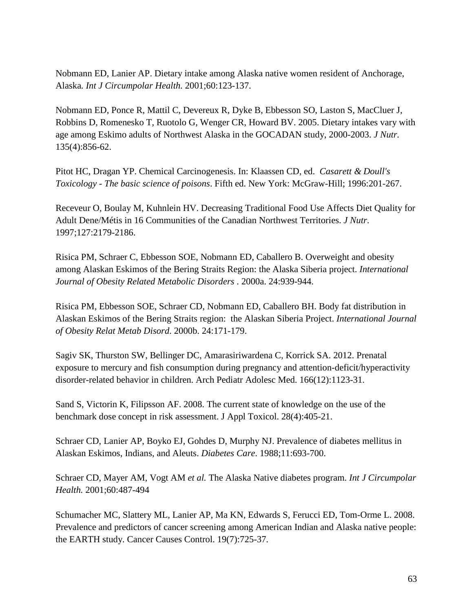Nobmann ED, Lanier AP. Dietary intake among Alaska native women resident of Anchorage, Alaska*. Int J Circumpolar Health.* 2001;60:123-137.

Nobmann ED, Ponce R, Mattil C, Devereux R, Dyke B, Ebbesson SO, Laston S, MacCluer J, Robbins D, Romenesko T, Ruotolo G, Wenger CR, Howard BV. 2005. Dietary intakes vary with age among Eskimo adults of Northwest Alaska in the GOCADAN study, 2000-2003. *J Nutr.* 135(4):856-62.

Pitot HC, Dragan YP. Chemical Carcinogenesis. In: Klaassen CD, ed. *Casarett & Doull's Toxicology - The basic science of poisons*. Fifth ed. New York: McGraw-Hill; 1996:201-267.

Receveur O, Boulay M, Kuhnlein HV. Decreasing Traditional Food Use Affects Diet Quality for Adult Dene/Métis in 16 Communities of the Canadian Northwest Territories. *J Nutr*. 1997;127:2179-2186.

Risica PM, Schraer C, Ebbesson SOE, Nobmann ED, Caballero B. Overweight and obesity among Alaskan Eskimos of the Bering Straits Region: the Alaska Siberia project. *International Journal of Obesity Related Metabolic Disorders* . 2000a. 24:939-944.

Risica PM, Ebbesson SOE, Schraer CD, Nobmann ED, Caballero BH. Body fat distribution in Alaskan Eskimos of the Bering Straits region: the Alaskan Siberia Project. *International Journal of Obesity Relat Metab Disord*. 2000b. 24:171-179.

[Sagiv SK,](http://www.ncbi.nlm.nih.gov/pubmed?term=Sagiv%20SK%5BAuthor%5D&cauthor=true&cauthor_uid=23044994) [Thurston SW,](http://www.ncbi.nlm.nih.gov/pubmed?term=Thurston%20SW%5BAuthor%5D&cauthor=true&cauthor_uid=23044994) [Bellinger DC,](http://www.ncbi.nlm.nih.gov/pubmed?term=Bellinger%20DC%5BAuthor%5D&cauthor=true&cauthor_uid=23044994) [Amarasiriwardena C,](http://www.ncbi.nlm.nih.gov/pubmed?term=Amarasiriwardena%20C%5BAuthor%5D&cauthor=true&cauthor_uid=23044994) [Korrick SA.](http://www.ncbi.nlm.nih.gov/pubmed?term=Korrick%20SA%5BAuthor%5D&cauthor=true&cauthor_uid=23044994) 2012. Prenatal exposure to mercury and fish consumption during pregnancy and attention-deficit/hyperactivity disorder-related behavior in children. [Arch Pediatr Adolesc Med.](http://www.ncbi.nlm.nih.gov/pubmed/?term=sagiv+mercury) 166(12):1123-31.

[Sand S,](http://www.ncbi.nlm.nih.gov/pubmed?term=Sand%20S%5BAuthor%5D&cauthor=true&cauthor_uid=17879232) [Victorin K,](http://www.ncbi.nlm.nih.gov/pubmed?term=Victorin%20K%5BAuthor%5D&cauthor=true&cauthor_uid=17879232) [Filipsson AF.](http://www.ncbi.nlm.nih.gov/pubmed?term=Filipsson%20AF%5BAuthor%5D&cauthor=true&cauthor_uid=17879232) 2008. The current state of knowledge on the use of the benchmark dose concept in risk assessment. [J Appl Toxicol.](http://www.ncbi.nlm.nih.gov/pubmed/?term=sand+benchmark+dose+2008) 28(4):405-21.

Schraer CD, Lanier AP, Boyko EJ, Gohdes D, Murphy NJ. Prevalence of diabetes mellitus in Alaskan Eskimos, Indians, and Aleuts. *Diabetes Care*. 1988;11:693-700.

Schraer CD, Mayer AM, Vogt AM *et al.* The Alaska Native diabetes program. *Int J Circumpolar Health.* 2001;60:487-494

Schumacher MC, Slattery ML, Lanier AP, Ma KN, Edwards S, Ferucci ED, Tom-Orme L. 2008. [Prevalence and predictors of cancer screening among American Indian and Alaska native people:](http://www.ncbi.nlm.nih.gov/pubmed/18307048)  [the EARTH study.](http://www.ncbi.nlm.nih.gov/pubmed/18307048) Cancer Causes Control. 19(7):725-37.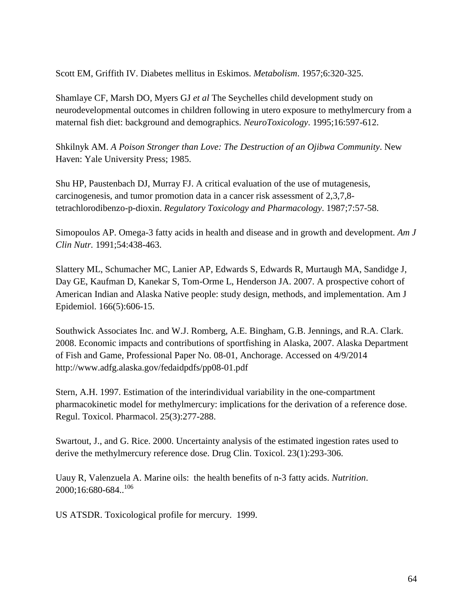Scott EM, Griffith IV. Diabetes mellitus in Eskimos. *Metabolism*. 1957;6:320-325.

Shamlaye CF, Marsh DO, Myers GJ *et al* The Seychelles child development study on neurodevelopmental outcomes in children following in utero exposure to methylmercury from a maternal fish diet: background and demographics. *NeuroToxicology*. 1995;16:597-612.

Shkilnyk AM. *A Poison Stronger than Love: The Destruction of an Ojibwa Community*. New Haven: Yale University Press; 1985.

Shu HP, Paustenbach DJ, Murray FJ. A critical evaluation of the use of mutagenesis, carcinogenesis, and tumor promotion data in a cancer risk assessment of 2,3,7,8 tetrachlorodibenzo-p-dioxin. *Regulatory Toxicology and Pharmacology*. 1987;7:57-58.

Simopoulos AP. Omega-3 fatty acids in health and disease and in growth and development. *Am J Clin Nutr.* 1991;54:438-463.

[Slattery ML,](http://www.ncbi.nlm.nih.gov/pubmed?term=Slattery%20ML%5BAuthor%5D&cauthor=true&cauthor_uid=17586578) [Schumacher MC,](http://www.ncbi.nlm.nih.gov/pubmed?term=Schumacher%20MC%5BAuthor%5D&cauthor=true&cauthor_uid=17586578) [Lanier AP,](http://www.ncbi.nlm.nih.gov/pubmed?term=Lanier%20AP%5BAuthor%5D&cauthor=true&cauthor_uid=17586578) [Edwards S,](http://www.ncbi.nlm.nih.gov/pubmed?term=Edwards%20S%5BAuthor%5D&cauthor=true&cauthor_uid=17586578) [Edwards R,](http://www.ncbi.nlm.nih.gov/pubmed?term=Edwards%20R%5BAuthor%5D&cauthor=true&cauthor_uid=17586578) [Murtaugh MA,](http://www.ncbi.nlm.nih.gov/pubmed?term=Murtaugh%20MA%5BAuthor%5D&cauthor=true&cauthor_uid=17586578) [Sandidge J,](http://www.ncbi.nlm.nih.gov/pubmed?term=Sandidge%20J%5BAuthor%5D&cauthor=true&cauthor_uid=17586578) [Day GE,](http://www.ncbi.nlm.nih.gov/pubmed?term=Day%20GE%5BAuthor%5D&cauthor=true&cauthor_uid=17586578) [Kaufman D,](http://www.ncbi.nlm.nih.gov/pubmed?term=Kaufman%20D%5BAuthor%5D&cauthor=true&cauthor_uid=17586578) [Kanekar S,](http://www.ncbi.nlm.nih.gov/pubmed?term=Kanekar%20S%5BAuthor%5D&cauthor=true&cauthor_uid=17586578) [Tom-Orme L,](http://www.ncbi.nlm.nih.gov/pubmed?term=Tom-Orme%20L%5BAuthor%5D&cauthor=true&cauthor_uid=17586578) [Henderson JA.](http://www.ncbi.nlm.nih.gov/pubmed?term=Henderson%20JA%5BAuthor%5D&cauthor=true&cauthor_uid=17586578) 2007. A prospective cohort of American Indian and Alaska Native people: study design, methods, and implementation. [Am J](http://www.ncbi.nlm.nih.gov/pubmed/17586578)  [Epidemiol.](http://www.ncbi.nlm.nih.gov/pubmed/17586578) 166(5):606-15.

Southwick Associates Inc. and W.J. Romberg, A.E. Bingham, G.B. Jennings, and R.A. Clark. 2008. Economic impacts and contributions of sportfishing in Alaska, 2007. Alaska Department of Fish and Game, Professional Paper No. 08-01, Anchorage. Accessed on 4/9/2014 <http://www.adfg.alaska.gov/fedaidpdfs/pp08-01.pdf>

Stern, A.H. 1997. Estimation of the interindividual variability in the one-compartment pharmacokinetic model for methylmercury: implications for the derivation of a reference dose. Regul. Toxicol. Pharmacol. 25(3):277-288.

Swartout, J., and G. Rice. 2000. Uncertainty analysis of the estimated ingestion rates used to derive the methylmercury reference dose. Drug Clin. Toxicol. 23(1):293-306.

Uauy R, Valenzuela A. Marine oils: the health benefits of n-3 fatty acids. *Nutrition*. 2000;16:680-684..106

US ATSDR. Toxicological profile for mercury. 1999.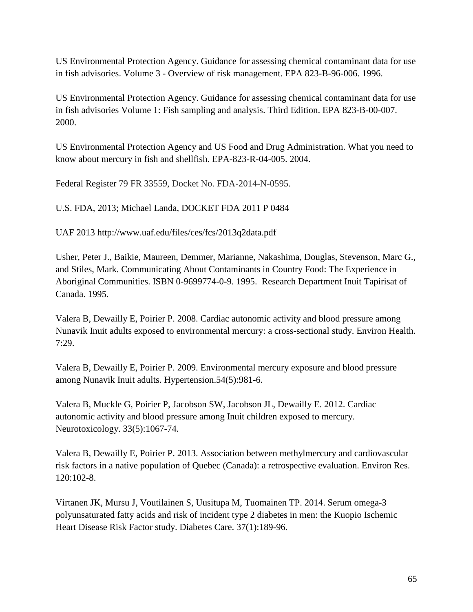US Environmental Protection Agency. Guidance for assessing chemical contaminant data for use in fish advisories. Volume 3 - Overview of risk management. EPA 823-B-96-006. 1996.

US Environmental Protection Agency. Guidance for assessing chemical contaminant data for use in fish advisories Volume 1: Fish sampling and analysis. Third Edition. EPA 823-B-00-007. 2000.

US Environmental Protection Agency and US Food and Drug Administration. What you need to know about mercury in fish and shellfish. EPA-823-R-04-005. 2004.

Federal Register 79 FR 33559, Docket No. FDA-2014-N-0595.

U.S. FDA, 2013; Michael Landa, DOCKET FDA 2011 P 0484

UAF 2013 http://www.uaf.edu/files/ces/fcs/2013q2data.pdf

Usher, Peter J., Baikie, Maureen, Demmer, Marianne, Nakashima, Douglas, Stevenson, Marc G., and Stiles, Mark. Communicating About Contaminants in Country Food: The Experience in Aboriginal Communities. ISBN 0-9699774-0-9. 1995. Research Department Inuit Tapirisat of Canada. 1995.

Valera B, Dewailly E, Poirier P. 2008. [Cardiac autonomic activity and blood pressure among](http://www.ncbi.nlm.nih.gov/pubmed/18538022)  [Nunavik Inuit adults exposed to environmental mercury: a cross-sectional study.](http://www.ncbi.nlm.nih.gov/pubmed/18538022) Environ Health. 7:29.

Valera B, Dewailly E, Poirier P. 2009. [Environmental mercury exposure and blood pressure](http://www.ncbi.nlm.nih.gov/pubmed/19805642)  [among Nunavik Inuit adults.](http://www.ncbi.nlm.nih.gov/pubmed/19805642) Hypertension.54(5):981-6.

Valera B, Muckle G, Poirier P, Jacobson SW, Jacobson JL, Dewailly E. 2012. [Cardiac](http://www.ncbi.nlm.nih.gov/pubmed/23227484)  [autonomic activity and blood pressure among Inuit children exposed to mercury.](http://www.ncbi.nlm.nih.gov/pubmed/23227484) Neurotoxicology. 33(5):1067-74.

Valera B, Dewailly E, Poirier P. 2013. [Association between methylmercury and cardiovascular](http://www.ncbi.nlm.nih.gov/pubmed/22959488)  [risk factors in a native population of Quebec \(Canada\): a retrospective evaluation.](http://www.ncbi.nlm.nih.gov/pubmed/22959488) Environ Res. 120:102-8.

[Virtanen JK,](http://www.ncbi.nlm.nih.gov/pubmed?term=Virtanen%20JK%5BAuthor%5D&cauthor=true&cauthor_uid=24026545) [Mursu J,](http://www.ncbi.nlm.nih.gov/pubmed?term=Mursu%20J%5BAuthor%5D&cauthor=true&cauthor_uid=24026545) [Voutilainen S,](http://www.ncbi.nlm.nih.gov/pubmed?term=Voutilainen%20S%5BAuthor%5D&cauthor=true&cauthor_uid=24026545) [Uusitupa M,](http://www.ncbi.nlm.nih.gov/pubmed?term=Uusitupa%20M%5BAuthor%5D&cauthor=true&cauthor_uid=24026545) [Tuomainen TP.](http://www.ncbi.nlm.nih.gov/pubmed?term=Tuomainen%20TP%5BAuthor%5D&cauthor=true&cauthor_uid=24026545) 2014. Serum omega-3 polyunsaturated fatty acids and risk of incident type 2 diabetes in men: the Kuopio Ischemic Heart Disease Risk Factor study. [Diabetes Care.](http://www.ncbi.nlm.nih.gov/pubmed/?term=Serum+Omega-3+Polyunsaturated+Fatty+Acids+and+Risk+of+Incident+Type+2+Diabetes+in+Men) 37(1):189-96.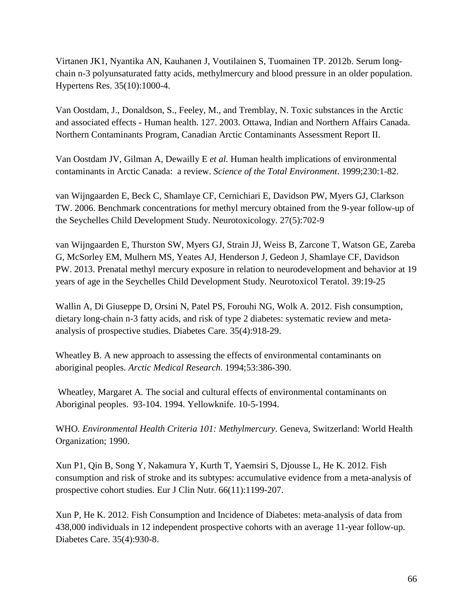[Virtanen JK1](http://www.ncbi.nlm.nih.gov/pubmed?term=Virtanen%20JK%5BAuthor%5D&cauthor=true&cauthor_uid=22673531), [Nyantika AN,](http://www.ncbi.nlm.nih.gov/pubmed?term=Nyantika%20AN%5BAuthor%5D&cauthor=true&cauthor_uid=22673531) [Kauhanen J,](http://www.ncbi.nlm.nih.gov/pubmed?term=Kauhanen%20J%5BAuthor%5D&cauthor=true&cauthor_uid=22673531) [Voutilainen S,](http://www.ncbi.nlm.nih.gov/pubmed?term=Voutilainen%20S%5BAuthor%5D&cauthor=true&cauthor_uid=22673531) [Tuomainen TP.](http://www.ncbi.nlm.nih.gov/pubmed?term=Tuomainen%20TP%5BAuthor%5D&cauthor=true&cauthor_uid=22673531) 2012b. Serum longchain n-3 polyunsaturated fatty acids, methylmercury and blood pressure in an older population. [Hypertens Res.](http://www.ncbi.nlm.nih.gov/pubmed/?term=virtanen+blood+pressure+mercury) 35(10):1000-4.

Van Oostdam, J., Donaldson, S., Feeley, M., and Tremblay, N. Toxic substances in the Arctic and associated effects - Human health. 127. 2003. Ottawa, Indian and Northern Affairs Canada. Northern Contaminants Program, Canadian Arctic Contaminants Assessment Report II.

Van Oostdam JV, Gilman A, Dewailly E *et al.* Human health implications of environmental contaminants in Arctic Canada: a review. *Science of the Total Environment*. 1999;230:1-82.

van Wijngaarden E, Beck C, Shamlaye CF, Cernichiari E, Davidson PW, Myers GJ, Clarkson TW. 2006. [Benchmark concentrations for methyl mercury obtained from the 9-year follow-up of](http://www.ncbi.nlm.nih.gov/pubmed/16806480)  [the Seychelles Child Development Study.](http://www.ncbi.nlm.nih.gov/pubmed/16806480) Neurotoxicology. 27(5):702-9

van Wijngaarden E, Thurston SW, Myers GJ, Strain JJ, Weiss B, Zarcone T, Watson GE, Zareba G, McSorley EM, Mulhern MS, Yeates AJ, Henderson J, Gedeon J, Shamlaye CF, Davidson PW. 2013. [Prenatal methyl mercury exposure in relation to neurodevelopment and behavior at 19](http://www.ncbi.nlm.nih.gov/pubmed/23770126)  [years of age in the Seychelles Child Development Study.](http://www.ncbi.nlm.nih.gov/pubmed/23770126) Neurotoxicol Teratol. 39:19-25

[Wallin A,](http://www.ncbi.nlm.nih.gov/pubmed?term=Wallin%20A%5BAuthor%5D&cauthor=true&cauthor_uid=22442397) [Di Giuseppe D,](http://www.ncbi.nlm.nih.gov/pubmed?term=Di%20Giuseppe%20D%5BAuthor%5D&cauthor=true&cauthor_uid=22442397) [Orsini N,](http://www.ncbi.nlm.nih.gov/pubmed?term=Orsini%20N%5BAuthor%5D&cauthor=true&cauthor_uid=22442397) [Patel PS,](http://www.ncbi.nlm.nih.gov/pubmed?term=Patel%20PS%5BAuthor%5D&cauthor=true&cauthor_uid=22442397) [Forouhi NG,](http://www.ncbi.nlm.nih.gov/pubmed?term=Forouhi%20NG%5BAuthor%5D&cauthor=true&cauthor_uid=22442397) [Wolk A.](http://www.ncbi.nlm.nih.gov/pubmed?term=Wolk%20A%5BAuthor%5D&cauthor=true&cauthor_uid=22442397) 2012. Fish consumption, dietary long-chain n-3 fatty acids, and risk of type 2 diabetes: systematic review and metaanalysis of prospective studies. [Diabetes Care.](http://www.ncbi.nlm.nih.gov/pubmed/?term=wallin+diabetes+fish) 35(4):918-29.

Wheatley B. A new approach to assessing the effects of environmental contaminants on aboriginal peoples. *Arctic Medical Research*. 1994;53:386-390.

Wheatley, Margaret A. The social and cultural effects of environmental contaminants on Aboriginal peoples. 93-104. 1994. Yellowknife. 10-5-1994.

WHO*. Environmental Health Criteria 101: Methylmercury*. Geneva, Switzerland: World Health Organization; 1990.

[Xun P1](http://www.ncbi.nlm.nih.gov/pubmed?term=Xun%20P%5BAuthor%5D&cauthor=true&cauthor_uid=23031847), [Qin B,](http://www.ncbi.nlm.nih.gov/pubmed?term=Qin%20B%5BAuthor%5D&cauthor=true&cauthor_uid=23031847) [Song Y,](http://www.ncbi.nlm.nih.gov/pubmed?term=Song%20Y%5BAuthor%5D&cauthor=true&cauthor_uid=23031847) [Nakamura Y,](http://www.ncbi.nlm.nih.gov/pubmed?term=Nakamura%20Y%5BAuthor%5D&cauthor=true&cauthor_uid=23031847) [Kurth T,](http://www.ncbi.nlm.nih.gov/pubmed?term=Kurth%20T%5BAuthor%5D&cauthor=true&cauthor_uid=23031847) [Yaemsiri S,](http://www.ncbi.nlm.nih.gov/pubmed?term=Yaemsiri%20S%5BAuthor%5D&cauthor=true&cauthor_uid=23031847) [Djousse L,](http://www.ncbi.nlm.nih.gov/pubmed?term=Djousse%20L%5BAuthor%5D&cauthor=true&cauthor_uid=23031847) [He K.](http://www.ncbi.nlm.nih.gov/pubmed?term=He%20K%5BAuthor%5D&cauthor=true&cauthor_uid=23031847) 2012. Fish consumption and risk of stroke and its subtypes: accumulative evidence from a meta-analysis of prospective cohort studies. [Eur J Clin Nutr.](http://www.ncbi.nlm.nih.gov/pubmed/23031847) 66(11):1199-207.

Xun P, He K. 2012. [Fish Consumption and Incidence of Diabetes: meta-analysis of data from](http://www.ncbi.nlm.nih.gov/pubmed/22442398)  [438,000 individuals in 12 independent prospective cohorts with an average 11-year follow-up.](http://www.ncbi.nlm.nih.gov/pubmed/22442398) Diabetes Care. 35(4):930-8.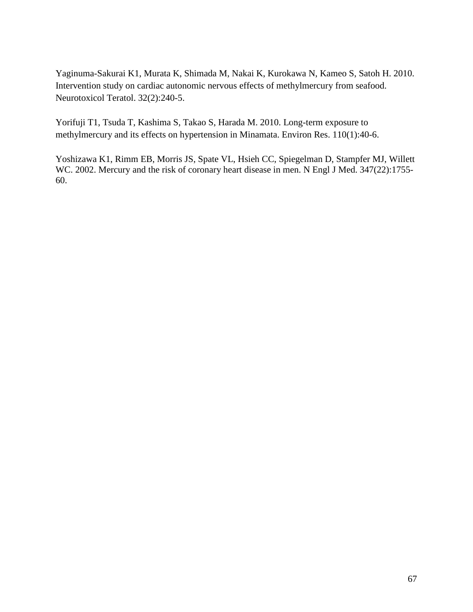[Yaginuma-Sakurai K1](http://www.ncbi.nlm.nih.gov/pubmed?term=Yaginuma-Sakurai%20K%5BAuthor%5D&cauthor=true&cauthor_uid=19732823), [Murata K,](http://www.ncbi.nlm.nih.gov/pubmed?term=Murata%20K%5BAuthor%5D&cauthor=true&cauthor_uid=19732823) [Shimada M,](http://www.ncbi.nlm.nih.gov/pubmed?term=Shimada%20M%5BAuthor%5D&cauthor=true&cauthor_uid=19732823) [Nakai K,](http://www.ncbi.nlm.nih.gov/pubmed?term=Nakai%20K%5BAuthor%5D&cauthor=true&cauthor_uid=19732823) [Kurokawa N,](http://www.ncbi.nlm.nih.gov/pubmed?term=Kurokawa%20N%5BAuthor%5D&cauthor=true&cauthor_uid=19732823) [Kameo S,](http://www.ncbi.nlm.nih.gov/pubmed?term=Kameo%20S%5BAuthor%5D&cauthor=true&cauthor_uid=19732823) [Satoh H.](http://www.ncbi.nlm.nih.gov/pubmed?term=Satoh%20H%5BAuthor%5D&cauthor=true&cauthor_uid=19732823) 2010. Intervention study on cardiac autonomic nervous effects of methylmercury from seafood. [Neurotoxicol Teratol.](http://www.ncbi.nlm.nih.gov/pubmed/?term=Yaginuma-Sakurai++variability) 32(2):240-5.

[Yorifuji T1](http://www.ncbi.nlm.nih.gov/pubmed?term=Yorifuji%20T%5BAuthor%5D&cauthor=true&cauthor_uid=19922910), [Tsuda T,](http://www.ncbi.nlm.nih.gov/pubmed?term=Tsuda%20T%5BAuthor%5D&cauthor=true&cauthor_uid=19922910) [Kashima S,](http://www.ncbi.nlm.nih.gov/pubmed?term=Kashima%20S%5BAuthor%5D&cauthor=true&cauthor_uid=19922910) [Takao S,](http://www.ncbi.nlm.nih.gov/pubmed?term=Takao%20S%5BAuthor%5D&cauthor=true&cauthor_uid=19922910) [Harada M.](http://www.ncbi.nlm.nih.gov/pubmed?term=Harada%20M%5BAuthor%5D&cauthor=true&cauthor_uid=19922910) 2010. Long-term exposure to methylmercury and its effects on hypertension in Minamata. [Environ Res.](http://www.ncbi.nlm.nih.gov/pubmed/19922910) 110(1):40-6.

[Yoshizawa K1](http://www.ncbi.nlm.nih.gov/pubmed?term=Yoshizawa%20K%5BAuthor%5D&cauthor=true&cauthor_uid=12456851), [Rimm EB,](http://www.ncbi.nlm.nih.gov/pubmed?term=Rimm%20EB%5BAuthor%5D&cauthor=true&cauthor_uid=12456851) [Morris JS,](http://www.ncbi.nlm.nih.gov/pubmed?term=Morris%20JS%5BAuthor%5D&cauthor=true&cauthor_uid=12456851) [Spate VL,](http://www.ncbi.nlm.nih.gov/pubmed?term=Spate%20VL%5BAuthor%5D&cauthor=true&cauthor_uid=12456851) [Hsieh CC,](http://www.ncbi.nlm.nih.gov/pubmed?term=Hsieh%20CC%5BAuthor%5D&cauthor=true&cauthor_uid=12456851) [Spiegelman D,](http://www.ncbi.nlm.nih.gov/pubmed?term=Spiegelman%20D%5BAuthor%5D&cauthor=true&cauthor_uid=12456851) [Stampfer MJ,](http://www.ncbi.nlm.nih.gov/pubmed?term=Stampfer%20MJ%5BAuthor%5D&cauthor=true&cauthor_uid=12456851) [Willett](http://www.ncbi.nlm.nih.gov/pubmed?term=Willett%20WC%5BAuthor%5D&cauthor=true&cauthor_uid=12456851)  [WC.](http://www.ncbi.nlm.nih.gov/pubmed?term=Willett%20WC%5BAuthor%5D&cauthor=true&cauthor_uid=12456851) 2002. Mercury and the risk of coronary heart disease in men. [N Engl J Med.](http://www.ncbi.nlm.nih.gov/pubmed/12456851) 347(22):1755-60.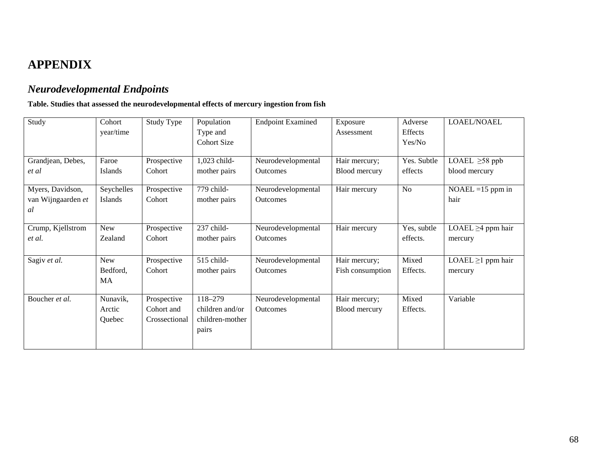# **APPENDIX**

## *Neurodevelopmental Endpoints*

### **Table. Studies that assessed the neurodevelopmental effects of mercury ingestion from fish**

| Study                                        | Cohort<br>year/time          | Study Type                                 | Population<br>Type and<br><b>Cohort Size</b>           | <b>Endpoint Examined</b>              | Exposure<br>Assessment            | Adverse<br>Effects<br>Yes/No | LOAEL/NOAEL                          |
|----------------------------------------------|------------------------------|--------------------------------------------|--------------------------------------------------------|---------------------------------------|-----------------------------------|------------------------------|--------------------------------------|
| Grandjean, Debes,<br>et al                   | Faroe<br>Islands             | Prospective<br>Cohort                      | 1,023 child-<br>mother pairs                           | Neurodevelopmental<br><b>Outcomes</b> | Hair mercury;<br>Blood mercury    | Yes. Subtle<br>effects       | LOAEL $\geq$ 58 ppb<br>blood mercury |
| Myers, Davidson,<br>van Wijngaarden et<br>al | Seychelles<br>Islands        | Prospective<br>Cohort                      | 779 child-<br>mother pairs                             | Neurodevelopmental<br><b>Outcomes</b> | Hair mercury                      | No                           | $NOAEL = 15$ ppm in<br>hair          |
| Crump, Kjellstrom<br>et al.                  | New<br>Zealand               | Prospective<br>Cohort                      | 237 child-<br>mother pairs                             | Neurodevelopmental<br><b>Outcomes</b> | Hair mercury                      | Yes, subtle<br>effects.      | LOAEL $\geq$ 4 ppm hair<br>mercury   |
| Sagiv et al.                                 | New<br>Bedford,<br>MA        | Prospective<br>Cohort                      | 515 child-<br>mother pairs                             | Neurodevelopmental<br><b>Outcomes</b> | Hair mercury;<br>Fish consumption | Mixed<br>Effects.            | $LOAEL \geq 1$ ppm hair<br>mercury   |
| Boucher et al.                               | Nunavik,<br>Arctic<br>Quebec | Prospective<br>Cohort and<br>Crossectional | 118-279<br>children and/or<br>children-mother<br>pairs | Neurodevelopmental<br><b>Outcomes</b> | Hair mercury;<br>Blood mercury    | Mixed<br>Effects.            | Variable                             |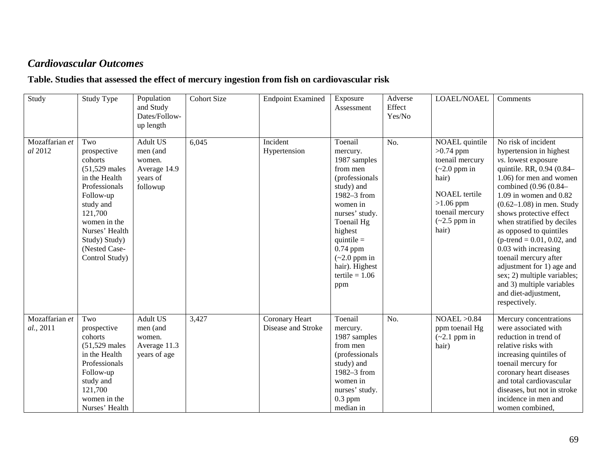## *Cardiovascular Outcomes*

### **Table. Studies that assessed the effect of mercury ingestion from fish on cardiovascular risk**

| Study                       | <b>Study Type</b>                                                                                                                                                                                             | Population<br>and Study<br>Dates/Follow-<br>up length                         | <b>Cohort Size</b> | <b>Endpoint Examined</b>             | Exposure<br>Assessment                                                                                                                                                                                                                            | Adverse<br>Effect<br>Yes/No | LOAEL/NOAEL                                                                                                                                                                      | Comments                                                                                                                                                                                                                                                                                                                                                                                                                                                                                                                       |
|-----------------------------|---------------------------------------------------------------------------------------------------------------------------------------------------------------------------------------------------------------|-------------------------------------------------------------------------------|--------------------|--------------------------------------|---------------------------------------------------------------------------------------------------------------------------------------------------------------------------------------------------------------------------------------------------|-----------------------------|----------------------------------------------------------------------------------------------------------------------------------------------------------------------------------|--------------------------------------------------------------------------------------------------------------------------------------------------------------------------------------------------------------------------------------------------------------------------------------------------------------------------------------------------------------------------------------------------------------------------------------------------------------------------------------------------------------------------------|
| Mozaffarian et<br>al 2012   | Two<br>prospective<br>cohorts<br>$(51,529$ males<br>in the Health<br>Professionals<br>Follow-up<br>study and<br>121,700<br>women in the<br>Nurses' Health<br>Study) Study)<br>(Nested Case-<br>Control Study) | <b>Adult US</b><br>men (and<br>women.<br>Average 14.9<br>years of<br>followup | 6,045              | Incident<br>Hypertension             | Toenail<br>mercury.<br>1987 samples<br>from men<br>(professionals)<br>study) and<br>1982-3 from<br>women in<br>nurses' study.<br>Toenail Hg<br>highest<br>quintile $=$<br>0.74 ppm<br>$(-2.0$ ppm in<br>hair). Highest<br>$tertile = 1.06$<br>ppm | No.                         | NOAEL quintile<br>$>0.74$ ppm<br>toenail mercury<br>$\left(\sim 2.0\right)$ ppm in<br>hair)<br><b>NOAEL</b> tertile<br>$>1.06$ ppm<br>toenail mercury<br>$(-2.5$ ppm in<br>hair) | No risk of incident<br>hypertension in highest<br>vs. lowest exposure<br>quintile. RR, 0.94 (0.84-<br>1.06) for men and women<br>combined (0.96 (0.84-<br>$1.09$ in women and $0.82$<br>$(0.62 - 1.08)$ in men. Study<br>shows protective effect<br>when stratified by deciles<br>as opposed to quintiles<br>( $p$ -trend = 0.01, 0.02, and<br>0.03 with increasing<br>toenail mercury after<br>adjustment for 1) age and<br>sex; 2) multiple variables;<br>and 3) multiple variables<br>and diet-adjustment,<br>respectively. |
| Mozaffarian et<br>al., 2011 | Two<br>prospective<br>cohorts<br>$(51,529$ males<br>in the Health<br>Professionals<br>Follow-up<br>study and<br>121,700<br>women in the<br>Nurses' Health                                                     | <b>Adult US</b><br>men (and<br>women.<br>Average 11.3<br>years of age         | 3,427              | Coronary Heart<br>Disease and Stroke | Toenail<br>mercury.<br>1987 samples<br>from men<br>(professionals)<br>study) and<br>1982-3 from<br>women in<br>nurses' study.<br>$0.3$ ppm<br>median in                                                                                           | No.                         | NOAEL > 0.84<br>ppm toenail Hg<br>$(-2.1$ ppm in<br>hair)                                                                                                                        | Mercury concentrations<br>were associated with<br>reduction in trend of<br>relative risks with<br>increasing quintiles of<br>toenail mercury for<br>coronary heart diseases<br>and total cardiovascular<br>diseases, but not in stroke<br>incidence in men and<br>women combined,                                                                                                                                                                                                                                              |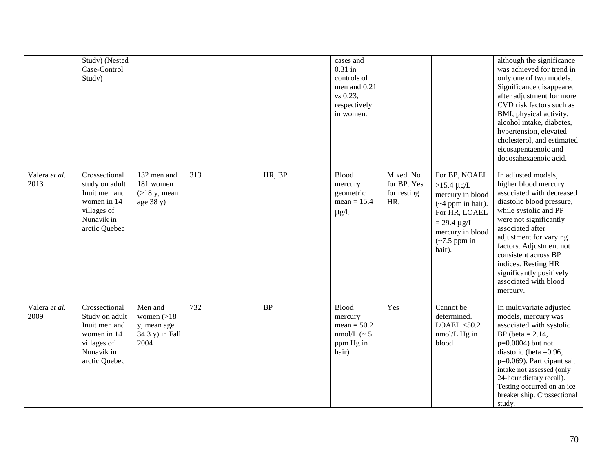|                       | Study) (Nested<br>Case-Control<br>Study)                                                                      |                                                                   |                  |           | cases and<br>$0.31$ in<br>controls of<br>men and 0.21<br>vs 0.23,<br>respectively<br>in women. |                                                |                                                                                                                                                                                       | although the significance<br>was achieved for trend in<br>only one of two models.<br>Significance disappeared<br>after adjustment for more<br>CVD risk factors such as<br>BMI, physical activity,<br>alcohol intake, diabetes,<br>hypertension, elevated<br>cholesterol, and estimated<br>eicosapentaenoic and<br>docosahexaenoic acid.           |
|-----------------------|---------------------------------------------------------------------------------------------------------------|-------------------------------------------------------------------|------------------|-----------|------------------------------------------------------------------------------------------------|------------------------------------------------|---------------------------------------------------------------------------------------------------------------------------------------------------------------------------------------|---------------------------------------------------------------------------------------------------------------------------------------------------------------------------------------------------------------------------------------------------------------------------------------------------------------------------------------------------|
| Valera et al.<br>2013 | Crossectional<br>study on adult<br>Inuit men and<br>women in 14<br>villages of<br>Nunavik in<br>arctic Quebec | 132 men and<br>181 women<br>$($ >18 y, mean<br>age 38 y)          | $\overline{313}$ | HR, BP    | <b>Blood</b><br>mercury<br>geometric<br>$mean = 15.4$<br>$\mu$ g/l.                            | Mixed. No<br>for BP. Yes<br>for resting<br>HR. | For BP, NOAEL<br>$>15.4 \mu g/L$<br>mercury in blood<br>$({\sim}4$ ppm in hair).<br>For HR, LOAEL<br>$= 29.4 \mu g/L$<br>mercury in blood<br>$\left(\sim 7.5\right)$ ppm in<br>hair). | In adjusted models,<br>higher blood mercury<br>associated with decreased<br>diastolic blood pressure,<br>while systolic and PP<br>were not significantly<br>associated after<br>adjustment for varying<br>factors. Adjustment not<br>consistent across BP<br>indices. Resting HR<br>significantly positively<br>associated with blood<br>mercury. |
| Valera et al.<br>2009 | Crossectional<br>Study on adult<br>Inuit men and<br>women in 14<br>villages of<br>Nunavik in<br>arctic Quebec | Men and<br>women $(>18$<br>y, mean age<br>34.3 y) in Fall<br>2004 | $\overline{732}$ | <b>BP</b> | <b>Blood</b><br>mercury<br>$mean = 50.2$<br>nmol/L ( $\sim$ 5<br>ppm Hg in<br>hair)            | Yes                                            | Cannot be<br>determined.<br>LOAEL < 50.2<br>nmol/L Hg in<br>blood                                                                                                                     | In multivariate adjusted<br>models, mercury was<br>associated with systolic<br>BP (beta $= 2.14$ ,<br>$p=0.0004$ ) but not<br>diastolic (beta $=0.96$ ,<br>p=0.069). Participant salt<br>intake not assessed (only<br>24-hour dietary recall).<br>Testing occurred on an ice<br>breaker ship. Crossectional<br>study.                             |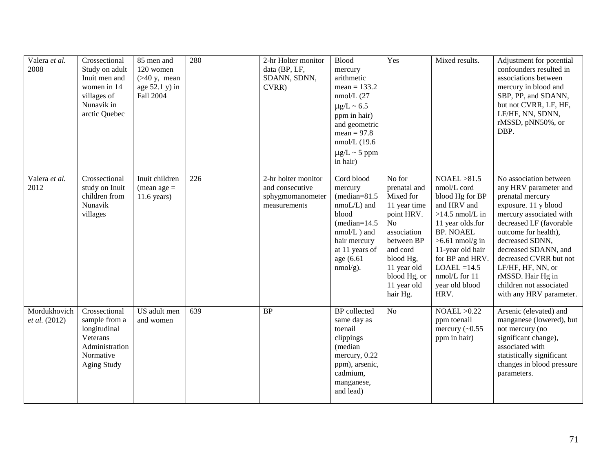| Valera et al.<br>2008         | Crossectional<br>Study on adult<br>Inuit men and<br>women in 14<br>villages of<br>Nunavik in<br>arctic Quebec   | 85 men and<br>120 women<br>$($ >40 y, mean<br>age $52.1$ y) in<br>Fall 2004 | 280 | 2-hr Holter monitor<br>data (BP, LF,<br>SDANN, SDNN,<br>CVRR)              | <b>Blood</b><br>mercury<br>arithmetic<br>$mean = 133.2$<br>$nmol/L$ (27<br>$\mu$ g/L ~ 6.5<br>ppm in hair)<br>and geometric<br>$mean = 97.8$<br>$nmol/L$ (19.6<br>$\mu$ g/L ~ 5 ppm<br>in hair) | Yes                                                                                                                                                                                     | Mixed results.                                                                                                                                                                                                                                      | Adjustment for potential<br>confounders resulted in<br>associations between<br>mercury in blood and<br>SBP, PP, and SDANN,<br>but not CVRR, LF, HF,<br>LF/HF, NN, SDNN,<br>rMSSD, pNN50%, or<br>DBP.                                                                                                                                           |
|-------------------------------|-----------------------------------------------------------------------------------------------------------------|-----------------------------------------------------------------------------|-----|----------------------------------------------------------------------------|-------------------------------------------------------------------------------------------------------------------------------------------------------------------------------------------------|-----------------------------------------------------------------------------------------------------------------------------------------------------------------------------------------|-----------------------------------------------------------------------------------------------------------------------------------------------------------------------------------------------------------------------------------------------------|------------------------------------------------------------------------------------------------------------------------------------------------------------------------------------------------------------------------------------------------------------------------------------------------------------------------------------------------|
| Valera et al.<br>2012         | Crossectional<br>study on Inuit<br>children from<br>Nunavik<br>villages                                         | Inuit children<br>$(mean age =$<br>$11.6$ years)                            | 226 | 2-hr holter monitor<br>and consecutive<br>sphygmomanometer<br>measurements | Cord blood<br>mercury<br>$(median=81.5)$<br>$nmod/L$ ) and<br>blood<br>$(median=14.5$<br>$nmol/L$ ) and<br>hair mercury<br>at 11 years of<br>age (6.61)<br>$nmol/g$ ).                          | No for<br>prenatal and<br>Mixed for<br>11 year time<br>point HRV.<br>No<br>association<br>between BP<br>and cord<br>blood Hg,<br>11 year old<br>blood Hg, or<br>11 year old<br>hair Hg. | NOAEL > 81.5<br>nmol/L cord<br>blood Hg for BP<br>and HRV and<br>$>14.5$ nmol/L in<br>11 year olds.for<br><b>BP. NOAEL</b><br>$>6.61$ nmol/g in<br>11-year old hair<br>for BP and HRV.<br>$LOAEL = 14.5$<br>nmol/L for 11<br>year old blood<br>HRV. | No association between<br>any HRV parameter and<br>prenatal mercury<br>exposure. 11 y blood<br>mercury associated with<br>decreased LF (favorable<br>outcome for health),<br>decreased SDNN,<br>decreased SDANN, and<br>decreased CVRR but not<br>LF/HF, HF, NN, or<br>rMSSD. Hair Hg in<br>children not associated<br>with any HRV parameter. |
| Mordukhovich<br>et al. (2012) | Crossectional<br>sample from a<br>longitudinal<br>Veterans<br>Administration<br>Normative<br><b>Aging Study</b> | US adult men<br>and women                                                   | 639 | <b>BP</b>                                                                  | <b>BP</b> collected<br>same day as<br>toenail<br>clippings<br>(median<br>mercury, 0.22<br>ppm), arsenic,<br>cadmium,<br>manganese,<br>and lead)                                                 | N <sub>o</sub>                                                                                                                                                                          | NOAEL > 0.22<br>ppm toenail<br>mercury $(\sim 0.55$<br>ppm in hair)                                                                                                                                                                                 | Arsenic (elevated) and<br>manganese (lowered), but<br>not mercury (no<br>significant change),<br>associated with<br>statistically significant<br>changes in blood pressure<br>parameters.                                                                                                                                                      |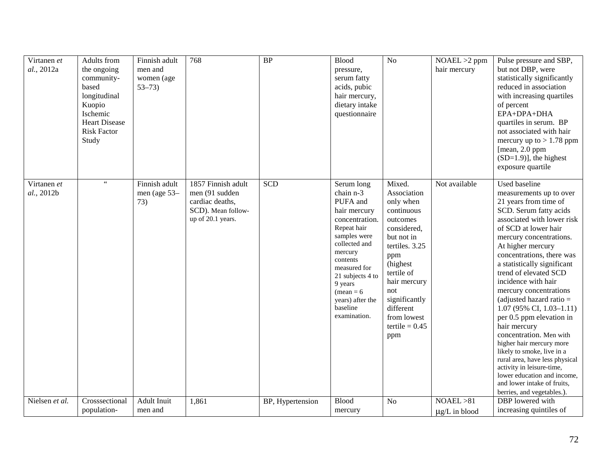| Virtanen et<br>al., 2012a | Adults from<br>the ongoing<br>community-<br>based<br>longitudinal<br>Kuopio<br><b>Ischemic</b><br><b>Heart Disease</b><br><b>Risk Factor</b><br>Study | Finnish adult<br>men and<br>women (age<br>$53 - 73$ | 768                                                                                                | $\overline{BP}$  | Blood<br>pressure,<br>serum fatty<br>acids, pubic<br>hair mercury,<br>dietary intake<br>questionnaire                                                                                                                                                       | N <sub>o</sub>                                                                                                                                                                                                                               | $NOAEL > 2$ ppm<br>hair mercury  | Pulse pressure and SBP,<br>but not DBP, were<br>statistically significantly<br>reduced in association<br>with increasing quartiles<br>of percent<br>EPA+DPA+DHA<br>quartiles in serum. BP<br>not associated with hair<br>mercury up to $> 1.78$ ppm<br>[mean, 2.0 ppm]<br>$(SD=1.9)$ ], the highest<br>exposure quartile                                                                                                                                                                                                                                                                                                                                                                                |
|---------------------------|-------------------------------------------------------------------------------------------------------------------------------------------------------|-----------------------------------------------------|----------------------------------------------------------------------------------------------------|------------------|-------------------------------------------------------------------------------------------------------------------------------------------------------------------------------------------------------------------------------------------------------------|----------------------------------------------------------------------------------------------------------------------------------------------------------------------------------------------------------------------------------------------|----------------------------------|---------------------------------------------------------------------------------------------------------------------------------------------------------------------------------------------------------------------------------------------------------------------------------------------------------------------------------------------------------------------------------------------------------------------------------------------------------------------------------------------------------------------------------------------------------------------------------------------------------------------------------------------------------------------------------------------------------|
| Virtanen et<br>al., 2012b | $\epsilon$ $\epsilon$                                                                                                                                 | Finnish adult<br>men (age 53-<br>73)                | 1857 Finnish adult<br>men (91 sudden<br>cardiac deaths,<br>SCD). Mean follow-<br>up of 20.1 years. | <b>SCD</b>       | Serum long<br>chain n-3<br>PUFA and<br>hair mercury<br>concentration.<br>Repeat hair<br>samples were<br>collected and<br>mercury<br>contents<br>measured for<br>21 subjects 4 to<br>9 years<br>$(mean = 6)$<br>years) after the<br>baseline<br>examination. | Mixed.<br>Association<br>only when<br>continuous<br>outcomes<br>considered,<br>but not in<br>tertiles. 3.25<br>ppm<br>(highest)<br>tertile of<br>hair mercury<br>not<br>significantly<br>different<br>from lowest<br>tertile = $0.45$<br>ppm | Not available                    | Used baseline<br>measurements up to over<br>21 years from time of<br>SCD. Serum fatty acids<br>associated with lower risk<br>of SCD at lower hair<br>mercury concentrations.<br>At higher mercury<br>concentrations, there was<br>a statistically significant<br>trend of elevated SCD<br>incidence with hair<br>mercury concentrations<br>(adjusted hazard ratio $=$<br>$1.07(95\% \text{ CI}, 1.03-1.11)$<br>per 0.5 ppm elevation in<br>hair mercury<br>concentration. Men with<br>higher hair mercury more<br>likely to smoke, live in a<br>rural area, have less physical<br>activity in leisure-time,<br>lower education and income,<br>and lower intake of fruits,<br>berries, and vegetables.). |
| Nielsen et al.            | Crosssectional<br>population-                                                                                                                         | <b>Adult Inuit</b><br>men and                       | 1,861                                                                                              | BP, Hypertension | <b>Blood</b><br>mercury                                                                                                                                                                                                                                     | N <sub>o</sub>                                                                                                                                                                                                                               | NOAEL > 81<br>$\mu$ g/L in blood | DBP lowered with<br>increasing quintiles of                                                                                                                                                                                                                                                                                                                                                                                                                                                                                                                                                                                                                                                             |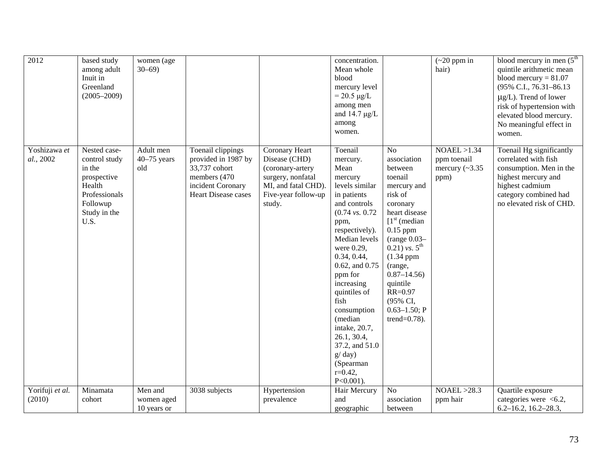| 2012                      | based study<br>among adult<br>Inuit in<br>Greenland<br>$(2005 - 2009)$                                                | women (age<br>$30 - 69$           |                                                                                                                        |                                                                                                                                  | concentration.<br>Mean whole<br>blood<br>mercury level<br>$= 20.5 \ \mu g/L$<br>among men<br>and $14.7 \mu g/L$<br>among<br>women.                                                                                                                                                                                                                                                                       |                                                                                                                                                                                                                                                                                                                        | $\left(\sim 20\right)$ ppm in<br>hair)                       | blood mercury in men $(5th$<br>quintile arithmetic mean<br>blood mercury = $81.07$<br>(95% C.I., 76.31-86.13)<br>$\mu$ g/L). Trend of lower<br>risk of hypertension with<br>elevated blood mercury.<br>No meaningful effect in<br>women. |
|---------------------------|-----------------------------------------------------------------------------------------------------------------------|-----------------------------------|------------------------------------------------------------------------------------------------------------------------|----------------------------------------------------------------------------------------------------------------------------------|----------------------------------------------------------------------------------------------------------------------------------------------------------------------------------------------------------------------------------------------------------------------------------------------------------------------------------------------------------------------------------------------------------|------------------------------------------------------------------------------------------------------------------------------------------------------------------------------------------------------------------------------------------------------------------------------------------------------------------------|--------------------------------------------------------------|------------------------------------------------------------------------------------------------------------------------------------------------------------------------------------------------------------------------------------------|
| Yoshizawa et<br>al., 2002 | Nested case-<br>control study<br>in the<br>prospective<br>Health<br>Professionals<br>Followup<br>Study in the<br>U.S. | Adult men<br>$40-75$ years<br>old | Toenail clippings<br>provided in 1987 by<br>33,737 cohort<br>members (470)<br>incident Coronary<br>Heart Disease cases | Coronary Heart<br>Disease (CHD)<br>(coronary-artery<br>surgery, nonfatal<br>MI, and fatal CHD).<br>Five-year follow-up<br>study. | Toenail<br>mercury.<br>Mean<br>mercury<br>levels similar<br>in patients<br>and controls<br>$(0.74 \text{ vs. } 0.72)$<br>ppm,<br>respectively).<br>Median levels<br>were 0.29,<br>0.34, 0.44,<br>$0.62$ , and $0.75$<br>ppm for<br>increasing<br>quintiles of<br>fish<br>consumption<br>(median<br>intake, 20.7,<br>26.1, 30.4,<br>37.2, and 51.0<br>$g$ day)<br>(Spearman<br>$r=0.42$ ,<br>$P<0.001$ ). | N <sub>o</sub><br>association<br>between<br>toenail<br>mercury and<br>risk of<br>coronary<br>heart disease<br>$1st$ (median<br>$0.15$ ppm<br>(range $0.03-$<br>$(0.21)$ vs. 5 <sup>th</sup><br>$(1.34$ ppm<br>(range,<br>$0.87 - 14.56$<br>quintile<br>$RR = 0.97$<br>(95% CI,<br>$0.63 - 1.50; P$<br>trend= $0.78$ ). | NOAEL > 1.34<br>ppm toenail<br>mercury $(\sim 3.35)$<br>ppm) | Toenail Hg significantly<br>correlated with fish<br>consumption. Men in the<br>highest mercury and<br>highest cadmium<br>category combined had<br>no elevated risk of CHD.                                                               |
| Yorifuji et al.<br>(2010) | Minamata<br>cohort                                                                                                    | Men and<br>women aged             | 3038 subjects                                                                                                          | Hypertension<br>prevalence                                                                                                       | Hair Mercury<br>and                                                                                                                                                                                                                                                                                                                                                                                      | No<br>association                                                                                                                                                                                                                                                                                                      | NOAEL > 28.3<br>ppm hair                                     | Quartile exposure<br>categories were $<6.2$ ,                                                                                                                                                                                            |
|                           |                                                                                                                       | 10 years or                       |                                                                                                                        |                                                                                                                                  | geographic                                                                                                                                                                                                                                                                                                                                                                                               | between                                                                                                                                                                                                                                                                                                                |                                                              | $6.2 - 16.2$ , $16.2 - 28.3$ ,                                                                                                                                                                                                           |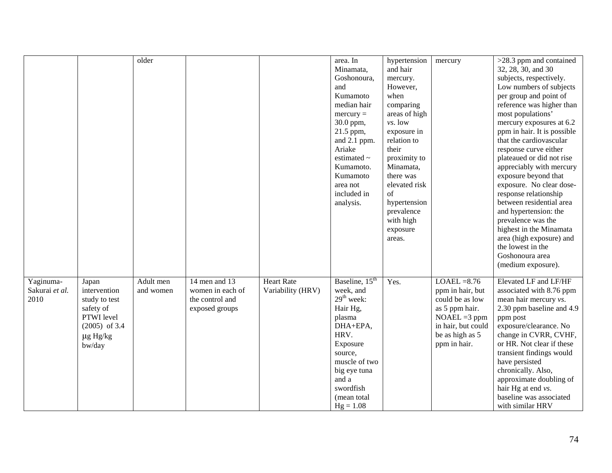|                |                       | older     |                  |                   | area. In                   | hypertension<br>and hair | mercury            | >28.3 ppm and contained<br>32, 28, 30, and 30 |
|----------------|-----------------------|-----------|------------------|-------------------|----------------------------|--------------------------|--------------------|-----------------------------------------------|
|                |                       |           |                  |                   | Minamata,<br>Goshonoura,   |                          |                    | subjects, respectively.                       |
|                |                       |           |                  |                   | and                        | mercury.<br>However,     |                    | Low numbers of subjects                       |
|                |                       |           |                  |                   |                            |                          |                    |                                               |
|                |                       |           |                  |                   | Kumamoto                   | when                     |                    | per group and point of                        |
|                |                       |           |                  |                   | median hair                | comparing                |                    | reference was higher than                     |
|                |                       |           |                  |                   | $mercury =$                | areas of high            |                    | most populations'                             |
|                |                       |           |                  |                   | 30.0 ppm,                  | vs. low                  |                    | mercury exposures at 6.2                      |
|                |                       |           |                  |                   | 21.5 ppm,                  | exposure in              |                    | ppm in hair. It is possible                   |
|                |                       |           |                  |                   | and 2.1 ppm.               | relation to              |                    | that the cardiovascular                       |
|                |                       |           |                  |                   | Ariake                     | their                    |                    | response curve either                         |
|                |                       |           |                  |                   | estimated $\sim$           | proximity to             |                    | plateaued or did not rise                     |
|                |                       |           |                  |                   | Kumamoto.                  | Minamata,                |                    | appreciably with mercury                      |
|                |                       |           |                  |                   | Kumamoto                   | there was                |                    | exposure beyond that                          |
|                |                       |           |                  |                   | area not                   | elevated risk            |                    | exposure. No clear dose-                      |
|                |                       |           |                  |                   | included in                | $\sigma$ f               |                    | response relationship                         |
|                |                       |           |                  |                   | analysis.                  | hypertension             |                    | between residential area                      |
|                |                       |           |                  |                   |                            | prevalence               |                    | and hypertension: the                         |
|                |                       |           |                  |                   |                            | with high                |                    | prevalence was the                            |
|                |                       |           |                  |                   |                            | exposure                 |                    | highest in the Minamata                       |
|                |                       |           |                  |                   |                            | areas.                   |                    | area (high exposure) and                      |
|                |                       |           |                  |                   |                            |                          |                    | the lowest in the                             |
|                |                       |           |                  |                   |                            |                          |                    | Goshonoura area                               |
|                |                       |           |                  |                   |                            |                          |                    | (medium exposure).                            |
| Yaginuma-      |                       | Adult men | 14 men and 13    | <b>Heart Rate</b> | Baseline, 15 <sup>th</sup> | Yes.                     | $LOAEL = 8.76$     | Elevated LF and LF/HF                         |
| Sakurai et al. | Japan<br>intervention | and women | women in each of | Variability (HRV) | week, and                  |                          | ppm in hair, but   | associated with 8.76 ppm                      |
| 2010           |                       |           | the control and  |                   | $29th$ week:               |                          | could be as low    |                                               |
|                | study to test         |           |                  |                   |                            |                          |                    | mean hair mercury vs.                         |
|                | safety of             |           | exposed groups   |                   | Hair Hg,                   |                          | as 5 ppm hair.     | 2.30 ppm baseline and 4.9                     |
|                | PTWI level            |           |                  |                   | plasma                     |                          | $NOAEL = 3 ppm$    | ppm post                                      |
|                | $(2005)$ of 3.4       |           |                  |                   | DHA+EPA,                   |                          | in hair, but could | exposure/clearance. No                        |
|                | $\mu$ g Hg/kg         |           |                  |                   | HRV.                       |                          | be as high as 5    | change in CVRR, CVHF,                         |
|                | bw/day                |           |                  |                   | Exposure                   |                          | ppm in hair.       | or HR. Not clear if these                     |
|                |                       |           |                  |                   | source,                    |                          |                    | transient findings would                      |
|                |                       |           |                  |                   | muscle of two              |                          |                    | have persisted                                |
|                |                       |           |                  |                   | big eye tuna               |                          |                    | chronically. Also,                            |
|                |                       |           |                  |                   | and a                      |                          |                    | approximate doubling of                       |
|                |                       |           |                  |                   | swordfish                  |                          |                    | hair Hg at end vs.                            |
|                |                       |           |                  |                   | (mean total                |                          |                    | baseline was associated                       |
|                |                       |           |                  |                   | $Hg = 1.08$                |                          |                    | with similar HRV                              |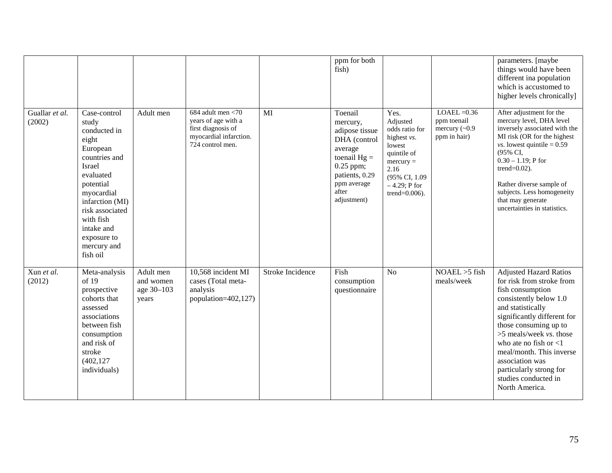|                          |                                                                                                                                                                                                                                          |                                               |                                                                                                                 |                  | ppm for both<br>fish)                                                                                                                                      |                                                                                                                                                             |                                                                       | parameters. [maybe<br>things would have been<br>different ina population<br>which is accustomed to<br>higher levels chronically]                                                                                                                                                                                                                                      |
|--------------------------|------------------------------------------------------------------------------------------------------------------------------------------------------------------------------------------------------------------------------------------|-----------------------------------------------|-----------------------------------------------------------------------------------------------------------------|------------------|------------------------------------------------------------------------------------------------------------------------------------------------------------|-------------------------------------------------------------------------------------------------------------------------------------------------------------|-----------------------------------------------------------------------|-----------------------------------------------------------------------------------------------------------------------------------------------------------------------------------------------------------------------------------------------------------------------------------------------------------------------------------------------------------------------|
| Guallar et al.<br>(2002) | Case-control<br>study<br>conducted in<br>eight<br>European<br>countries and<br>Israel<br>evaluated<br>potential<br>myocardial<br>infarction (MI)<br>risk associated<br>with fish<br>intake and<br>exposure to<br>mercury and<br>fish oil | Adult men                                     | 684 adult men $<$ 70<br>years of age with a<br>first diagnosis of<br>myocardial infarction.<br>724 control men. | MI               | Toenail<br>mercury,<br>adipose tissue<br>DHA (control<br>average<br>toenail $Hg =$<br>$0.25$ ppm;<br>patients, 0.29<br>ppm average<br>after<br>adjustment) | Yes.<br>Adjusted<br>odds ratio for<br>highest vs.<br>lowest<br>quintile of<br>$mercury =$<br>2.16<br>(95% CI, 1.09)<br>$-4.29$ ; P for<br>trend= $0.006$ ). | $LOAEL = 0.36$<br>ppm toenail<br>mercury $(\sim 0.9)$<br>ppm in hair) | After adjustment for the<br>mercury level, DHA level<br>inversely associated with the<br>MI risk (OR for the highest<br><i>vs.</i> lowest quintile = $0.59$<br>(95% CI,<br>$0.30 - 1.19$ ; P for<br>trend= $0.02$ ).<br>Rather diverse sample of<br>subjects. Less homogeneity<br>that may generate<br>uncertainties in statistics.                                   |
| Xun et al.<br>(2012)     | Meta-analysis<br>of 19<br>prospective<br>cohorts that<br>assessed<br>associations<br>between fish<br>consumption<br>and risk of<br>stroke<br>(402, 127)<br>individuals)                                                                  | Adult men<br>and women<br>age 30-103<br>years | 10,568 incident MI<br>cases (Total meta-<br>analysis<br>population=402,127)                                     | Stroke Incidence | Fish<br>consumption<br>questionnaire                                                                                                                       | N <sub>o</sub>                                                                                                                                              | $NOAEL > 5$ fish<br>meals/week                                        | <b>Adjusted Hazard Ratios</b><br>for risk from stroke from<br>fish consumption<br>consistently below 1.0<br>and statistically<br>significantly different for<br>those consuming up to<br>$>5$ meals/week vs. those<br>who ate no fish or $\leq 1$<br>meal/month. This inverse<br>association was<br>particularly strong for<br>studies conducted in<br>North America. |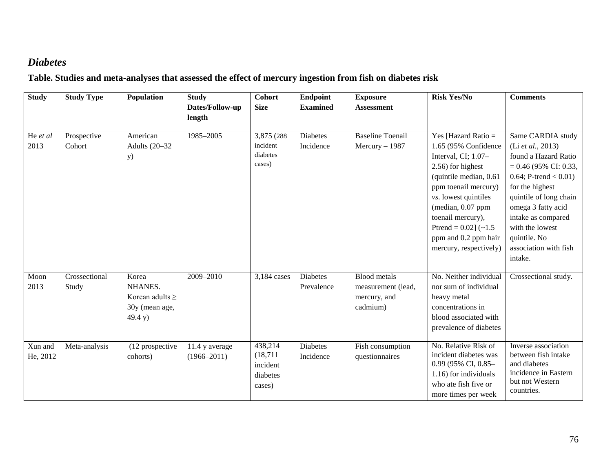## *Diabetes*

## **Table. Studies and meta-analyses that assessed the effect of mercury ingestion from fish on diabetes risk**

| <b>Study</b>        | <b>Study Type</b>      | Population                                                            | <b>Study</b>                      | <b>Cohort</b>                                          | <b>Endpoint</b>               | <b>Exposure</b>                                                       | <b>Risk Yes/No</b>                                                                                                                                                                                                                                                                         | <b>Comments</b>                                                                                                                                                                                                                                                                          |
|---------------------|------------------------|-----------------------------------------------------------------------|-----------------------------------|--------------------------------------------------------|-------------------------------|-----------------------------------------------------------------------|--------------------------------------------------------------------------------------------------------------------------------------------------------------------------------------------------------------------------------------------------------------------------------------------|------------------------------------------------------------------------------------------------------------------------------------------------------------------------------------------------------------------------------------------------------------------------------------------|
|                     |                        |                                                                       | Dates/Follow-up<br>length         | <b>Size</b>                                            | <b>Examined</b>               | <b>Assessment</b>                                                     |                                                                                                                                                                                                                                                                                            |                                                                                                                                                                                                                                                                                          |
| He et al<br>2013    | Prospective<br>Cohort  | American<br>Adults (20-32<br><b>y</b> )                               | 1985-2005                         | 3,875 (288)<br>incident<br>diabetes<br>cases)          | <b>Diabetes</b><br>Incidence  | <b>Baseline Toenail</b><br>$Mercury - 1987$                           | Yes [Hazard Ratio $=$<br>1.65 (95% Confidence<br>Interval, CI; 1.07-<br>2.56) for highest<br>(quintile median, 0.61<br>ppm toenail mercury)<br>vs. lowest quintiles<br>(median, 0.07 ppm<br>toenail mercury),<br>Ptrend = $0.02$ ] (~1.5<br>ppm and 0.2 ppm hair<br>mercury, respectively) | Same CARDIA study<br>(Li et al., 2013)<br>found a Hazard Ratio<br>$= 0.46$ (95% CI: 0.33,<br>$0.64$ ; P-trend < $0.01$ )<br>for the highest<br>quintile of long chain<br>omega 3 fatty acid<br>intake as compared<br>with the lowest<br>quintile. No<br>association with fish<br>intake. |
| Moon<br>2013        | Crossectional<br>Study | Korea<br>NHANES.<br>Korean adults $\geq$<br>30y (mean age,<br>49.4 y) | 2009-2010                         | 3,184 cases                                            | <b>Diabetes</b><br>Prevalence | <b>Blood</b> metals<br>measurement (lead,<br>mercury, and<br>cadmium) | No. Neither individual<br>nor sum of individual<br>heavy metal<br>concentrations in<br>blood associated with<br>prevalence of diabetes                                                                                                                                                     | Crossectional study.                                                                                                                                                                                                                                                                     |
| Xun and<br>He, 2012 | Meta-analysis          | (12 prospective<br>cohorts)                                           | 11.4 y average<br>$(1966 - 2011)$ | 438,214<br>(18, 711)<br>incident<br>diabetes<br>cases) | <b>Diabetes</b><br>Incidence  | Fish consumption<br>questionnaires                                    | No. Relative Risk of<br>incident diabetes was<br>0.99 (95% CI, 0.85-<br>1.16) for individuals<br>who ate fish five or<br>more times per week                                                                                                                                               | Inverse association<br>between fish intake<br>and diabetes<br>incidence in Eastern<br>but not Western<br>countries.                                                                                                                                                                      |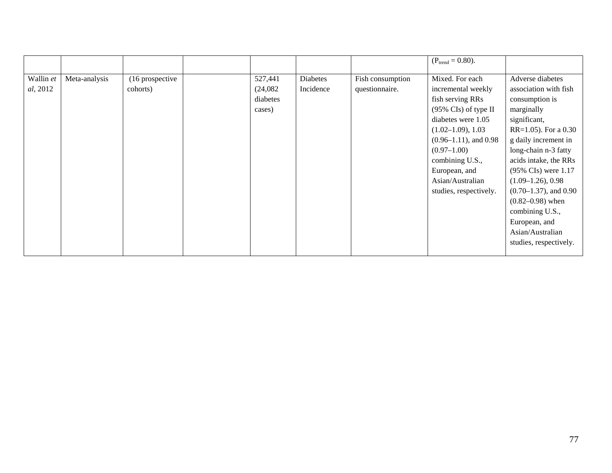| $(P_{trend} = 0.80)$ .                                                                                                                                                                                                                                                                                                                                                                                                                              |                                                                                                                                                                                                                                                                                                                                                                                |
|-----------------------------------------------------------------------------------------------------------------------------------------------------------------------------------------------------------------------------------------------------------------------------------------------------------------------------------------------------------------------------------------------------------------------------------------------------|--------------------------------------------------------------------------------------------------------------------------------------------------------------------------------------------------------------------------------------------------------------------------------------------------------------------------------------------------------------------------------|
| Meta-analysis<br>(16 prospective)<br>527,441<br>Mixed. For each<br>Wallin et<br>Diabetes<br>Fish consumption<br>al, 2012<br>Incidence<br>questionnaire.<br>cohorts)<br>(24,082)<br>incremental weekly<br>diabetes<br>fish serving RRs<br>(95% CIs) of type II<br>cases)<br>diabetes were 1.05<br>$(1.02-1.09), 1.03$<br>$(0.96-1.11)$ , and 0.98<br>$(0.97-1.00)$<br>combining U.S.,<br>European, and<br>Asian/Australian<br>studies, respectively. | Adverse diabetes<br>association with fish<br>consumption is<br>marginally<br>significant,<br>RR=1.05). For a 0.30<br>g daily increment in<br>long-chain n-3 fatty<br>acids intake, the RRs<br>(95% CIs) were 1.17<br>$(1.09-1.26), 0.98$<br>$(0.70-1.37)$ , and 0.90<br>$(0.82 - 0.98)$ when<br>combining U.S.,<br>European, and<br>Asian/Australian<br>studies, respectively. |